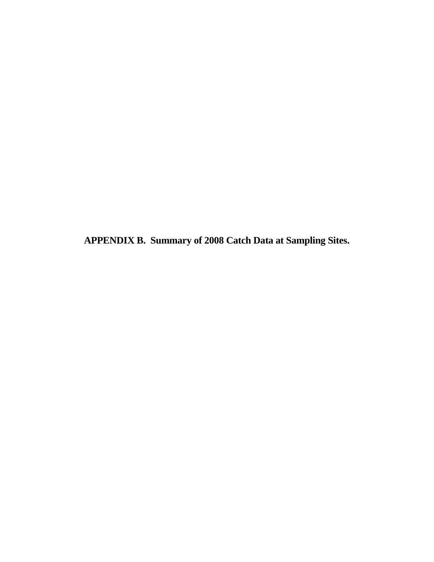**APPENDIX B. Summary of 2008 Catch Data at Sampling Sites.**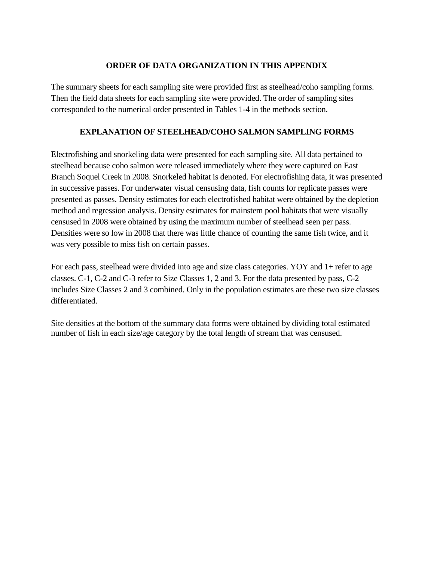### **ORDER OF DATA ORGANIZATION IN THIS APPENDIX**

The summary sheets for each sampling site were provided first as steelhead/coho sampling forms. Then the field data sheets for each sampling site were provided. The order of sampling sites corresponded to the numerical order presented in Tables 1-4 in the methods section.

### **EXPLANATION OF STEELHEAD/COHO SALMON SAMPLING FORMS**

Electrofishing and snorkeling data were presented for each sampling site. All data pertained to steelhead because coho salmon were released immediately where they were captured on East Branch Soquel Creek in 2008. Snorkeled habitat is denoted. For electrofishing data, it was presented in successive passes. For underwater visual censusing data, fish counts for replicate passes were presented as passes. Density estimates for each electrofished habitat were obtained by the depletion method and regression analysis. Density estimates for mainstem pool habitats that were visually censused in 2008 were obtained by using the maximum number of steelhead seen per pass. Densities were so low in 2008 that there was little chance of counting the same fish twice, and it was very possible to miss fish on certain passes.

For each pass, steelhead were divided into age and size class categories. YOY and 1+ refer to age classes. C-1, C-2 and C-3 refer to Size Classes 1, 2 and 3. For the data presented by pass, C-2 includes Size Classes 2 and 3 combined. Only in the population estimates are these two size classes differentiated.

Site densities at the bottom of the summary data forms were obtained by dividing total estimated number of fish in each size/age category by the total length of stream that was censused.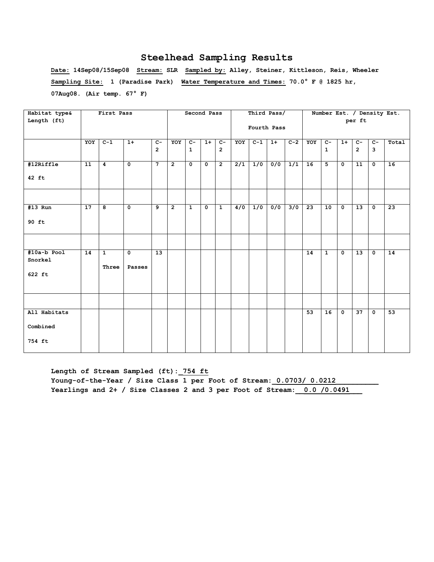**Date: 14Sep08/15Sep08 Stream: SLR Sampled by: Alley, Steiner, Kittleson, Reis, Wheeler Sampling Site: 1 (Paradise Park) Water Temperature and Times: 70.0° F @ 1825 hr, 07Aug08. (Air temp. 67° F)** 

| Habitat type&          |                 | First Pass     |                         |                 |                | Second Pass          |                         |                |                  |       | Third Pass/      |                  |     |                |                |                 |                         | Number Est. / Density Est. |
|------------------------|-----------------|----------------|-------------------------|-----------------|----------------|----------------------|-------------------------|----------------|------------------|-------|------------------|------------------|-----|----------------|----------------|-----------------|-------------------------|----------------------------|
| Length (ft)            |                 |                |                         |                 |                |                      |                         |                |                  |       | Fourth Pass      |                  |     |                |                | per ft          |                         |                            |
|                        | YOY             | $C-1$          | $1+$                    | $c-$            | YOY            | $c-$                 | $1+$                    | $C-$           | YOY              | $C-1$ | $1+$             | $C-2$            | YOY | $c-$           | $1+$           | $c-$            | $c-$                    | Total                      |
|                        |                 |                |                         | $\overline{2}$  |                | $\mathbf{1}$         |                         | $\overline{2}$ |                  |       |                  |                  |     | $\mathbf{1}$   |                | $\overline{2}$  | 3                       |                            |
| #12Riffle              | $\overline{11}$ | $\overline{4}$ | $\overline{\mathbf{0}}$ | $\overline{7}$  | $\overline{2}$ | $\overline{\bullet}$ | $\overline{\mathbf{0}}$ | $\overline{2}$ | $\overline{2/1}$ | 1/0   | $\overline{0/0}$ | $\overline{1/1}$ | 16  | $\overline{5}$ | $\overline{0}$ | $\overline{11}$ | $\overline{\mathbf{0}}$ | 16                         |
| $42$ ft                |                 |                |                         |                 |                |                      |                         |                |                  |       |                  |                  |     |                |                |                 |                         |                            |
|                        |                 |                |                         |                 |                |                      |                         |                |                  |       |                  |                  |     |                |                |                 |                         |                            |
| #13 Run                | 17              | 8              | $\mathbf 0$             | 9               | $\overline{2}$ | $\mathbf{1}$         | 0                       | $\mathbf{1}$   | 4/0              | 1/0   | 0/0              | 3/0              | 23  | 10             | $\mathbf 0$    | 13              | $\mathbf{o}$            | 23                         |
| 90 ft                  |                 |                |                         |                 |                |                      |                         |                |                  |       |                  |                  |     |                |                |                 |                         |                            |
|                        |                 |                |                         |                 |                |                      |                         |                |                  |       |                  |                  |     |                |                |                 |                         |                            |
| #10a-b Pool<br>Snorkel | $\overline{14}$ | $\mathbf{1}$   | $\overline{\mathbf{0}}$ | $\overline{13}$ |                |                      |                         |                |                  |       |                  |                  | 14  | $\mathbf{1}$   | $\mathbf 0$    | $\overline{13}$ | $\mathbf 0$             | $\overline{14}$            |
| 622 ft                 |                 | Three          | Passes                  |                 |                |                      |                         |                |                  |       |                  |                  |     |                |                |                 |                         |                            |
|                        |                 |                |                         |                 |                |                      |                         |                |                  |       |                  |                  |     |                |                |                 |                         |                            |
| All Habitats           |                 |                |                         |                 |                |                      |                         |                |                  |       |                  |                  | 53  | 16             | $\mathbf 0$    | 37              | $\mathbf 0$             | $\overline{53}$            |
| Combined               |                 |                |                         |                 |                |                      |                         |                |                  |       |                  |                  |     |                |                |                 |                         |                            |
| 754 ft                 |                 |                |                         |                 |                |                      |                         |                |                  |       |                  |                  |     |                |                |                 |                         |                            |

**Length of Stream Sampled (ft):\_754 ft** Young-of-the-Year / Size Class 1 per Foot of Stream: 0.0703/ 0.0212 Yearlings and 2+ / Size Classes 2 and 3 per Foot of Stream: 0.0 /0.0491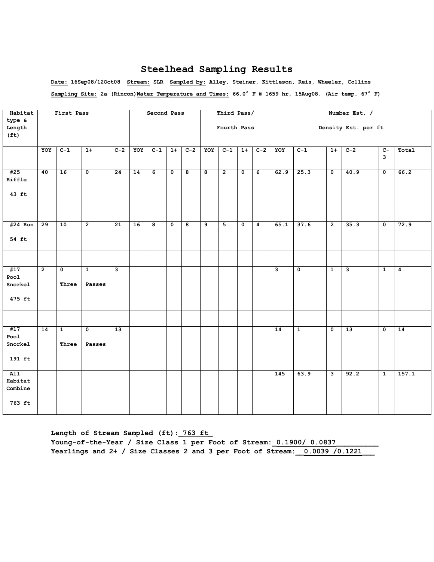**Date: 16Sep08/12Oct08 Stream: SLR Sampled by: Alley, Steiner, Kittleson, Reis, Wheeler, Collins Sampling Site: 2a (Rincon)Water Temperature and Times: 66.0° F @ 1659 hr, 15Aug08. (Air temp. 67° F)** 

| Habitat                               |                 | First Pass            |                         |       |     | Second Pass    |                         |       |                         | Third Pass/    |                           |                  |      |              |                         | Number Est. /       |                     |                 |
|---------------------------------------|-----------------|-----------------------|-------------------------|-------|-----|----------------|-------------------------|-------|-------------------------|----------------|---------------------------|------------------|------|--------------|-------------------------|---------------------|---------------------|-----------------|
| type &<br>Length<br>(f <sub>t</sub> ) |                 |                       |                         |       |     |                |                         |       |                         | Fourth Pass    |                           |                  |      |              |                         | Density Est. per ft |                     |                 |
|                                       | YOY             | $C-1$                 | $1+$                    | $C-2$ | YOY | $C-1$          | $1+$                    | $C-2$ | YOY                     | $C-1$          | $1+$                      | $C-2$            | YOY  | $C-1$        | $1+$                    | $C-2$               | $\overline{C}$<br>3 | Total           |
| #25<br>Riffle                         | 40              | 16                    | $\overline{\mathbf{0}}$ | 24    | 14  | $\overline{6}$ | $\overline{\mathbf{0}}$ | ø     | $\overline{\mathbf{8}}$ | $\overline{2}$ | $\overline{\mathfrak{o}}$ | $\overline{6}$   | 62.9 | 25.3         | $\overline{\mathbf{0}}$ | 40.9                | $\overline{0}$      | 66.2            |
| 43 ft                                 |                 |                       |                         |       |     |                |                         |       |                         |                |                           |                  |      |              |                         |                     |                     |                 |
|                                       |                 |                       |                         |       |     |                |                         |       |                         |                |                           |                  |      |              |                         |                     |                     |                 |
| $#24$ Run                             | 29              | 10                    | $\overline{2}$          | 21    | 16  | 8              | 0                       | 8     | 9                       | 5              | $\mathbf 0$               | $\boldsymbol{4}$ | 65.1 | 37.6         | $\overline{2}$          | 35.3                | $\mathsf{o}$        | 72.9            |
| 54 ft                                 |                 |                       |                         |       |     |                |                         |       |                         |                |                           |                  |      |              |                         |                     |                     |                 |
|                                       |                 |                       |                         |       |     |                |                         |       |                         |                |                           |                  |      |              |                         |                     |                     |                 |
| #17<br>Pool<br>Snorkel                | $\overline{2}$  | 0<br>Three            | $\mathbf{1}$<br>Passes  | З     |     |                |                         |       |                         |                |                           |                  | 3    | 0            | $\mathbf{1}$            | 3                   | $\mathbf{1}$        | 4               |
| 475 ft                                |                 |                       |                         |       |     |                |                         |       |                         |                |                           |                  |      |              |                         |                     |                     |                 |
|                                       |                 |                       |                         |       |     |                |                         |       |                         |                |                           |                  |      |              |                         |                     |                     |                 |
| #17<br>Pool<br>Snorkel                | $\overline{14}$ | $\mathbf{1}$<br>Three | $\mathbf 0$<br>Passes   | 13    |     |                |                         |       |                         |                |                           |                  | 14   | $\mathbf{1}$ | $\mathbf 0$             | 13                  | $\mathbf 0$         | $\overline{14}$ |
| 191 ft                                |                 |                       |                         |       |     |                |                         |       |                         |                |                           |                  |      |              |                         |                     |                     |                 |
| AI1<br>Habitat<br>Combine<br>763 ft   |                 |                       |                         |       |     |                |                         |       |                         |                |                           |                  | 145  | 63.9         | نا                      | 92.2                | $\mathbf{1}$        | 157.1           |
|                                       |                 |                       |                         |       |     |                |                         |       |                         |                |                           |                  |      |              |                         |                     |                     |                 |

**Length of Stream Sampled (ft):\_763 ft\_** Young-of-the-Year / Size Class 1 per Foot of Stream: 0.1900/ 0.0837 **Yearlings and 2+ / Size Classes 2 and 3 per Foot of Stream:\_\_0.0039 /0.1221\_\_\_**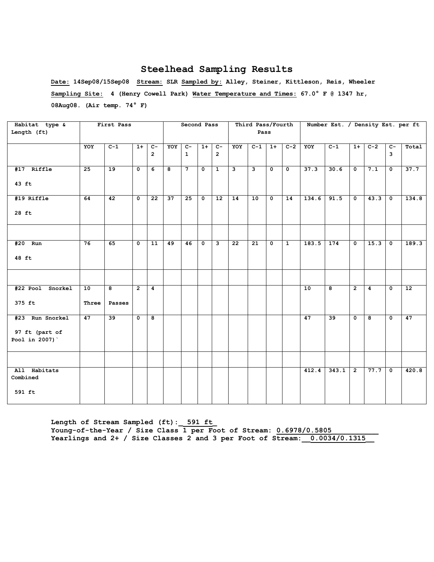**Date: 14Sep08/15Sep08 Stream: SLR Sampled by: Alley, Steiner, Kittleson, Reis, Wheeler Sampling Site: 4 (Henry Cowell Park) Water Temperature and Times: 67.0° F @ 1347 hr, 08Aug08. (Air temp. 74° F)** 

| Habitat type &           |                 | First Pass              |                |                         |     | Second Pass    |              |                         |                         | Third Pass/Fourth       |             |                      |       | Number Est. / Density Est. per ft |                |                |                         |       |
|--------------------------|-----------------|-------------------------|----------------|-------------------------|-----|----------------|--------------|-------------------------|-------------------------|-------------------------|-------------|----------------------|-------|-----------------------------------|----------------|----------------|-------------------------|-------|
| Length (ft)              |                 |                         |                |                         |     |                |              |                         |                         | Pass                    |             |                      |       |                                   |                |                |                         |       |
|                          |                 |                         |                |                         |     |                |              |                         |                         |                         |             |                      |       |                                   |                |                |                         |       |
|                          | YOY             | $C-1$                   | $1+$           | $\overline{c}$          | YOY | $c-$           | $1+$         | $\overline{C}$          | YOY                     | $\overline{C-1}$        | $1+$        | $C-2$                | YOY   | $C-1$                             | $1+$           | $C-2$          | $C -$                   | Total |
|                          |                 |                         |                | $\overline{2}$          |     | $\mathbf{1}$   |              | $\overline{2}$          |                         |                         |             |                      |       |                                   |                |                | 3                       |       |
| #17 Riffle               | $\overline{25}$ | 19                      | $\mathbf 0$    | 6                       | 8   | $\overline{7}$ | $\mathbf{0}$ | $\overline{1}$          | $\overline{\mathbf{3}}$ | $\overline{\mathbf{a}}$ | $\mathbf 0$ | $\overline{\bullet}$ | 37.3  | 30.6                              | $\mathbf{o}$   | 7.1            | $\mathbf{0}$            | 37.7  |
| 43 ft                    |                 |                         |                |                         |     |                |              |                         |                         |                         |             |                      |       |                                   |                |                |                         |       |
| #19 Riffle               | 64              | $\overline{42}$         | $\mathbf 0$    | 22                      | 37  | 25             | $\mathbf{0}$ | $\overline{12}$         | 14                      | 10                      | $\mathbf 0$ | 14                   | 134.6 | 91.5                              | $\mathbf{o}$   | $43.3$ 0       |                         | 134.8 |
| 28 ft                    |                 |                         |                |                         |     |                |              |                         |                         |                         |             |                      |       |                                   |                |                |                         |       |
|                          |                 |                         |                |                         |     |                |              |                         |                         |                         |             |                      |       |                                   |                |                |                         |       |
| #20 Run                  | 76              | 65                      | 0              | 11                      | 49  | 46             | $\mathbf{0}$ | $\overline{\mathbf{3}}$ | $\overline{22}$         | 21                      | $\mathbf 0$ | $\mathbf{1}$         | 183.5 | $\overline{174}$                  | 0              | 15.3           | $\overline{\mathbf{0}}$ | 189.3 |
| 48 ft                    |                 |                         |                |                         |     |                |              |                         |                         |                         |             |                      |       |                                   |                |                |                         |       |
|                          |                 |                         |                |                         |     |                |              |                         |                         |                         |             |                      |       |                                   |                |                |                         |       |
| #22 Pool Snorkel         | 10              | $\overline{\mathbf{8}}$ | $\overline{2}$ | $\overline{4}$          |     |                |              |                         |                         |                         |             |                      | 10    | $\overline{8}$                    | $\overline{2}$ | $\overline{4}$ | $\overline{\mathbf{0}}$ | 12    |
| 375 ft                   | Three           | Passes                  |                |                         |     |                |              |                         |                         |                         |             |                      |       |                                   |                |                |                         |       |
| #23 Run Snorkel          | 47              | 39                      | $\overline{0}$ | $\overline{\mathbf{8}}$ |     |                |              |                         |                         |                         |             |                      | 47    | $\overline{39}$                   | $\overline{0}$ | 8              | $\overline{0}$          | 47    |
| 97 ft (part of           |                 |                         |                |                         |     |                |              |                         |                         |                         |             |                      |       |                                   |                |                |                         |       |
| Pool in 2007)            |                 |                         |                |                         |     |                |              |                         |                         |                         |             |                      |       |                                   |                |                |                         |       |
|                          |                 |                         |                |                         |     |                |              |                         |                         |                         |             |                      |       |                                   |                |                |                         |       |
| All Habitats<br>Combined |                 |                         |                |                         |     |                |              |                         |                         |                         |             |                      | 412.4 | 343.1                             | $\overline{2}$ | 77.7           | $\mathbf 0$             | 420.8 |
| 591 ft                   |                 |                         |                |                         |     |                |              |                         |                         |                         |             |                      |       |                                   |                |                |                         |       |

**Length of Stream Sampled (ft):\_ 591 ft\_ Young-of-the-Year / Size Class 1 per Foot of Stream: 0.6978/0.5805\_\_\_\_\_\_\_\_\_\_\_** Yearlings and 2+ / Size Classes 2 and 3 per Foot of Stream: 0.0034/0.1315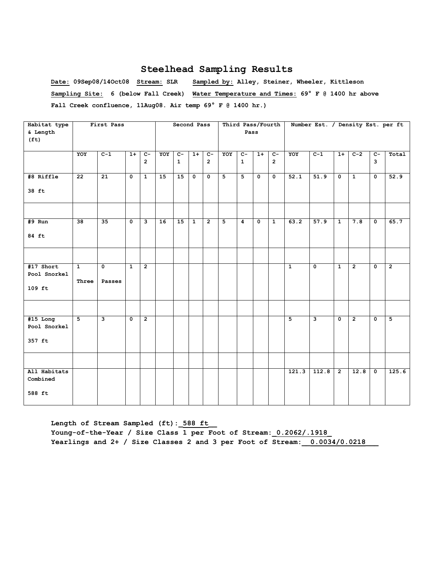**Date: 09Sep08/14Oct08 Stream: SLR Sampled by: Alley, Steiner, Wheeler, Kittleson Sampling Site: 6 (below Fall Creek) Water Temperature and Times: 69° F @ 1400 hr above Fall Creek confluence, 11Aug08. Air temp 69° F @ 1400 hr.)**

| Habitat type      |                 | First Pass     |              |                         |     | Second Pass    |                |                         |                |                |                           | Third Pass/Fourth       |                    | Number Est. / Density Est. per ft |                |                |                         |                |
|-------------------|-----------------|----------------|--------------|-------------------------|-----|----------------|----------------|-------------------------|----------------|----------------|---------------------------|-------------------------|--------------------|-----------------------------------|----------------|----------------|-------------------------|----------------|
| & Length          |                 |                |              |                         |     |                |                |                         |                | Pass           |                           |                         |                    |                                   |                |                |                         |                |
| (f <sub>t</sub> ) |                 |                |              |                         |     |                |                |                         |                |                |                           |                         |                    |                                   |                |                |                         |                |
|                   | YOY             | $C-1$          | $1+$         | $\overline{c}$          | YOY | $\overline{c}$ | $1+$           | $c-$                    | YOY            | $\overline{c}$ | $1+$                      | $c-$                    | YOY                | $C-1$                             | $1+$           | $C-2$          | $c-$                    | Total          |
|                   |                 |                |              | $2^{\circ}$             |     | $\mathbf{1}$   |                | $\overline{2}$          |                | $\mathbf{1}$   |                           | $\overline{2}$          |                    |                                   |                |                | 3                       |                |
|                   |                 |                |              |                         |     |                |                |                         |                |                |                           |                         |                    |                                   |                |                |                         |                |
| #8 Riffle         | $\overline{22}$ | 21             | 0            | $\overline{1}$          | 15  | 15             | $\mathbf 0$    | $\overline{\mathbf{0}}$ | $\overline{5}$ | 5              | $\overline{\bullet}$      | $\overline{\mathbf{0}}$ | 52.1               | 51.9                              | $\mathbf 0$    | $\overline{1}$ | $\overline{\mathbf{0}}$ | 52.9           |
| 38 ft             |                 |                |              |                         |     |                |                |                         |                |                |                           |                         |                    |                                   |                |                |                         |                |
|                   |                 |                |              |                         |     |                |                |                         |                |                |                           |                         |                    |                                   |                |                |                         |                |
|                   |                 |                |              |                         |     |                |                |                         |                |                |                           |                         |                    |                                   |                |                |                         |                |
| $#9$ Run          | 38              | 35             | 0            | $\overline{\mathbf{3}}$ | 16  | 15             | $\overline{1}$ | $\overline{2}$          | $\overline{5}$ | $\overline{4}$ | $\overline{\mathfrak{o}}$ | $\overline{1}$          | 63.2               | 57.9                              | $\overline{1}$ | 7.8            | 0                       | 65.7           |
| 84 ft             |                 |                |              |                         |     |                |                |                         |                |                |                           |                         |                    |                                   |                |                |                         |                |
|                   |                 |                |              |                         |     |                |                |                         |                |                |                           |                         |                    |                                   |                |                |                         |                |
| #17 Short         | $\mathbf{1}$    | $\mathbf{0}$   | $\mathbf{1}$ | $\overline{2}$          |     |                |                |                         |                |                |                           |                         | $\mathbf{1}$       | $\mathbf 0$                       | $\mathbf{1}$   | $\overline{2}$ | $\mathbf 0$             | $\overline{2}$ |
| Pool Snorkel      | Three           | Passes         |              |                         |     |                |                |                         |                |                |                           |                         |                    |                                   |                |                |                         |                |
| $109$ ft          |                 |                |              |                         |     |                |                |                         |                |                |                           |                         |                    |                                   |                |                |                         |                |
|                   |                 |                |              |                         |     |                |                |                         |                |                |                           |                         |                    |                                   |                |                |                         |                |
| $#15$ Long        | 5               | $\overline{3}$ | 0            | $\overline{2}$          |     |                |                |                         |                |                |                           |                         | 5                  | 3                                 | 0              | $\overline{2}$ | 0                       | 5              |
| Pool Snorkel      |                 |                |              |                         |     |                |                |                         |                |                |                           |                         |                    |                                   |                |                |                         |                |
| 357 ft            |                 |                |              |                         |     |                |                |                         |                |                |                           |                         |                    |                                   |                |                |                         |                |
|                   |                 |                |              |                         |     |                |                |                         |                |                |                           |                         |                    |                                   |                |                |                         |                |
| All Habitats      |                 |                |              |                         |     |                |                |                         |                |                |                           |                         | $\overline{1}21.3$ | 112.8                             | $\overline{2}$ | 12.8           | $\mathbf 0$             | 125.6          |
| Combined          |                 |                |              |                         |     |                |                |                         |                |                |                           |                         |                    |                                   |                |                |                         |                |
| 588 ft            |                 |                |              |                         |     |                |                |                         |                |                |                           |                         |                    |                                   |                |                |                         |                |

**Length of Stream Sampled (ft):\_588 ft\_\_ Young-of-the-Year / Size Class 1 per Foot of Stream:\_0.2062/.1918\_ Yearlings and 2+ / Size Classes 2 and 3 per Foot of Stream:\_\_0.0034/0.0218\_\_\_**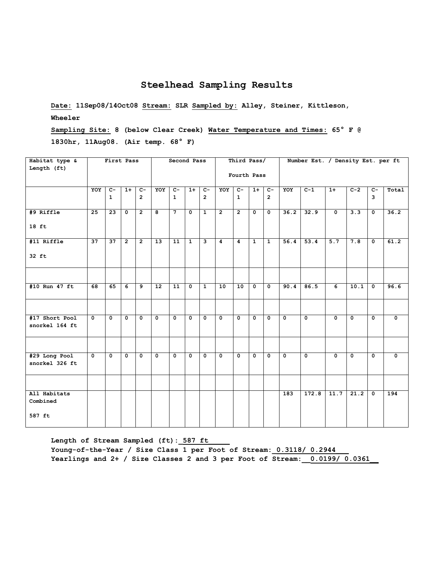**Date: 11Sep08/14Oct08 Stream: SLR Sampled by: Alley, Steiner, Kittleson, Wheeler**

**Sampling Site: 8 (below Clear Creek) Water Temperature and Times: 65° F @ 1830hr, 11Aug08. (Air temp. 68° F)**

| Habitat type &<br>Length (ft)      |                      | First Pass           |                |                        |                 | Second Pass          |                |                         |                | Third Pass/          |                |                        |                         | Number Est. / Density Est. per ft |                |                         |                      |                           |
|------------------------------------|----------------------|----------------------|----------------|------------------------|-----------------|----------------------|----------------|-------------------------|----------------|----------------------|----------------|------------------------|-------------------------|-----------------------------------|----------------|-------------------------|----------------------|---------------------------|
|                                    |                      |                      |                |                        |                 |                      |                |                         |                | Fourth Pass          |                |                        |                         |                                   |                |                         |                      |                           |
|                                    | YOY                  | $c-$<br>$\mathbf{1}$ | $1+$           | $c-$<br>$\overline{2}$ | YOY             | $c-$<br>$\mathbf{1}$ | $1+$           | $c-$<br>$\overline{2}$  | YOY            | $c-$<br>$\mathbf{1}$ | $1+$           | $C-$<br>$\overline{2}$ | YOY                     | $C-1$                             | $1+$           | $C-2$                   | $C-$<br>$\mathbf{3}$ | Total                     |
| #9 Riffle                          | 25                   | $\overline{23}$      | $\mathbf{0}$   | $\overline{2}$         | 8               | $\overline{7}$       | $\mathbf 0$    | $\mathbf{1}$            | $\overline{2}$ | $\overline{2}$       | $\mathbf{0}$   | $\mathbf{0}$           | 36.2                    | 32.9                              | $\overline{0}$ | 3.3                     | $\mathbf 0$          | 36.2                      |
| $18$ ft                            |                      |                      |                |                        |                 |                      |                |                         |                |                      |                |                        |                         |                                   |                |                         |                      |                           |
| #11 Riffle                         | 37                   | $\overline{37}$      | $\overline{2}$ | $\overline{2}$         | $\overline{13}$ | $\overline{11}$      | $\overline{1}$ | $\overline{\mathbf{3}}$ | $\overline{4}$ | $\overline{4}$       | $\overline{1}$ | $\overline{1}$         | 56.4                    | 53.4                              | 5.7            | 7.8                     | $\overline{0}$       | 61.2                      |
| 32 ft                              |                      |                      |                |                        |                 |                      |                |                         |                |                      |                |                        |                         |                                   |                |                         |                      |                           |
| #10 Run 47 ft                      | 68                   | 65                   | 6              | 9                      | 12              | 11                   | $\mathbf 0$    | $\mathbf{1}$            | 10             | 10                   | $\mathbf{0}$   | $\mathbf{0}$           | 90.4                    | 86.5                              | 6              | 10.1                    | $\mathbf 0$          | 96.6                      |
| #17 Short Pool<br>snorkel 164 ft   | $\overline{0}$       | $\overline{0}$       | $\mathbf{0}$   | $\overline{0}$         | $\mathbf{0}$    | $\overline{0}$       | $\overline{0}$ | $\overline{0}$          | $\overline{0}$ | $\mathbf{0}$         | $\overline{0}$ | $\overline{0}$         | $\overline{0}$          | $\overline{0}$                    | $\overline{0}$ | $\overline{\mathbf{0}}$ | $\overline{0}$       | $\overline{\mathfrak{o}}$ |
|                                    |                      |                      |                |                        |                 |                      |                |                         |                |                      |                |                        |                         |                                   |                |                         |                      |                           |
| #29 Long Pool<br>snorkel 326 ft    | $\overline{\bullet}$ | $\overline{0}$       | $\Omega$       | $\overline{0}$         | $\overline{0}$  | $\mathbf{0}$         | $\overline{0}$ | $\mathbf 0$             | $\overline{0}$ | $\mathbf{0}$         | $\overline{0}$ | $\overline{0}$         | $\overline{\mathbf{0}}$ | $\overline{0}$                    | $\overline{0}$ | $\overline{\mathbf{0}}$ | $\overline{0}$       | $\overline{\mathbf{0}}$   |
|                                    |                      |                      |                |                        |                 |                      |                |                         |                |                      |                |                        |                         |                                   |                |                         |                      |                           |
| All Habitats<br>Combined<br>587 ft |                      |                      |                |                        |                 |                      |                |                         |                |                      |                |                        | 183                     | 172.8                             | 11.7           | 21.2                    | $\mathbf 0$          | 194                       |
|                                    |                      |                      |                |                        |                 |                      |                |                         |                |                      |                |                        |                         |                                   |                |                         |                      |                           |

Length of Stream Sampled (ft): 587 ft Young-of-the-Year / Size Class 1 per Foot of Stream: 0.3118/ 0.2944 **Yearlings and 2+ / Size Classes 2 and 3 per Foot of Stream:\_\_0.0199/ 0.0361\_\_**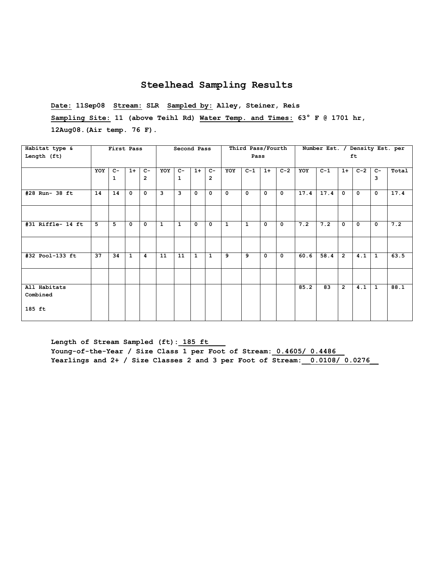**Date: 11Sep08 Stream: SLR Sampled by: Alley, Steiner, Reis Sampling Site: 11 (above Teihl Rd) Water Temp. and Times: 63° F @ 1701 hr, 12Aug08.(Air temp. 76 F).**

| Habitat type &           |     | First Pass   |              |                |              | Second Pass             |              |                |              | Third Pass/Fourth |             |              |      | Number Est. / Density Est. per |                |              |              |       |
|--------------------------|-----|--------------|--------------|----------------|--------------|-------------------------|--------------|----------------|--------------|-------------------|-------------|--------------|------|--------------------------------|----------------|--------------|--------------|-------|
| Length (ft)              |     |              |              |                |              |                         |              |                |              | Pass              |             |              |      |                                |                | ft.          |              |       |
|                          | YOY | $C-$         | $1+$         | $C -$          | YOY          | $c-$                    | $1+$         | $C-$           | <b>YOY</b>   | $C-1$             | $1+$        | $C-2$        | YOY  | $C-1$                          | $1+$           | $C-2$        | $C-$         | Total |
|                          |     | $\mathbf{1}$ |              | $\overline{2}$ |              | $\mathbf{1}$            |              | $\overline{2}$ |              |                   |             |              |      |                                |                |              | 3            |       |
| #28 Run- 38 ft           | 14  | 14           | $\mathbf 0$  | $\mathbf{0}$   | 3            | $\overline{\mathbf{3}}$ | $\mathbf{0}$ | $\mathbf 0$    | $\mathbf{0}$ | 0                 | $\Omega$    | $\mathbf{0}$ | 17.4 | 17.4                           | $\mathbf{o}$   | $\mathbf{0}$ | $\mathbf 0$  | 17.4  |
|                          |     |              |              |                |              |                         |              |                |              |                   |             |              |      |                                |                |              |              |       |
| #31 Riffle- 14 ft        | 5   | 5            | 0            | $\mathbf{0}$   | $\mathbf{1}$ | $\mathbf{1}$            | $\mathbf{0}$ | $\mathbf{0}$   | $\mathbf{1}$ | $\mathbf{1}$      | $\mathbf 0$ | $\mathbf{0}$ | 7.2  | 7.2                            | 0              | $\mathbf{0}$ | $\mathbf{0}$ | 7.2   |
|                          |     |              |              |                |              |                         |              |                |              |                   |             |              |      |                                |                |              |              |       |
| #32 Pool-133 ft          | 37  | 34           | $\mathbf{1}$ | 4              | 11           | 11                      | $\mathbf{1}$ | $\mathbf{1}$   | 9            | 9                 | $\mathbf 0$ | $\mathbf{0}$ | 60.6 | 58.4                           | $\overline{2}$ | 4.1          | $\mathbf{1}$ | 63.5  |
|                          |     |              |              |                |              |                         |              |                |              |                   |             |              |      |                                |                |              |              |       |
| All Habitats<br>Combined |     |              |              |                |              |                         |              |                |              |                   |             |              | 85.2 | 83                             | $\overline{2}$ | 4.1          | $\mathbf{1}$ | 88.1  |
| 185 ft                   |     |              |              |                |              |                         |              |                |              |                   |             |              |      |                                |                |              |              |       |

Length of Stream Sampled (ft): 185 ft Young-of-the-Year / Size Class 1 per Foot of Stream: 0.4605/ 0.4486 **Yearlings and 2+ / Size Classes 2 and 3 per Foot of Stream:\_\_0.0108/ 0.0276\_\_**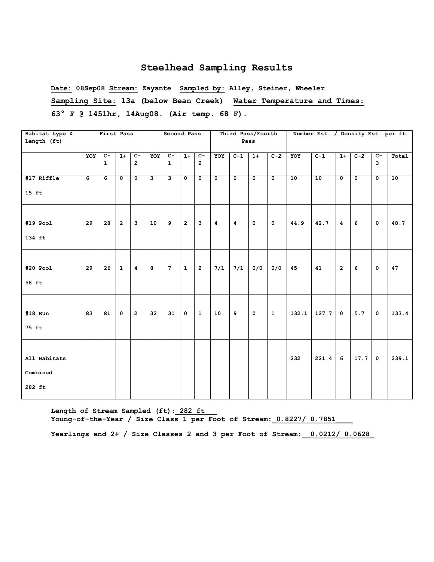**Date: 08Sep08 Stream: Zayante Sampled by: Alley, Steiner, Wheeler Sampling Site: 13a (below Bean Creek) Water Temperature and Times: 63° F @ 1451hr, 14Aug08. (Air temp. 68 F).**

| Habitat type &                     |                 | First Pass            |                |                                  |                         | Second Pass                    |                |                                  |                         |                      | Third Pass/Fourth |                         |       | Number Est. / Density Est. per ft |                |                      |                                           |       |
|------------------------------------|-----------------|-----------------------|----------------|----------------------------------|-------------------------|--------------------------------|----------------|----------------------------------|-------------------------|----------------------|-------------------|-------------------------|-------|-----------------------------------|----------------|----------------------|-------------------------------------------|-------|
| Length (ft)                        |                 |                       |                |                                  |                         |                                |                |                                  |                         |                      | Pass              |                         |       |                                   |                |                      |                                           |       |
|                                    | YOY             | $C -$<br>$\mathbf{1}$ | $1+$           | $\overline{c}$<br>$\overline{2}$ | YOY                     | $\overline{c}$<br>$\mathbf{1}$ | $1+$           | $\overline{c}$<br>$\overline{2}$ | YOY                     | $C-1$                | $1+$              | $C-2$                   | YOY   | $C-1$                             | $1+$           | $C-2$                | $\overline{c}$<br>$\overline{\mathbf{3}}$ | Total |
| #17 Riffle<br>$15$ ft              | $\overline{6}$  | $\overline{6}$        | $\Omega$       | $\overline{\bullet}$             | 3                       | э                              | $\mathbf 0$    | $\overline{\mathbf{0}}$          | $\overline{\mathbf{0}}$ | $\overline{\bullet}$ | $\mathbf 0$       | $\overline{\mathbf{0}}$ | 10    | 10                                | 0              | $\overline{\bullet}$ | $\overline{\mathbf{0}}$                   | 10    |
| $#19$ Pool                         | 29              | 28                    | $\overline{2}$ | $\mathbf{3}$                     | 10                      | 9                              | $\overline{2}$ | $\mathbf{3}$                     | $\overline{4}$          | $\overline{4}$       | $\mathbf 0$       | $\mathbf 0$             | 44.9  | 42.7                              | 4              | 6                    | $\mathbf 0$                               | 48.7  |
| 134 ft                             |                 |                       |                |                                  |                         |                                |                |                                  |                         |                      |                   |                         |       |                                   |                |                      |                                           |       |
|                                    |                 |                       |                |                                  |                         |                                |                |                                  |                         |                      |                   |                         |       |                                   |                |                      |                                           |       |
| $#20$ Pool<br>58 ft                | $\overline{29}$ | $\overline{26}$       | $\mathbf{1}$   | $\overline{4}$                   | $\overline{\mathbf{8}}$ | $\overline{7}$                 | $\mathbf{1}$   | $\overline{2}$                   | 7/1                     | $\overline{7/1}$     | $\overline{0/0}$  | $\overline{0/0}$        | 45    | $\overline{41}$                   | $\overline{2}$ | $\overline{6}$       | $\overline{\mathbf{0}}$                   | 47    |
|                                    |                 |                       |                |                                  |                         |                                |                |                                  |                         |                      |                   |                         |       |                                   |                |                      |                                           |       |
| $#18$ Run<br>75 ft                 | $\overline{83}$ | $\overline{81}$       | $\mathbf 0$    | $\overline{2}$                   | 32                      | $\overline{31}$                | $\mathbf 0$    | $\mathbf{1}$                     | 10                      | و                    | $\mathbf 0$       | $\mathbf{1}$            | 132.1 | 127.7                             | $\mathbf 0$    | 5.7                  | $\mathbf 0$                               | 133.4 |
|                                    |                 |                       |                |                                  |                         |                                |                |                                  |                         |                      |                   |                         |       |                                   |                |                      |                                           |       |
| All Habitats<br>Combined<br>282 ft |                 |                       |                |                                  |                         |                                |                |                                  |                         |                      |                   |                         | 232   | 221.4                             | 6              | 17.7                 | $\mathbf 0$                               | 239.1 |

Length of Stream Sampled (ft): 282 ft Young-of-the-Year / Size Class 1 per Foot of Stream: 0.8227/ 0.7851

**Yearlings and 2+ / Size Classes 2 and 3 per Foot of Stream:\_\_0.0212/ 0.0628\_**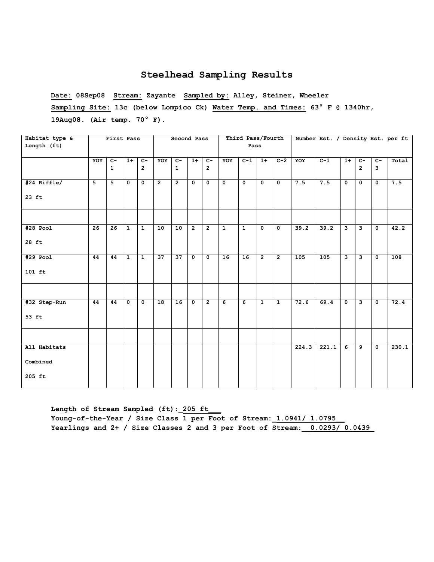**Date: 08Sep08 Stream: Zayante Sampled by: Alley, Steiner, Wheeler Sampling Site: 13c (below Lompico Ck) Water Temp. and Times: 63° F @ 1340hr, 19Aug08. (Air temp. 70° F).**

| Habitat type & |     | First Pass   |                |                |                | Second Pass    |                |                |                | Third Pass/Fourth |                         |                |       | Number Est. / Density Est. per ft |              |                         |                      |       |
|----------------|-----|--------------|----------------|----------------|----------------|----------------|----------------|----------------|----------------|-------------------|-------------------------|----------------|-------|-----------------------------------|--------------|-------------------------|----------------------|-------|
| Length (ft)    |     |              |                |                |                |                |                |                |                | Pass              |                         |                |       |                                   |              |                         |                      |       |
|                |     |              |                |                |                |                |                |                |                |                   |                         |                |       |                                   |              |                         |                      |       |
|                | YOY | $C -$        | $1+$           | $c-$           | YOY            | $C -$          | $1+$           | $\overline{c}$ | YOY            | $C-1$             | $1+$                    | $C-2$          | YOY   | $C-1$                             | $1+$         | $\overline{c}$          | $\overline{c}$       | Total |
|                |     | $\mathbf{1}$ |                | $\overline{2}$ |                | $\mathbf{1}$   |                | $\overline{2}$ |                |                   |                         |                |       |                                   |              | $\overline{2}$          | 3                    |       |
|                |     |              |                |                |                |                |                |                |                |                   |                         |                |       |                                   |              |                         |                      |       |
| #24 Riffle/    | 5   | 5            | $\mathbf 0$    | $\mathbf 0$    | $\overline{2}$ | $\overline{2}$ | $\mathbf{0}$   | $\mathbf{0}$   | $\mathbf{0}$   | $\mathbf 0$       | $\mathbf 0$             | $\mathbf 0$    | 7.5   | 7.5                               | $\mathbf 0$  | $\mathbf 0$             | $\mathbf{o}$         | 7.5   |
|                |     |              |                |                |                |                |                |                |                |                   |                         |                |       |                                   |              |                         |                      |       |
| $23$ ft        |     |              |                |                |                |                |                |                |                |                   |                         |                |       |                                   |              |                         |                      |       |
|                |     |              |                |                |                |                |                |                |                |                   |                         |                |       |                                   |              |                         |                      |       |
|                |     |              |                |                |                |                |                |                |                |                   |                         |                |       |                                   |              |                         |                      |       |
|                |     |              |                |                |                |                |                |                |                |                   |                         |                |       |                                   |              |                         |                      |       |
| $#28$ Pool     | 26  | 26           | $\overline{1}$ | $\overline{1}$ | 10             | 10             | $\overline{2}$ | $\overline{2}$ | $\overline{1}$ | $\overline{1}$    | $\overline{\mathbf{0}}$ | 0              | 39.2  | 39.2                              | ِ            | ى                       | $\overline{\bullet}$ | 42.2  |
|                |     |              |                |                |                |                |                |                |                |                   |                         |                |       |                                   |              |                         |                      |       |
| 28 ft          |     |              |                |                |                |                |                |                |                |                   |                         |                |       |                                   |              |                         |                      |       |
|                |     |              |                |                |                |                |                |                |                |                   |                         |                |       |                                   |              |                         |                      |       |
| #29 Pool       | 44  | 44           | $\mathbf{1}$   | $\mathbf{1}$   | 37             | 37             | $\mathbf{o}$   | $\mathbf 0$    | 16             | 16                | $\overline{2}$          | $\overline{2}$ | 105   | 105                               | $\mathbf{3}$ | $\overline{\mathbf{3}}$ | $\mathbf{o}$         | 108   |
|                |     |              |                |                |                |                |                |                |                |                   |                         |                |       |                                   |              |                         |                      |       |
| $101$ ft       |     |              |                |                |                |                |                |                |                |                   |                         |                |       |                                   |              |                         |                      |       |
|                |     |              |                |                |                |                |                |                |                |                   |                         |                |       |                                   |              |                         |                      |       |
|                |     |              |                |                |                |                |                |                |                |                   |                         |                |       |                                   |              |                         |                      |       |
|                |     |              |                |                |                |                |                |                |                |                   |                         |                |       |                                   |              |                         |                      |       |
| #32 Step-Run   | 44  | 44           | $\mathbf{o}$   | $\mathbf 0$    | 18             | 16             | $\mathbf{o}$   | $\overline{2}$ | 6              | 6                 | $\mathbf{1}$            | $\mathbf{1}$   | 72.6  | 69.4                              | $\mathbf{o}$ | $\mathbf{3}$            | $\mathbf 0$          | 72.4  |
|                |     |              |                |                |                |                |                |                |                |                   |                         |                |       |                                   |              |                         |                      |       |
| 53 ft          |     |              |                |                |                |                |                |                |                |                   |                         |                |       |                                   |              |                         |                      |       |
|                |     |              |                |                |                |                |                |                |                |                   |                         |                |       |                                   |              |                         |                      |       |
|                |     |              |                |                |                |                |                |                |                |                   |                         |                |       |                                   |              |                         |                      |       |
|                |     |              |                |                |                |                |                |                |                |                   |                         |                |       |                                   |              |                         |                      |       |
| All Habitats   |     |              |                |                |                |                |                |                |                |                   |                         |                | 224.3 | 221.1                             | 6            | 9                       | $\mathbf{0}$         | 230.1 |
|                |     |              |                |                |                |                |                |                |                |                   |                         |                |       |                                   |              |                         |                      |       |
| Combined       |     |              |                |                |                |                |                |                |                |                   |                         |                |       |                                   |              |                         |                      |       |
|                |     |              |                |                |                |                |                |                |                |                   |                         |                |       |                                   |              |                         |                      |       |
| 205 ft         |     |              |                |                |                |                |                |                |                |                   |                         |                |       |                                   |              |                         |                      |       |
|                |     |              |                |                |                |                |                |                |                |                   |                         |                |       |                                   |              |                         |                      |       |

Length of Stream Sampled (ft): 205 ft **Young-of-the-Year / Size Class 1 per Foot of Stream:\_1.0941/ 1.0795\_\_ Yearlings and 2+ / Size Classes 2 and 3 per Foot of Stream:\_\_0.0293/ 0.0439\_**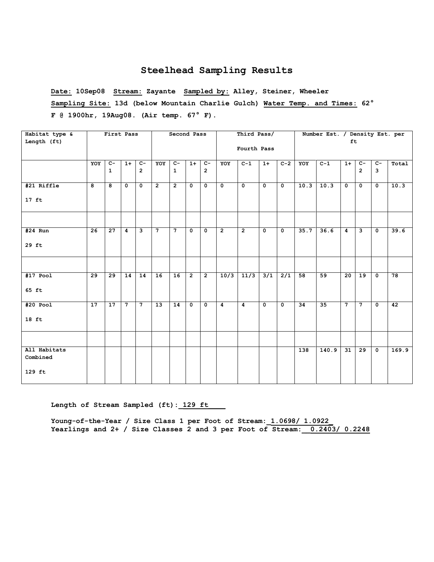**Date: 10Sep08 Stream: Zayante Sampled by: Alley, Steiner, Wheeler Sampling Site: 13d (below Mountain Charlie Gulch) Water Temp. and Times: 62° F @ 1900hr, 19Aug08. (Air temp. 67° F).**

| Habitat type &           |                 | First Pass      |                |                |                | Second Pass     |                |                         |                | Third Pass/             |                         |                         |                  | Number Est. / Density Est. per |                 |                 |                |       |
|--------------------------|-----------------|-----------------|----------------|----------------|----------------|-----------------|----------------|-------------------------|----------------|-------------------------|-------------------------|-------------------------|------------------|--------------------------------|-----------------|-----------------|----------------|-------|
| Length (ft)              |                 |                 |                |                |                |                 |                |                         |                |                         |                         |                         |                  |                                | ft              |                 |                |       |
|                          |                 |                 |                |                |                |                 |                |                         |                | Fourth Pass             |                         |                         |                  |                                |                 |                 |                |       |
|                          | YOY             | $C-$            | $1+$           | $C -$          | YOY            | $C-$            | $1+$           | $C-$                    | YOY            | $C-1$                   | $1+$                    | $C-2$                   | YOY              | $C-1$                          | $1+$            | $C -$           | $C -$          | Total |
|                          |                 | $\mathbf{1}$    |                | $\overline{2}$ |                | $\mathbf{1}$    |                | $\overline{2}$          |                |                         |                         |                         |                  |                                |                 | $\overline{2}$  | 3              |       |
| #21 Riffle               | 8               | 8               | $\mathbf{0}$   | $\mathbf{0}$   | $\overline{2}$ | $\overline{2}$  | $\mathbf{0}$   | $\mathbf{0}$            | $\mathbf{o}$   | $\overline{\mathbf{0}}$ | $\overline{0}$          | $\overline{\bullet}$    | 10.3             | 10.3                           | $\mathbf{0}$    | $\mathbf 0$     | $\mathbf{0}$   | 10.3  |
| $17$ ft                  |                 |                 |                |                |                |                 |                |                         |                |                         |                         |                         |                  |                                |                 |                 |                |       |
|                          |                 |                 |                |                |                |                 |                |                         |                |                         |                         |                         |                  |                                |                 |                 |                |       |
| $#24$ Run                | 26              | 27              | 4              | 3              | $\overline{7}$ | $7\phantom{.0}$ | $\mathbf 0$    | $\mathbf 0$             | $\overline{2}$ | $\overline{2}$          | $\mathbf 0$             | $\mathbf 0$             | 35.7             | 36.6                           | $\overline{4}$  | $\mathbf{3}$    | $\mathbf 0$    | 39.6  |
| 29 ft                    |                 |                 |                |                |                |                 |                |                         |                |                         |                         |                         |                  |                                |                 |                 |                |       |
|                          |                 |                 |                |                |                |                 |                |                         |                |                         |                         |                         |                  |                                |                 |                 |                |       |
| $#17$ Pool               | 29              | 29              | 14             | 14             | 16             | 16              | $\overline{2}$ | $\overline{2}$          | 10/3           | 11/3                    | 3/1                     | $\overline{2/1}$        | 58               | 59                             | 20              | 19              | $\mathbf 0$    | 78    |
| 65 ft                    |                 |                 |                |                |                |                 |                |                         |                |                         |                         |                         |                  |                                |                 |                 |                |       |
| $#20$ Pool               | $\overline{17}$ | $\overline{17}$ | $\overline{7}$ | $\overline{7}$ | 13             | $\overline{14}$ | $\mathbf{0}$   | $\overline{\mathbf{0}}$ | $\overline{4}$ | 4                       | $\overline{\mathbf{0}}$ | $\overline{\mathbf{0}}$ | 34               | 35                             | $\overline{7}$  | $\overline{7}$  | $\overline{0}$ | 42    |
| $18$ ft                  |                 |                 |                |                |                |                 |                |                         |                |                         |                         |                         |                  |                                |                 |                 |                |       |
|                          |                 |                 |                |                |                |                 |                |                         |                |                         |                         |                         |                  |                                |                 |                 |                |       |
| All Habitats<br>Combined |                 |                 |                |                |                |                 |                |                         |                |                         |                         |                         | $\overline{138}$ | 140.9                          | $\overline{31}$ | $\overline{29}$ | $\mathbf 0$    | 169.9 |
| $129$ ft                 |                 |                 |                |                |                |                 |                |                         |                |                         |                         |                         |                  |                                |                 |                 |                |       |

Length of Stream Sampled (ft): 129 ft

**Young-of-the-Year / Size Class 1 per Foot of Stream:\_1.0698/ 1.0922\_ Yearlings and 2+ / Size Classes 2 and 3 per Foot of Stream:\_\_0.2403/ 0.2248**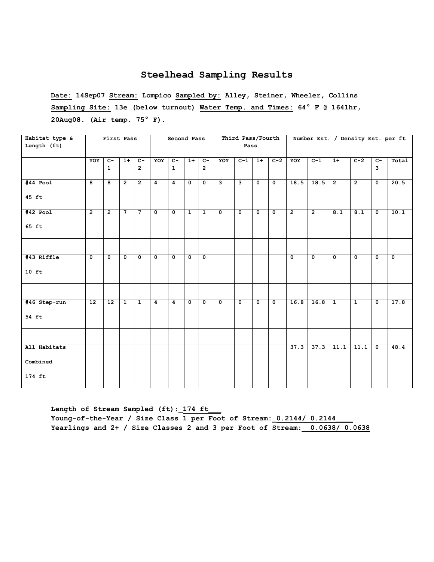**Date: 14Sep07 Stream: Lompico Sampled by: Alley, Steiner, Wheeler, Collins Sampling Site: 13e (below turnout) Water Temp. and Times: 64° F @ 1641hr, 20Aug08. (Air temp. 75° F).**

| Habitat type & |                 | First Pass     |                |                |                | Second Pass  |              |                |                         | Third Pass/Fourth       |              |                         |                |                |                | Number Est. / Density Est. per ft |                         |             |
|----------------|-----------------|----------------|----------------|----------------|----------------|--------------|--------------|----------------|-------------------------|-------------------------|--------------|-------------------------|----------------|----------------|----------------|-----------------------------------|-------------------------|-------------|
| Length (ft)    |                 |                |                |                |                |              |              |                |                         | Pass                    |              |                         |                |                |                |                                   |                         |             |
|                | YOY             | $C -$          | $1+$           | $\overline{c}$ | YOY            | $C -$        | $1+$         | $\overline{c}$ | YOY                     | $\overline{C-1}$        | $1+$         | $C-2$                   | YOY            | $C-1$          | $1+$           | $C-2$                             | $C -$                   | Total       |
|                |                 | $\mathbf{1}$   |                | $\overline{2}$ |                | $\mathbf{1}$ |              | $\overline{2}$ |                         |                         |              |                         |                |                |                |                                   | $\mathbf{3}$            |             |
| $#44$ Pool     | 8               | $\overline{8}$ | $\overline{2}$ | $\overline{2}$ | $\overline{4}$ | 4            | $\mathbf 0$  | $\mathbf 0$    | د                       | $\overline{\mathbf{3}}$ | $\mathbf 0$  | $\mathbf 0$             | 18.5           | 18.5           | $\overline{2}$ | $\overline{2}$                    | $\overline{\mathbf{0}}$ | 20.5        |
| 45 ft          |                 |                |                |                |                |              |              |                |                         |                         |              |                         |                |                |                |                                   |                         |             |
| $#42$ Pool     | $\overline{2}$  | $\overline{2}$ | $7^{\circ}$    | $\overline{7}$ | $\overline{0}$ | $\mathbf{o}$ | $\mathbf{1}$ | $\mathbf{1}$   | $\overline{\bullet}$    | $\overline{\mathbf{0}}$ | $\mathbf{0}$ | $\overline{0}$          | $\overline{2}$ | $\overline{2}$ | 8.1            | 8.1                               | $\overline{\bullet}$    | 10.1        |
| 65 ft          |                 |                |                |                |                |              |              |                |                         |                         |              |                         |                |                |                |                                   |                         |             |
|                |                 |                |                |                |                |              |              |                |                         |                         |              |                         |                |                |                |                                   |                         |             |
| #43 Riffle     | $\mathbf 0$     | $\mathbf 0$    | $\mathbf 0$    | $\mathbf 0$    | $\mathbf{0}$   | $\mathbf 0$  | $\mathbf 0$  | $\mathbf 0$    |                         |                         |              |                         | $\mathbf{o}$   | $\mathbf 0$    | $\mathbf 0$    | $\mathbf 0$                       | $\mathbf 0$             | $\mathbf 0$ |
| $10$ ft        |                 |                |                |                |                |              |              |                |                         |                         |              |                         |                |                |                |                                   |                         |             |
|                |                 |                |                |                |                |              |              |                |                         |                         |              |                         |                |                |                |                                   |                         |             |
| #46 Step-run   | $\overline{12}$ | 12             | $\mathbf{1}$   | $\mathbf{1}$   | $\overline{4}$ | 4            | $\mathbf 0$  | $\mathbf 0$    | $\overline{\mathbf{0}}$ | $\overline{\mathbf{0}}$ | $\mathbf 0$  | $\overline{\mathbf{0}}$ | 16.8           | 16.8           | $\overline{1}$ | $\overline{1}$                    | $\overline{\mathbf{0}}$ | 17.8        |
| 54 ft          |                 |                |                |                |                |              |              |                |                         |                         |              |                         |                |                |                |                                   |                         |             |
|                |                 |                |                |                |                |              |              |                |                         |                         |              |                         |                |                |                |                                   |                         |             |
| All Habitats   |                 |                |                |                |                |              |              |                |                         |                         |              |                         | 37.3           | 37.3           | 11.1           | 11.1                              | $\mathbf 0$             | 48.4        |
| Combined       |                 |                |                |                |                |              |              |                |                         |                         |              |                         |                |                |                |                                   |                         |             |
| 174 ft         |                 |                |                |                |                |              |              |                |                         |                         |              |                         |                |                |                |                                   |                         |             |

Length of Stream Sampled (ft): 174 ft Young-of-the-Year / Size Class 1 per Foot of Stream: 0.2144/ 0.2144 **Yearlings and 2+ / Size Classes 2 and 3 per Foot of Stream:\_\_0.0638/ 0.0638**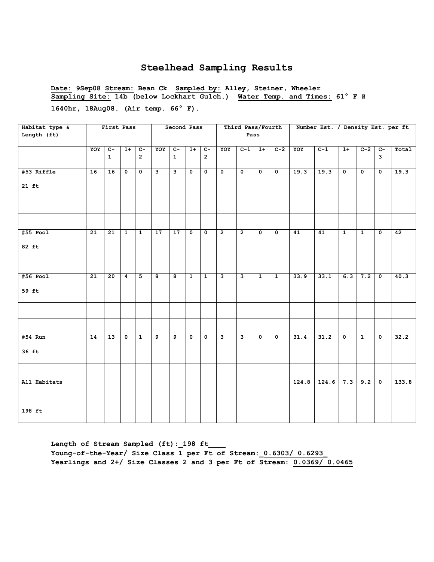**Date: 9Sep08 Stream: Bean Ck Sampled by: Alley, Steiner, Wheeler Sampling Site: 14b (below Lockhart Gulch.) Water Temp. and Times: 61° F @ 1640hr, 18Aug08. (Air temp. 66° F).**

| Habitat type & |                 | First Pass      |                         |                |     | Second Pass    |                         |                         |                         | Third Pass/Fourth       |                         |                         |       | Number Est. / Density Est. per ft |                         |                         |                         |       |
|----------------|-----------------|-----------------|-------------------------|----------------|-----|----------------|-------------------------|-------------------------|-------------------------|-------------------------|-------------------------|-------------------------|-------|-----------------------------------|-------------------------|-------------------------|-------------------------|-------|
| Length (ft)    |                 |                 |                         |                |     |                |                         |                         |                         | Pass                    |                         |                         |       |                                   |                         |                         |                         |       |
|                | YOY             | $\overline{c}$  | $1+$                    | $C-$           | YOY | $\overline{C}$ | $1+$                    | $C-$                    | YOY                     | $C-1$                   | $1+$                    | $C-2$                   | YOY   | $C-1$                             | $1+$                    | $C-2$                   | $c-$                    | Total |
|                |                 | $\mathbf 1$     |                         | $\overline{2}$ |     | $\mathbf{1}$   |                         | $\overline{2}$          |                         |                         |                         |                         |       |                                   |                         |                         | 3                       |       |
| #53 Riffle     | 16              | 16              | $\mathbf 0$             | 0              | ى   | و              | $\mathbf 0$             | $\overline{\mathbf{0}}$ | $\overline{\mathbf{0}}$ | $\overline{\mathbf{0}}$ | $\mathbf 0$             | $\overline{\mathbf{0}}$ | 19.3  | 19.3                              | $\overline{\mathbf{0}}$ | $\overline{\mathbf{0}}$ | $\overline{\mathbf{0}}$ | 19.3  |
| $21$ ft        |                 |                 |                         |                |     |                |                         |                         |                         |                         |                         |                         |       |                                   |                         |                         |                         |       |
|                |                 |                 |                         |                |     |                |                         |                         |                         |                         |                         |                         |       |                                   |                         |                         |                         |       |
|                |                 |                 |                         |                |     |                |                         |                         |                         |                         |                         |                         |       |                                   |                         |                         |                         |       |
| #55 Pool       | 21              | 21              | $\overline{1}$          | $\overline{1}$ | 17  | 17             | $\mathbf{o}$            | $\overline{\mathbf{0}}$ | $\overline{2}$          | $\overline{2}$          | $\mathbf 0$             | $\mathbf 0$             | 41    | 41                                | $\overline{1}$          | $\mathbf{1}$            | 0                       | 42    |
| 82 ft          |                 |                 |                         |                |     |                |                         |                         |                         |                         |                         |                         |       |                                   |                         |                         |                         |       |
| $#56$ Pool     | $\overline{21}$ | $\overline{20}$ | $\overline{4}$          | 5              | 8   | 8              | $\mathbf{1}$            | $\mathbf{1}$            | ن                       | 3                       | $\mathbf{1}$            | $\mathbf{1}$            | 33.9  | 33.1                              | 6.3                     | 7.2                     | $\mathbf 0$             | 40.3  |
| 59 ft          |                 |                 |                         |                |     |                |                         |                         |                         |                         |                         |                         |       |                                   |                         |                         |                         |       |
|                |                 |                 |                         |                |     |                |                         |                         |                         |                         |                         |                         |       |                                   |                         |                         |                         |       |
|                |                 |                 |                         |                |     |                |                         |                         |                         |                         |                         |                         |       |                                   |                         |                         |                         |       |
| $#54$ Run      | $\overline{14}$ | 13              | $\overline{\mathbf{0}}$ | $\overline{1}$ | 9   | $\overline{9}$ | $\overline{\mathbf{0}}$ | 0                       | ن                       | з                       | $\overline{\mathbf{0}}$ | $\overline{\mathbf{0}}$ | 31.4  | 31.2                              | $\overline{\mathbf{0}}$ | $\overline{1}$          | $\overline{\mathbf{0}}$ | 32.2  |
| 36 ft          |                 |                 |                         |                |     |                |                         |                         |                         |                         |                         |                         |       |                                   |                         |                         |                         |       |
|                |                 |                 |                         |                |     |                |                         |                         |                         |                         |                         |                         |       |                                   |                         |                         |                         |       |
| All Habitats   |                 |                 |                         |                |     |                |                         |                         |                         |                         |                         |                         | 124.8 | 124.6                             | 7.3                     | 9.2                     | $\overline{\bullet}$    | 133.8 |
| 198 ft         |                 |                 |                         |                |     |                |                         |                         |                         |                         |                         |                         |       |                                   |                         |                         |                         |       |

Length of Stream Sampled (ft): 198 ft **Young-of-the-Year/ Size Class 1 per Ft of Stream:\_0.6303/ 0.6293\_ Yearlings and 2+/ Size Classes 2 and 3 per Ft of Stream: 0.0369/ 0.0465**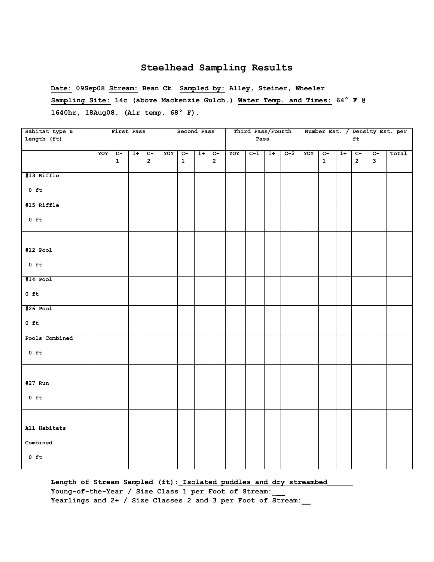**Date: 09Sep08 Stream: Bean Ck Sampled by: Alley, Steiner, Wheeler Sampling Site: 14c (above Mackenzie Gulch.) Water Temp. and Times: 64° F @ 1640hr, 18Aug08. (Air temp. 68° F).**

| Habitat type &<br>Length (ft) |     | First Pass           |      |                      |     | Second Pass          |         |             |     | Third Pass/Fourth<br>Pass |      |       |     |                      |      | ft                               |                      | Number Est. / Density Est. per |
|-------------------------------|-----|----------------------|------|----------------------|-----|----------------------|---------|-------------|-----|---------------------------|------|-------|-----|----------------------|------|----------------------------------|----------------------|--------------------------------|
|                               | YOY | $C-$<br>$\mathbf{1}$ | $1+$ | $C-$<br>$\mathbf{2}$ | YOY | $C-$<br>$\mathbf{1}$ | $1+$ C- | $2^{\circ}$ | YOY | $C-1$                     | $1+$ | $C-2$ | YOY | $C-$<br>$\mathbf{1}$ | $1+$ | $\overline{c}$<br>$\overline{2}$ | $C-$<br>$\mathbf{3}$ | Total                          |
| #13 Riffle                    |     |                      |      |                      |     |                      |         |             |     |                           |      |       |     |                      |      |                                  |                      |                                |
| $0$ ft                        |     |                      |      |                      |     |                      |         |             |     |                           |      |       |     |                      |      |                                  |                      |                                |
| #15 Riffle                    |     |                      |      |                      |     |                      |         |             |     |                           |      |       |     |                      |      |                                  |                      |                                |
| $0$ ft                        |     |                      |      |                      |     |                      |         |             |     |                           |      |       |     |                      |      |                                  |                      |                                |
|                               |     |                      |      |                      |     |                      |         |             |     |                           |      |       |     |                      |      |                                  |                      |                                |
| $#12$ Pool                    |     |                      |      |                      |     |                      |         |             |     |                           |      |       |     |                      |      |                                  |                      |                                |
| $0$ ft                        |     |                      |      |                      |     |                      |         |             |     |                           |      |       |     |                      |      |                                  |                      |                                |
| $#14$ Pool                    |     |                      |      |                      |     |                      |         |             |     |                           |      |       |     |                      |      |                                  |                      |                                |
| $0$ ft                        |     |                      |      |                      |     |                      |         |             |     |                           |      |       |     |                      |      |                                  |                      |                                |
| $#26$ Pool                    |     |                      |      |                      |     |                      |         |             |     |                           |      |       |     |                      |      |                                  |                      |                                |
| $0$ ft                        |     |                      |      |                      |     |                      |         |             |     |                           |      |       |     |                      |      |                                  |                      |                                |
| Pools Combined                |     |                      |      |                      |     |                      |         |             |     |                           |      |       |     |                      |      |                                  |                      |                                |
| $0$ ft                        |     |                      |      |                      |     |                      |         |             |     |                           |      |       |     |                      |      |                                  |                      |                                |
|                               |     |                      |      |                      |     |                      |         |             |     |                           |      |       |     |                      |      |                                  |                      |                                |
| $#27$ Run                     |     |                      |      |                      |     |                      |         |             |     |                           |      |       |     |                      |      |                                  |                      |                                |
| $0$ ft                        |     |                      |      |                      |     |                      |         |             |     |                           |      |       |     |                      |      |                                  |                      |                                |
|                               |     |                      |      |                      |     |                      |         |             |     |                           |      |       |     |                      |      |                                  |                      |                                |
| All Habitats                  |     |                      |      |                      |     |                      |         |             |     |                           |      |       |     |                      |      |                                  |                      |                                |
| ${\tt Combined}$              |     |                      |      |                      |     |                      |         |             |     |                           |      |       |     |                      |      |                                  |                      |                                |
| $0$ ft                        |     |                      |      |                      |     |                      |         |             |     |                           |      |       |     |                      |      |                                  |                      |                                |

Length of Stream Sampled (ft): Isolated puddles and dry streambed **Young-of-the-Year / Size Class 1 per Foot of Stream:\_ \_ Yearlings and 2+ / Size Classes 2 and 3 per Foot of Stream:\_\_**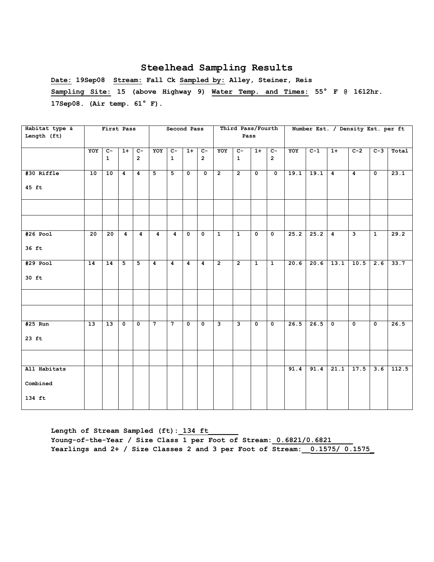**Date: 19Sep08 Stream: Fall Ck Sampled by: Alley, Steiner, Reis Sampling Site: 15 (above Highway 9) Water Temp. and Times: 55° F @ 1612hr. 17Sep08. (Air temp. 61° F).**

| Habitat type &<br>Length (ft) |                 | First Pass           |                           |                           |                         | Second Pass                    |                         |                         |                         | Third Pass/Fourth<br>Pass |                         |                           |      |       |                | Number Est. / Density Est. per ft |                         |       |
|-------------------------------|-----------------|----------------------|---------------------------|---------------------------|-------------------------|--------------------------------|-------------------------|-------------------------|-------------------------|---------------------------|-------------------------|---------------------------|------|-------|----------------|-----------------------------------|-------------------------|-------|
|                               |                 |                      |                           |                           |                         |                                |                         |                         |                         |                           |                         |                           |      |       |                |                                   |                         |       |
|                               | YOY             | $c-$<br>$\mathbf{1}$ | $1+$                      | $c-$<br>$\overline{2}$    | YOY                     | $\overline{c}$<br>$\mathbf{1}$ | $1+$                    | $c-$<br>$\overline{2}$  | YOY                     | $c-$<br>$\mathbf{1}$      | $1+$                    | $c-$<br>$\mathbf{2}$      | YOY  | $C-1$ | $1+$           | $C-2$                             | $C-3$                   | Total |
| #30 Riffle                    | 10              | 10                   | $\overline{4}$            | $\overline{4}$            | 5 <sub>1</sub>          | 5                              | $\mathbf 0$             | $\mathbf{0}$            | $\overline{2}$          | $\overline{2}$            | $\mathbf{0}$            | $\overline{\mathbf{0}}$   | 19.1 | 19.1  | $\overline{4}$ | $\overline{4}$                    | $\overline{\mathbf{0}}$ | 23.1  |
| 45 ft                         |                 |                      |                           |                           |                         |                                |                         |                         |                         |                           |                         |                           |      |       |                |                                   |                         |       |
|                               |                 |                      |                           |                           |                         |                                |                         |                         |                         |                           |                         |                           |      |       |                |                                   |                         |       |
|                               |                 |                      |                           |                           |                         |                                |                         |                         |                         |                           |                         |                           |      |       |                |                                   |                         |       |
| $#26$ Pool                    | $\overline{20}$ | $\overline{20}$      | $\overline{4}$            | $\overline{4}$            | $\overline{4}$          | 4                              | $\overline{\mathbf{0}}$ | $\overline{0}$          | $\overline{1}$          | $\overline{1}$            | $\overline{0}$          | $\overline{\mathbf{0}}$   | 25.2 | 25.2  | $\overline{4}$ | $\overline{\mathbf{3}}$           | $\overline{1}$          | 29.2  |
| 36 ft                         |                 |                      |                           |                           |                         |                                |                         |                         |                         |                           |                         |                           |      |       |                |                                   |                         |       |
| $#29$ Pool                    | 14              | 14                   | $\overline{5}$            | 5                         | $\overline{\mathbf{4}}$ | 4                              | $\overline{4}$          | $\overline{4}$          | $\overline{2}$          | $\overline{2}$            | $\mathbf{1}$            | $\mathbf{1}$              | 20.6 | 20.6  | 13.1           | 10.5                              | 2.6                     | 33.7  |
| 30 ft                         |                 |                      |                           |                           |                         |                                |                         |                         |                         |                           |                         |                           |      |       |                |                                   |                         |       |
|                               |                 |                      |                           |                           |                         |                                |                         |                         |                         |                           |                         |                           |      |       |                |                                   |                         |       |
|                               |                 |                      |                           |                           |                         |                                |                         |                         |                         |                           |                         |                           |      |       |                |                                   |                         |       |
| $#25$ Run                     | $\overline{13}$ | $\overline{13}$      | $\overline{\mathfrak{o}}$ | $\overline{\mathfrak{o}}$ | $\overline{7}$          | $\overline{7}$                 | $\overline{\mathbf{0}}$ | $\overline{\mathbf{0}}$ | $\overline{\mathbf{3}}$ | $\overline{\mathbf{3}}$   | $\overline{\mathbf{0}}$ | $\overline{\mathfrak{o}}$ | 26.5 | 26.5  | Γο             | $\overline{0}$                    | $\overline{\mathbf{0}}$ | 26.5  |
| $23$ ft                       |                 |                      |                           |                           |                         |                                |                         |                         |                         |                           |                         |                           |      |       |                |                                   |                         |       |
|                               |                 |                      |                           |                           |                         |                                |                         |                         |                         |                           |                         |                           |      |       |                |                                   |                         |       |
| All Habitats                  |                 |                      |                           |                           |                         |                                |                         |                         |                         |                           |                         |                           | 91.4 | 91.4  | 21.1           | 17.5                              | 3.6                     | 112.5 |
| Combined                      |                 |                      |                           |                           |                         |                                |                         |                         |                         |                           |                         |                           |      |       |                |                                   |                         |       |
| 134 ft                        |                 |                      |                           |                           |                         |                                |                         |                         |                         |                           |                         |                           |      |       |                |                                   |                         |       |

Length of Stream Sampled (ft): 134 ft Young-of-the-Year / Size Class 1 per Foot of Stream: 0.6821/0.6821 **Yearlings and 2+ / Size Classes 2 and 3 per Foot of Stream:\_\_0.1575/ 0.1575\_**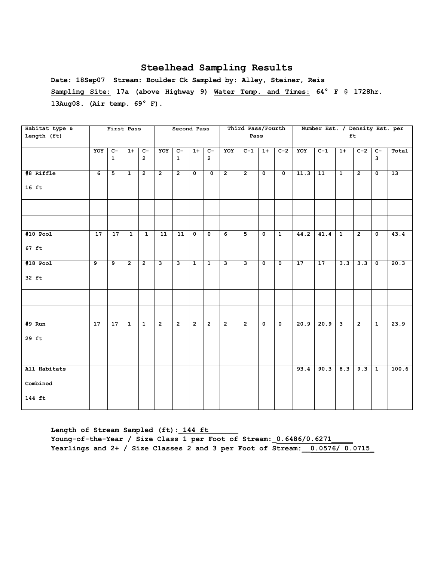**Date: 18Sep07 Stream: Boulder Ck Sampled by: Alley, Steiner, Reis Sampling Site: 17a (above Highway 9) Water Temp. and Times: 64° F @ 1728hr. 13Aug08. (Air temp. 69° F).**

| Habitat type & |                 | First Pass      |                |                |                | Second Pass             |                |                         |                | Third Pass/Fourth       |                         |                         |                 | Number Est. / Density Est. per |                         |                |                         |       |
|----------------|-----------------|-----------------|----------------|----------------|----------------|-------------------------|----------------|-------------------------|----------------|-------------------------|-------------------------|-------------------------|-----------------|--------------------------------|-------------------------|----------------|-------------------------|-------|
| Length (ft)    |                 |                 |                |                |                |                         |                |                         |                | Pass                    |                         |                         |                 |                                |                         | ft             |                         |       |
|                |                 |                 |                |                |                |                         |                |                         |                |                         |                         |                         |                 |                                |                         |                |                         |       |
|                | YOY             | $C -$           | $1+$           | $c-$           | YOY            | $c-$                    | $1+$           | $c-$                    | YOY            | $\overline{c-1}$        | $1+$                    | $C-2$                   | YOY             | $C-1$                          | $1+$                    | $C-2$          | $C-$                    | Total |
|                |                 | $\mathbf{1}$    |                | $\overline{2}$ |                | $\mathbf{1}$            |                | $\overline{2}$          |                |                         |                         |                         |                 |                                |                         |                | $\overline{\mathbf{3}}$ |       |
|                |                 |                 |                |                |                |                         |                |                         |                |                         |                         |                         |                 |                                |                         |                |                         |       |
| #8 Riffle      | $\overline{6}$  | 5 <sup>5</sup>  | $\mathbf{1}$   | $\overline{2}$ | $\overline{2}$ | $\overline{2}$          | $\mathbf{0}$   | $\mathbf 0$             | $\overline{2}$ | $\overline{2}$          | $\overline{\mathbf{0}}$ | $\overline{\mathbf{0}}$ | 11.3            | 11                             | $\mathbf{1}$            | $\overline{2}$ | $\overline{\mathbf{0}}$ | 13    |
|                |                 |                 |                |                |                |                         |                |                         |                |                         |                         |                         |                 |                                |                         |                |                         |       |
| $16$ ft        |                 |                 |                |                |                |                         |                |                         |                |                         |                         |                         |                 |                                |                         |                |                         |       |
|                |                 |                 |                |                |                |                         |                |                         |                |                         |                         |                         |                 |                                |                         |                |                         |       |
|                |                 |                 |                |                |                |                         |                |                         |                |                         |                         |                         |                 |                                |                         |                |                         |       |
|                |                 |                 |                |                |                |                         |                |                         |                |                         |                         |                         |                 |                                |                         |                |                         |       |
|                |                 |                 |                |                |                |                         |                |                         |                |                         |                         |                         |                 |                                |                         |                |                         |       |
|                |                 |                 |                |                |                |                         |                |                         |                | $\overline{5}$          |                         |                         |                 |                                |                         |                |                         |       |
| $#10$ Pool     | $\overline{17}$ | $\overline{17}$ | $\overline{1}$ | $\overline{1}$ | 11             | $\overline{11}$         | $\mathbf 0$    | $\overline{\mathbf{0}}$ | $\overline{6}$ |                         | $\overline{\mathbf{0}}$ | $\overline{1}$          | 44.2            | 41.4                           | $\mathbf{1}$            | $\overline{2}$ | $\overline{\mathbf{0}}$ | 43.4  |
| $67$ ft        |                 |                 |                |                |                |                         |                |                         |                |                         |                         |                         |                 |                                |                         |                |                         |       |
|                |                 |                 |                |                |                |                         |                |                         |                |                         |                         |                         |                 |                                |                         |                |                         |       |
| $#18$ Pool     | $\overline{9}$  | و               | $\overline{2}$ | $\overline{2}$ | سا             | $\overline{\mathbf{3}}$ | $\mathbf{1}$   | $\mathbf{1}$            | $\mathbf{3}$   | $\overline{\mathbf{3}}$ | $\overline{0}$          | $\Omega$                | $\overline{17}$ | $\overline{17}$                | 3.3                     | 3.3            | $\overline{\mathbf{0}}$ | 20.3  |
|                |                 |                 |                |                |                |                         |                |                         |                |                         |                         |                         |                 |                                |                         |                |                         |       |
| 32 ft          |                 |                 |                |                |                |                         |                |                         |                |                         |                         |                         |                 |                                |                         |                |                         |       |
|                |                 |                 |                |                |                |                         |                |                         |                |                         |                         |                         |                 |                                |                         |                |                         |       |
|                |                 |                 |                |                |                |                         |                |                         |                |                         |                         |                         |                 |                                |                         |                |                         |       |
|                |                 |                 |                |                |                |                         |                |                         |                |                         |                         |                         |                 |                                |                         |                |                         |       |
|                |                 |                 |                |                |                |                         |                |                         |                |                         |                         |                         |                 |                                |                         |                |                         |       |
|                |                 |                 |                |                |                |                         |                |                         |                |                         |                         |                         |                 |                                |                         |                |                         |       |
| #9 Run         | 17              | 17              | $\overline{1}$ | $\overline{1}$ | $\overline{2}$ | $\overline{2}$          | $\overline{2}$ | $\overline{2}$          | $\overline{2}$ | $\overline{2}$          | $\overline{0}$          | $\overline{0}$          | 20.9            | 20.9                           | $\overline{\mathbf{3}}$ | $\overline{2}$ | $\overline{1}$          | 23.9  |
| 29 ft          |                 |                 |                |                |                |                         |                |                         |                |                         |                         |                         |                 |                                |                         |                |                         |       |
|                |                 |                 |                |                |                |                         |                |                         |                |                         |                         |                         |                 |                                |                         |                |                         |       |
|                |                 |                 |                |                |                |                         |                |                         |                |                         |                         |                         |                 |                                |                         |                |                         |       |
|                |                 |                 |                |                |                |                         |                |                         |                |                         |                         |                         |                 |                                |                         |                |                         |       |
| All Habitats   |                 |                 |                |                |                |                         |                |                         |                |                         |                         |                         | 93.4            | 90.3                           | 8.3                     | 9.3            | $\mathbf{1}$            | 100.6 |
|                |                 |                 |                |                |                |                         |                |                         |                |                         |                         |                         |                 |                                |                         |                |                         |       |
| Combined       |                 |                 |                |                |                |                         |                |                         |                |                         |                         |                         |                 |                                |                         |                |                         |       |
|                |                 |                 |                |                |                |                         |                |                         |                |                         |                         |                         |                 |                                |                         |                |                         |       |
| 144 ft         |                 |                 |                |                |                |                         |                |                         |                |                         |                         |                         |                 |                                |                         |                |                         |       |
|                |                 |                 |                |                |                |                         |                |                         |                |                         |                         |                         |                 |                                |                         |                |                         |       |

Length of Stream Sampled (ft): 144 ft Young-of-the-Year / Size Class 1 per Foot of Stream:  $0.6486/0.6271$ **Yearlings and 2+ / Size Classes 2 and 3 per Foot of Stream:\_\_0.0576/ 0.0715\_**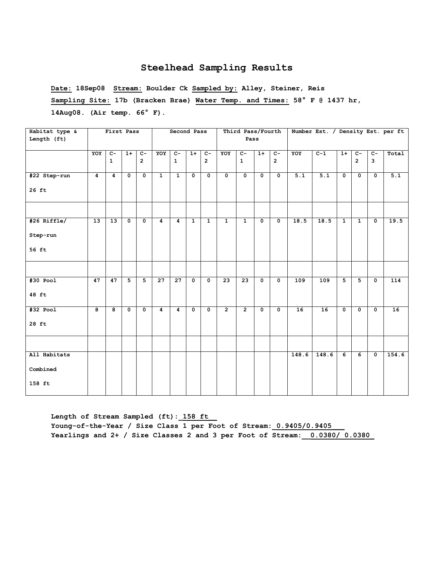**Date: 18Sep08 Stream: Boulder Ck Sampled by: Alley, Steiner, Reis Sampling Site: 17b (Bracken Brae) Water Temp. and Times: 58° F @ 1437 hr, 14Aug08. (Air temp. 66° F).**

| Habitat type &                     |                | First Pass                     |                           |                                  |                | Second Pass                    |                           |                                  |                         | Third Pass/Fourth              |                         |                                  |       |       |                         |                                  |                           | Number Est. / Density Est. per ft |
|------------------------------------|----------------|--------------------------------|---------------------------|----------------------------------|----------------|--------------------------------|---------------------------|----------------------------------|-------------------------|--------------------------------|-------------------------|----------------------------------|-------|-------|-------------------------|----------------------------------|---------------------------|-----------------------------------|
| Length (ft)                        |                |                                |                           |                                  |                |                                |                           |                                  |                         | Pass                           |                         |                                  |       |       |                         |                                  |                           |                                   |
|                                    | YOY            | $\overline{c}$<br>$\mathbf{1}$ | $1+$                      | $\overline{c}$<br>$\overline{2}$ | YOY            | $\overline{c}$<br>$\mathbf{1}$ | $1+$                      | $\overline{C}$<br>$\overline{2}$ | YOY                     | $\overline{c}$<br>$\mathbf{1}$ | $1+$                    | $\overline{C}$<br>$\overline{2}$ | YOY   | $C-1$ | $1+$                    | $\overline{C}$<br>$\overline{2}$ | $\overline{c}$<br>3       | Total                             |
| #22 Step-run<br>$26$ ft            | $\overline{4}$ | $\overline{4}$                 | $\overline{\mathbf{0}}$   | $\overline{\mathbf{0}}$          | $\overline{1}$ | $\overline{1}$                 | $\overline{\mathbf{0}}$   | $\overline{0}$                   | $\overline{\mathbf{0}}$ | $\overline{\mathfrak{o}}$      | $\overline{\mathbf{0}}$ | $\overline{\mathbf{0}}$          | 5.1   | 5.1   | $\overline{\mathbf{0}}$ | $\overline{\mathbf{0}}$          | $\overline{\mathfrak{o}}$ | 5.1                               |
|                                    |                |                                |                           |                                  |                |                                |                           |                                  |                         |                                |                         |                                  |       |       |                         |                                  |                           |                                   |
| #26 Riffle/<br>Step-run<br>56 ft   | 13             | 13                             | $\mathbf{o}$              | $\mathbf 0$                      | $\overline{4}$ | $\overline{4}$                 | $\mathbf{1}$              | $\mathbf{1}$                     | $\mathbf{1}$            | $\mathbf{1}$                   | $\mathbf 0$             | $\mathbf 0$                      | 18.5  | 18.5  | $\mathbf{1}$            | $\mathbf{1}$                     | $\mathbf 0$               | 19.5                              |
|                                    |                |                                |                           |                                  |                |                                |                           |                                  |                         |                                |                         |                                  |       |       |                         |                                  |                           |                                   |
| $#30$ Pool<br>48 ft                | 47             | 47                             | $\overline{5}$            | 5                                | 27             | 27                             | $\overline{\mathbf{0}}$   | $\overline{0}$                   | $\overline{23}$         | 23                             | $\overline{\mathbf{0}}$ | $\overline{\mathbf{0}}$          | 109   | 109   | $\overline{5}$          | $\overline{5}$                   | $\overline{\mathbf{0}}$   | 114                               |
| $#32$ Pool<br>$28$ ft              | $\overline{8}$ | $\overline{\mathbf{8}}$        | $\overline{\mathfrak{o}}$ | $\overline{\mathbf{0}}$          | $\overline{4}$ | $\overline{4}$                 | $\overline{\mathfrak{o}}$ | $\overline{0}$                   | $\overline{2}$          | $\overline{2}$                 | $\overline{\bullet}$    | $\overline{\mathbf{0}}$          | 16    | 16    | $\overline{\bullet}$    | $\overline{\mathbf{0}}$          | $\overline{\mathbf{0}}$   | 16                                |
|                                    |                |                                |                           |                                  |                |                                |                           |                                  |                         |                                |                         |                                  |       |       |                         |                                  |                           |                                   |
| All Habitats<br>Combined<br>158 ft |                |                                |                           |                                  |                |                                |                           |                                  |                         |                                |                         |                                  | 148.6 | 148.6 | 6                       | 6                                | $\mathbf 0$               | 154.6                             |

Length of Stream Sampled (ft): 158 ft Young-of-the-Year / Size Class 1 per Foot of Stream: 0.9405/0.9405 **Yearlings and 2+ / Size Classes 2 and 3 per Foot of Stream:\_\_0.0380/ 0.0380\_**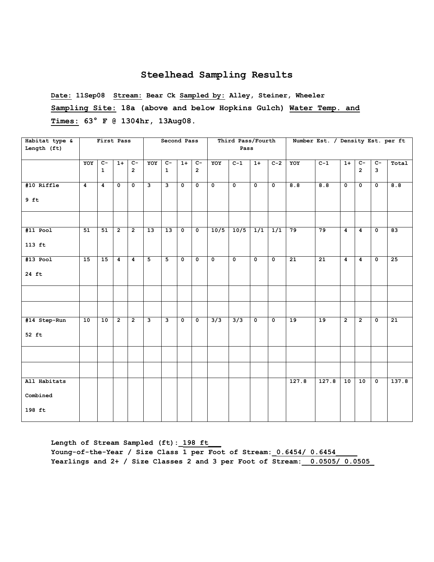**Date: 11Sep08 Stream: Bear Ck Sampled by: Alley, Steiner, Wheeler Sampling Site: 18a (above and below Hopkins Gulch) Water Temp. and Times: 63° F @ 1304hr, 13Aug08.** 

| Habitat type &<br>Length (ft) |                | First Pass           |                      |                        |                         | Second Pass             |                         |                                  |                      | Third Pass/Fourth<br>Pass |                      |                           |       | Number Est. / Density Est. per ft |                         |                         |                           |                 |
|-------------------------------|----------------|----------------------|----------------------|------------------------|-------------------------|-------------------------|-------------------------|----------------------------------|----------------------|---------------------------|----------------------|---------------------------|-------|-----------------------------------|-------------------------|-------------------------|---------------------------|-----------------|
|                               |                |                      |                      |                        |                         |                         |                         |                                  |                      |                           |                      |                           |       |                                   |                         |                         |                           |                 |
|                               | YOY            | $C-$<br>$\mathbf{1}$ | $1+$                 | $C-$<br>$\overline{2}$ | YOY                     | $C-$<br>$\mathbf{1}$    | $1+$                    | $\overline{C}$<br>$\overline{2}$ | YOY                  | $C-1$                     | $1+$                 | $C-2$                     | YOY   | $C-1$                             | $1+$                    | $c-$<br>$\overline{2}$  | $\overline{c}$<br>3       | Total           |
| #10 Riffle                    | $\overline{4}$ | $\overline{4}$       | $\overline{\bullet}$ | $\overline{\bullet}$   | ىر                      | $\overline{\mathbf{3}}$ | $\overline{\mathbf{0}}$ | $\overline{\bullet}$             | $\overline{\bullet}$ | $\overline{\bullet}$      | $\overline{\bullet}$ | $\overline{\mathfrak{o}}$ | 8.8   | 8.8                               | $\overline{\mathbf{0}}$ | $\overline{\mathbf{0}}$ | $\overline{\mathfrak{o}}$ | 8.8             |
| $9$ ft                        |                |                      |                      |                        |                         |                         |                         |                                  |                      |                           |                      |                           |       |                                   |                         |                         |                           |                 |
|                               |                |                      |                      |                        |                         |                         |                         |                                  |                      |                           |                      |                           |       |                                   |                         |                         |                           |                 |
| $#11$ Pool                    | 51             | 51                   | $\overline{2}$       | $\overline{2}$         | 13                      | $\overline{13}$         | $\overline{\mathbf{0}}$ | $\overline{\bullet}$             | 10/5                 | $10/5$ 1/1                |                      | $\overline{1/1}$          | 79    | 79                                | $\overline{4}$          | $\overline{4}$          | $\overline{\bullet}$      | 83              |
| $113$ ft                      |                |                      |                      |                        |                         |                         |                         |                                  |                      |                           |                      |                           |       |                                   |                         |                         |                           |                 |
| $#13$ Pool                    | 15             | 15                   | $\overline{4}$       | $\boldsymbol{4}$       | 5                       | 5                       | $\mathbf 0$             | $\mathbf 0$                      | $\mathbf 0$          | $\mathbf 0$               | $\mathbf 0$          | $\mathbf 0$               | 21    | 21                                | 4                       | 4                       | $\mathbf{0}$              | 25              |
| 24 ft                         |                |                      |                      |                        |                         |                         |                         |                                  |                      |                           |                      |                           |       |                                   |                         |                         |                           |                 |
|                               |                |                      |                      |                        |                         |                         |                         |                                  |                      |                           |                      |                           |       |                                   |                         |                         |                           |                 |
|                               |                |                      |                      |                        |                         |                         |                         |                                  |                      |                           |                      |                           |       |                                   |                         |                         |                           |                 |
| #14 Step-Run                  | 10             | 10                   | $\overline{2}$       | $\overline{2}$         | $\overline{\mathbf{3}}$ | $\overline{\mathbf{3}}$ | $\mathbf 0$             | $\mathbf 0$                      | $\overline{3/3}$     | 3/3                       | $\mathbf 0$          | $\mathbf 0$               | 19    | 19                                | $\overline{2}$          | $\overline{2}$          | $\mathbf{o}$              | $\overline{21}$ |
| 52 ft                         |                |                      |                      |                        |                         |                         |                         |                                  |                      |                           |                      |                           |       |                                   |                         |                         |                           |                 |
|                               |                |                      |                      |                        |                         |                         |                         |                                  |                      |                           |                      |                           |       |                                   |                         |                         |                           |                 |
|                               |                |                      |                      |                        |                         |                         |                         |                                  |                      |                           |                      |                           |       |                                   |                         |                         |                           |                 |
| All Habitats                  |                |                      |                      |                        |                         |                         |                         |                                  |                      |                           |                      |                           | 127.8 | 127.8                             | 10                      | 10                      | $\mathbf{o}$              | 137.8           |
| Combined                      |                |                      |                      |                        |                         |                         |                         |                                  |                      |                           |                      |                           |       |                                   |                         |                         |                           |                 |
| 198 ft                        |                |                      |                      |                        |                         |                         |                         |                                  |                      |                           |                      |                           |       |                                   |                         |                         |                           |                 |

Length of Stream Sampled (ft): 198 ft Young-of-the-Year / Size Class 1 per Foot of Stream: 0.6454/ 0.6454 **Yearlings and 2+ / Size Classes 2 and 3 per Foot of Stream:\_\_0.0505/ 0.0505\_**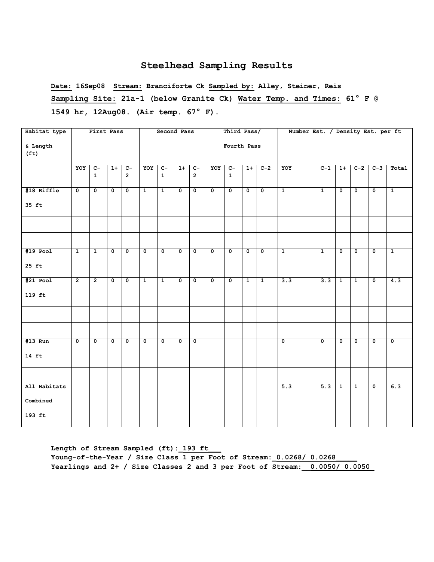**Date: 16Sep08 Stream: Branciforte Ck Sampled by: Alley, Steiner, Reis Sampling Site: 21a-1 (below Granite Ck) Water Temp. and Times: 61° F @ 1549 hr, 12Aug08. (Air temp. 67° F).**

| Habitat type                  |                      | First Pass              |              |                           |                         | Second Pass             |                           |                         |                         | Third Pass/             |                |                         | Number Est. / Density Est. per ft |                         |              |                         |             |                |
|-------------------------------|----------------------|-------------------------|--------------|---------------------------|-------------------------|-------------------------|---------------------------|-------------------------|-------------------------|-------------------------|----------------|-------------------------|-----------------------------------|-------------------------|--------------|-------------------------|-------------|----------------|
| & Length<br>(f <sub>t</sub> ) |                      |                         |              |                           |                         |                         |                           |                         |                         | Fourth Pass             |                |                         |                                   |                         |              |                         |             |                |
|                               | YOY                  | $\overline{c}$ -        | $1+$         | $C-$                      | YOY                     | $C-$                    | $1+$                      | $\overline{C}$          | YOY                     | $C -$                   | $1+$           | $C-2$                   | YOY                               | $C-1$                   | $1+$         | $C-2$                   | $C-3$       | Total          |
|                               |                      | $\mathbf{1}$            |              | $\overline{2}$            |                         | $\mathbf{1}$            |                           | $\overline{2}$          |                         | $\mathbf{1}$            |                |                         |                                   |                         |              |                         |             |                |
| #18 Riffle                    | $\overline{\bullet}$ | $\overline{\mathbf{0}}$ | $\mathbf{0}$ | $\overline{\mathbf{0}}$   | $\mathbf{1}$            | $\overline{1}$          | $\overline{\mathbf{0}}$   | $\mathbf 0$             | $\mathbf 0$             | $\mathbf{0}$            | $\mathbf{0}$   | $\overline{\mathbf{0}}$ | $\overline{1}$                    | $\overline{1}$          | $\mathbf{0}$ | $\overline{\mathbf{0}}$ | $\mathbf 0$ | $\overline{1}$ |
| 35 ft                         |                      |                         |              |                           |                         |                         |                           |                         |                         |                         |                |                         |                                   |                         |              |                         |             |                |
|                               |                      |                         |              |                           |                         |                         |                           |                         |                         |                         |                |                         |                                   |                         |              |                         |             |                |
|                               |                      |                         |              |                           |                         |                         |                           |                         |                         |                         |                |                         |                                   |                         |              |                         |             |                |
| $#19$ Pool                    | $\overline{1}$       | $\overline{1}$          | $\mathbf{0}$ | $\overline{\mathbf{0}}$   | $\overline{0}$          | $\overline{\mathbf{0}}$ | $\overline{\bullet}$      | $\overline{\mathbf{0}}$ | $\overline{\mathbf{0}}$ | $\overline{\mathbf{0}}$ | $\mathbf{0}$   | $\overline{\bullet}$    | $\overline{1}$                    | $\overline{1}$          | $\mathbf{0}$ | $\overline{\bullet}$    | $\Omega$    | $\overline{1}$ |
| $25$ ft                       |                      |                         |              |                           |                         |                         |                           |                         |                         |                         |                |                         |                                   |                         |              |                         |             |                |
| $#21$ Pool                    | $\overline{2}$       | $\overline{2}$          | $\mathbf 0$  | $\mathbf{o}$              | $\mathbf{1}$            | $\mathbf{1}$            | $\mathbf{o}$              | $\mathbf 0$             | $\mathbf 0$             | $\mathbf 0$             | $\overline{1}$ | $\overline{1}$          | 3.3                               | 3.3                     | $\mathbf{1}$ | $\mathbf{1}$            | $\mathbf 0$ | 4.3            |
| 119 ft                        |                      |                         |              |                           |                         |                         |                           |                         |                         |                         |                |                         |                                   |                         |              |                         |             |                |
|                               |                      |                         |              |                           |                         |                         |                           |                         |                         |                         |                |                         |                                   |                         |              |                         |             |                |
|                               |                      |                         |              |                           |                         |                         |                           |                         |                         |                         |                |                         |                                   |                         |              |                         |             |                |
| $#13$ Run                     | $\overline{0}$       | $\overline{\mathbf{0}}$ | $\mathbf 0$  | $\overline{\mathfrak{o}}$ | $\overline{\mathbf{0}}$ | $\mathbf{o}$            | $\overline{\mathfrak{o}}$ | $\overline{\mathbf{0}}$ |                         |                         |                |                         | $\overline{0}$                    | $\overline{\mathbf{0}}$ | $\mathbf 0$  | $\overline{0}$          | $\mathbf 0$ | $\overline{0}$ |
| $14 \text{ ft}$               |                      |                         |              |                           |                         |                         |                           |                         |                         |                         |                |                         |                                   |                         |              |                         |             |                |
|                               |                      |                         |              |                           |                         |                         |                           |                         |                         |                         |                |                         |                                   |                         |              |                         |             |                |
| All Habitats                  |                      |                         |              |                           |                         |                         |                           |                         |                         |                         |                |                         | 5.3                               | 5.3                     | $\mathbf{1}$ | $\overline{1}$          | $\mathbf 0$ | 6.3            |
| Combined                      |                      |                         |              |                           |                         |                         |                           |                         |                         |                         |                |                         |                                   |                         |              |                         |             |                |
| 193 ft                        |                      |                         |              |                           |                         |                         |                           |                         |                         |                         |                |                         |                                   |                         |              |                         |             |                |

Length of Stream Sampled (ft): 193 ft **Young-of-the-Year / Size Class 1 per Foot of Stream:\_0.0268/ 0.0268\_\_\_\_\_ Yearlings and 2+ / Size Classes 2 and 3 per Foot of Stream:\_\_0.0050/ 0.0050\_**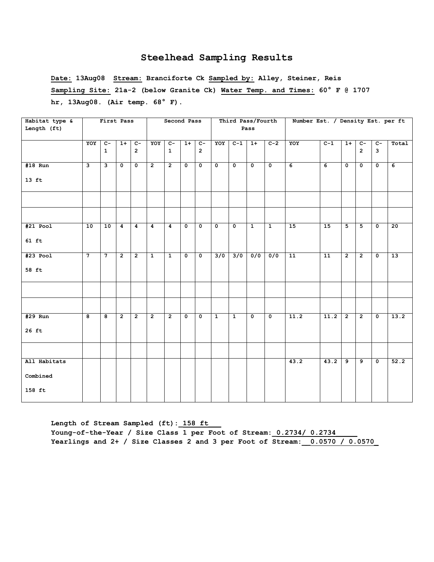**Date: 13Aug08 Stream: Branciforte Ck Sampled by: Alley, Steiner, Reis Sampling Site: 21a-2 (below Granite Ck) Water Temp. and Times: 60° F @ 1707 hr, 13Aug08. (Air temp. 68° F).**

| Habitat type & |                         | First Pass              |                |                |                | Second Pass    |                      |                           |                         | Third Pass/Fourth         |                           |                | Number Est. / Density Est. per ft |                 |                |                |                         |                |
|----------------|-------------------------|-------------------------|----------------|----------------|----------------|----------------|----------------------|---------------------------|-------------------------|---------------------------|---------------------------|----------------|-----------------------------------|-----------------|----------------|----------------|-------------------------|----------------|
| Length (ft)    |                         |                         |                |                |                |                |                      |                           |                         |                           | Pass                      |                |                                   |                 |                |                |                         |                |
|                | YOY                     | $c-$                    | $1+$           | $\overline{c}$ | YOY            | $\overline{c}$ | $1+$                 | $C-$                      | YOY                     | $C-1$                     | $1+$                      | $C-2$          | YOY                               | $C-1$           | $1+$           | $\overline{c}$ | $C-$                    | Total          |
|                |                         | $\mathbf{1}$            |                | $\overline{2}$ |                | $\mathbf{1}$   |                      | $\overline{2}$            |                         |                           |                           |                |                                   |                 |                | $\overline{2}$ | $\overline{\mathbf{3}}$ |                |
| $#18$ Run      | $\overline{\mathbf{3}}$ | $\overline{\mathbf{3}}$ | $\mathbf{0}$   | $\overline{0}$ | $\overline{2}$ | $\overline{2}$ | $\mathbf{0}$         | $\overline{\mathfrak{o}}$ | $\overline{\mathbf{0}}$ | $\overline{0}$            | $\overline{\mathfrak{o}}$ | $\overline{0}$ | $\overline{6}$                    | $\overline{6}$  | $\mathbf 0$    | $\mathbf{0}$   | $\overline{0}$          | $\overline{6}$ |
| $13$ ft        |                         |                         |                |                |                |                |                      |                           |                         |                           |                           |                |                                   |                 |                |                |                         |                |
|                |                         |                         |                |                |                |                |                      |                           |                         |                           |                           |                |                                   |                 |                |                |                         |                |
|                |                         |                         |                |                |                |                |                      |                           |                         |                           |                           |                |                                   |                 |                |                |                         |                |
| $#21$ Pool     | 10                      | 10                      | $\overline{4}$ | $\overline{4}$ | $\overline{4}$ | $\overline{4}$ | $\overline{\bullet}$ | $\overline{0}$            | $\overline{\mathbf{0}}$ | $\overline{\mathfrak{o}}$ | $\overline{1}$            | $\overline{1}$ | 15                                | 15              | $\overline{5}$ | $\overline{5}$ | $\overline{\bullet}$    | 20             |
| $61$ ft        |                         |                         |                |                |                |                |                      |                           |                         |                           |                           |                |                                   |                 |                |                |                         |                |
| $#23$ Pool     | $\overline{7}$          | $\overline{7}$          | $\overline{2}$ | $\overline{2}$ | $\overline{1}$ | $\overline{1}$ | $\overline{\bullet}$ | $\overline{\bullet}$      | 3/0                     | 3/0                       | 0/0                       | 0/0            | $\overline{11}$                   | $\overline{11}$ | $\overline{2}$ | $\overline{2}$ | $\overline{\mathbf{0}}$ | 13             |
| 58 ft          |                         |                         |                |                |                |                |                      |                           |                         |                           |                           |                |                                   |                 |                |                |                         |                |
|                |                         |                         |                |                |                |                |                      |                           |                         |                           |                           |                |                                   |                 |                |                |                         |                |
|                |                         |                         |                |                |                |                |                      |                           |                         |                           |                           |                |                                   |                 |                |                |                         |                |
| #29 Run        | 8                       | 8                       | $\overline{2}$ | $\overline{2}$ | $\overline{2}$ | $\overline{2}$ | $\mathbf 0$          | $\mathbf{o}$              | $\mathbf{1}$            | $\mathbf{1}$              | $\mathbf 0$               | $\mathbf{o}$   | 11.2                              | 11.2            | $\overline{2}$ | $\overline{2}$ | $\mathbf 0$             | 13.2           |
| $26$ ft        |                         |                         |                |                |                |                |                      |                           |                         |                           |                           |                |                                   |                 |                |                |                         |                |
|                |                         |                         |                |                |                |                |                      |                           |                         |                           |                           |                |                                   |                 |                |                |                         |                |
| All Habitats   |                         |                         |                |                |                |                |                      |                           |                         |                           |                           |                | 43.2                              | 43.2            | 9              | 9              | $\mathbf 0$             | 52.2           |
| Combined       |                         |                         |                |                |                |                |                      |                           |                         |                           |                           |                |                                   |                 |                |                |                         |                |
| 158 ft         |                         |                         |                |                |                |                |                      |                           |                         |                           |                           |                |                                   |                 |                |                |                         |                |

Length of Stream Sampled (ft): 158 ft Young-of-the-Year / Size Class 1 per Foot of Stream: 0.2734/ 0.2734 **Yearlings and 2+ / Size Classes 2 and 3 per Foot of Stream:\_\_0.0570 / 0.0570\_**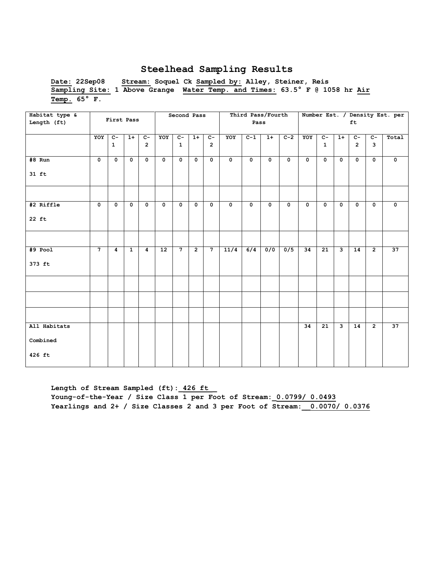**Date: 22Sep08 Stream: Soquel Ck Sampled by: Alley, Steiner, Reis Sampling Site: 1 Above Grange Water Temp. and Times: 63.5° F @ 1058 hr Air Temp. 65° F.** 

| Habitat type & |                |                |                |                |                 | Second Pass    |                |                |             | Third Pass/Fourth |              |             |             |                 |                         |                 |                | Number Est. / Density Est. per |
|----------------|----------------|----------------|----------------|----------------|-----------------|----------------|----------------|----------------|-------------|-------------------|--------------|-------------|-------------|-----------------|-------------------------|-----------------|----------------|--------------------------------|
| Length (ft)    |                | First Pass     |                |                |                 |                |                |                |             | Pass              |              |             |             |                 |                         | ft              |                |                                |
|                |                |                |                |                |                 |                |                |                |             |                   |              |             |             |                 |                         |                 |                |                                |
|                | YOY            | $C-$           | $1+$           | $C -$          | YOY             | $C -$          | $1+$           | $c-$           | YOY         | $C-1$             | $1+$         | $C-2$       | YOY         | $C-$            | $1+$                    | $C-$            | $C -$          | Total                          |
|                |                | $\mathbf{1}$   |                | $\overline{2}$ |                 | $\mathbf{1}$   |                | $\overline{2}$ |             |                   |              |             |             | $\mathbf{1}$    |                         | $\overline{2}$  | 3              |                                |
| $#8$ Run       | $\mathbf{o}$   | $\mathbf 0$    | $\mathbf{o}$   | $\mathbf{o}$   | $\mathbf{o}$    | $\mathbf{o}$   | $\mathbf 0$    | $\mathbf{o}$   | $\mathbf 0$ | $\mathbf 0$       | $\mathbf{0}$ | $\mathbf 0$ | $\mathbf 0$ | $\mathbf{o}$    | $\mathbf 0$             | $\mathbf 0$     | $\mathbf 0$    | $\mathbf 0$                    |
| $31$ ft        |                |                |                |                |                 |                |                |                |             |                   |              |             |             |                 |                         |                 |                |                                |
|                |                |                |                |                |                 |                |                |                |             |                   |              |             |             |                 |                         |                 |                |                                |
| #2 Riffle      | $\mathbf 0$    | $\mathbf 0$    | $\mathbf 0$    | $\mathbf{o}$   | $\mathbf 0$     | $\mathbf 0$    | $\mathbf 0$    | $\mathbf 0$    | $\mathbf 0$ | $\mathbf 0$       | $\mathbf{0}$ | $\mathbf 0$ | $\mathbf 0$ | $\mathbf 0$     | $\mathbf 0$             | $\mathbf{o}$    | $\mathbf 0$    | $\mathbf 0$                    |
| 22 ft          |                |                |                |                |                 |                |                |                |             |                   |              |             |             |                 |                         |                 |                |                                |
|                |                |                |                |                |                 |                |                |                |             |                   |              |             |             |                 |                         |                 |                |                                |
| $#9$ Pool      | $\overline{7}$ | $\overline{4}$ | $\overline{1}$ | $\overline{4}$ | $\overline{12}$ | $\overline{7}$ | $\overline{2}$ | $\overline{7}$ | 11/4        | 6/4               | 0/0          | 0/5         | 34          | $\overline{21}$ | ِ                       | $\overline{14}$ | $\overline{2}$ | 37                             |
| 373 ft         |                |                |                |                |                 |                |                |                |             |                   |              |             |             |                 |                         |                 |                |                                |
|                |                |                |                |                |                 |                |                |                |             |                   |              |             |             |                 |                         |                 |                |                                |
|                |                |                |                |                |                 |                |                |                |             |                   |              |             |             |                 |                         |                 |                |                                |
|                |                |                |                |                |                 |                |                |                |             |                   |              |             |             |                 |                         |                 |                |                                |
| All Habitats   |                |                |                |                |                 |                |                |                |             |                   |              |             | 34          | $\overline{21}$ | $\overline{\mathbf{3}}$ | 14              | $\overline{2}$ | 37                             |
| Combined       |                |                |                |                |                 |                |                |                |             |                   |              |             |             |                 |                         |                 |                |                                |
| 426 ft         |                |                |                |                |                 |                |                |                |             |                   |              |             |             |                 |                         |                 |                |                                |

Length of Stream Sampled (ft): 426 ft **Young-of-the-Year / Size Class 1 per Foot of Stream:\_0.0799/ 0.0493 Yearlings and 2+ / Size Classes 2 and 3 per Foot of Stream:\_\_0.0070/ 0.0376**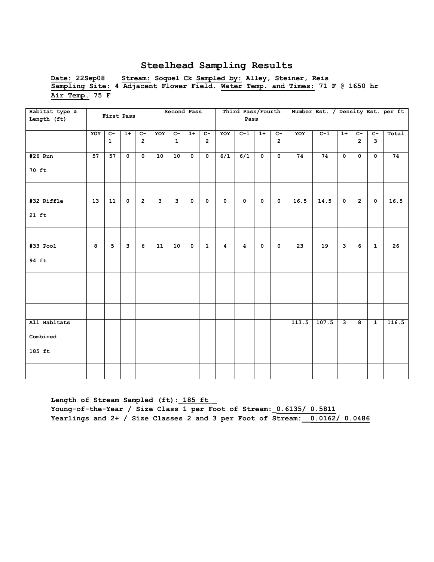**Date: 22Sep08 Stream: Soquel Ck Sampled by: Alley, Steiner, Reis Sampling Site: 4 Adjacent Flower Field. Water Temp. and Times: 71 F @ 1650 hr Air Temp. 75 F** 

| Habitat type &<br>Length (ft)      |                         | First Pass                     |                         |                        |     | Second Pass          |                           |                        |             | Third Pass/Fourth<br>Pass |                           |                        |       |       |                         |                         |                         | Number Est. / Density Est. per ft |
|------------------------------------|-------------------------|--------------------------------|-------------------------|------------------------|-----|----------------------|---------------------------|------------------------|-------------|---------------------------|---------------------------|------------------------|-------|-------|-------------------------|-------------------------|-------------------------|-----------------------------------|
|                                    | YOY                     | $\overline{C}$<br>$\mathbf{1}$ | $1+$                    | $c-$<br>$\overline{2}$ | YOY | $c-$<br>$\mathbf{1}$ | $1+$                      | $c-$<br>$\overline{2}$ | YOY         | $C-1$                     | $1+$                      | $c-$<br>$\overline{2}$ | YOY   | $C-1$ | $1+$                    | $c-$<br>$\overline{2}$  | $c-$<br>$\overline{3}$  | Total                             |
| #26 Run<br>70 ft                   | 57                      | 57                             | $\overline{0}$          | $\mathbf 0$            | 10  | 10                   | $\overline{0}$            | $\mathbf 0$            | 6/1         | $\overline{6/1}$          | $\overline{\mathbf{0}}$   | $\mathbf{0}$           | 74    | 74    | $\overline{\mathbf{0}}$ | $\mathbf{0}$            | $\overline{\mathbf{0}}$ | 74                                |
| #32 Riffle<br>$21$ ft              | 13                      | 11                             | $\mathbf 0$             | $\overline{2}$         | ن   | $\mathbf{3}$         | $\mathbf 0$               | $\mathbf{o}$           | $\mathbf 0$ | $\mathbf 0$               | $\mathbf 0$               | $\mathbf 0$            | 16.5  | 14.5  | $\mathbf 0$             | $\overline{2}$          | $\mathbf 0$             | 16.5                              |
| $#33$ Pool<br>94 ft                | $\overline{\mathbf{a}}$ | $\overline{5}$                 | $\overline{\mathbf{3}}$ | $\overline{6}$         | 11  | 10                   | $\overline{\mathfrak{o}}$ | $\overline{1}$         | 4           | $\overline{4}$            | $\overline{\mathfrak{o}}$ | $\overline{0}$         | 23    | 19    | $\overline{\mathbf{3}}$ | $\overline{6}$          | $\overline{1}$          | 26                                |
|                                    |                         |                                |                         |                        |     |                      |                           |                        |             |                           |                           |                        |       |       |                         |                         |                         |                                   |
| All Habitats<br>Combined<br>185 ft |                         |                                |                         |                        |     |                      |                           |                        |             |                           |                           |                        | 113.5 | 107.5 | ی                       | $\overline{\mathbf{8}}$ | $\overline{1}$          | 116.5                             |
|                                    |                         |                                |                         |                        |     |                      |                           |                        |             |                           |                           |                        |       |       |                         |                         |                         |                                   |

Length of Stream Sampled (ft): 185 ft **Young-of-the-Year / Size Class 1 per Foot of Stream:\_0.6135/ 0.5811 Yearlings and 2+ / Size Classes 2 and 3 per Foot of Stream:\_\_0.0162/ 0.0486**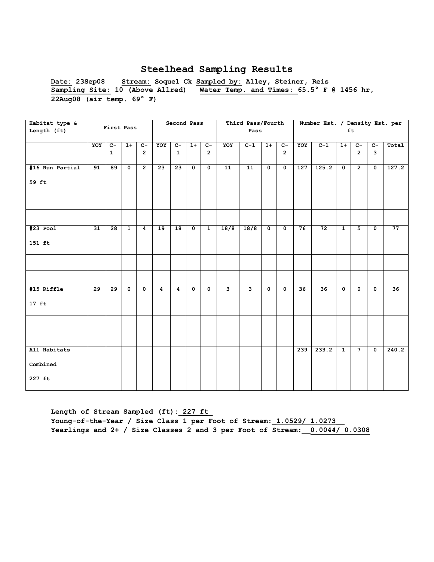**Date: 23Sep08 Stream: Soquel Ck Sampled by: Alley, Steiner, Reis Sampling Site: 10 (Above Allred) Water Temp. and Times: 65.5° F @ 1456 hr, 22Aug08 (air temp. 69° F)**

| Habitat type &  |                 |                 |              |                |     | Second Pass     |                      |                         |                         | Third Pass/Fourth       |                |                |     | Number Est. / Density Est. per |                         |                |                      |       |
|-----------------|-----------------|-----------------|--------------|----------------|-----|-----------------|----------------------|-------------------------|-------------------------|-------------------------|----------------|----------------|-----|--------------------------------|-------------------------|----------------|----------------------|-------|
| Length (ft)     |                 | First Pass      |              |                |     |                 |                      |                         |                         | Pass                    |                |                |     |                                |                         | ft             |                      |       |
|                 |                 |                 |              |                |     |                 |                      |                         |                         |                         |                |                |     |                                |                         |                |                      |       |
|                 | YOY             | $C -$           | $1+$         | $C -$          | YOY | $C-$            | $1+$                 | $C-$                    | YOY                     | $C-1$                   | $1+$           | $\overline{C}$ | YOY | $C-1$                          | $1+$                    | $C-$           | $\overline{c}$       | Total |
|                 |                 | $\mathbf{1}$    |              | $\overline{2}$ |     | $\mathbf{1}$    |                      | $\overline{2}$          |                         |                         |                | $\overline{2}$ |     |                                |                         | $\overline{2}$ | 3                    |       |
|                 |                 |                 |              |                |     |                 |                      |                         |                         |                         |                |                |     |                                |                         |                |                      |       |
| #16 Run Partial | 91              | 89              | $\mathbf 0$  | $\overline{2}$ | 23  | $\overline{23}$ | $\mathbf{0}$         | $\overline{\bullet}$    | 11                      | $\overline{11}$         | $\mathbf 0$    | $\mathbf 0$    | 127 | 125.2                          | $\mathbf 0$             | $\overline{2}$ | $\mathbf 0$          | 127.2 |
|                 |                 |                 |              |                |     |                 |                      |                         |                         |                         |                |                |     |                                |                         |                |                      |       |
| 59 ft           |                 |                 |              |                |     |                 |                      |                         |                         |                         |                |                |     |                                |                         |                |                      |       |
|                 |                 |                 |              |                |     |                 |                      |                         |                         |                         |                |                |     |                                |                         |                |                      |       |
|                 |                 |                 |              |                |     |                 |                      |                         |                         |                         |                |                |     |                                |                         |                |                      |       |
|                 |                 |                 |              |                |     |                 |                      |                         |                         |                         |                |                |     |                                |                         |                |                      |       |
|                 |                 |                 |              |                |     |                 |                      |                         |                         |                         |                |                |     |                                |                         |                |                      |       |
|                 |                 |                 |              |                |     |                 |                      |                         |                         |                         |                |                |     |                                |                         |                |                      |       |
| $#23$ Pool      | 31              | $\overline{28}$ | $\mathbf{1}$ | 4              | 19  | $\overline{18}$ | $\overline{\bullet}$ | $\mathbf{1}$            | 18/8                    | 18/8                    | $\mathbf{o}$   | $\mathbf 0$    | 76  | 72                             | $\overline{1}$          | $\overline{5}$ | $\mathbf 0$          | 77    |
|                 |                 |                 |              |                |     |                 |                      |                         |                         |                         |                |                |     |                                |                         |                |                      |       |
| 151 ft          |                 |                 |              |                |     |                 |                      |                         |                         |                         |                |                |     |                                |                         |                |                      |       |
|                 |                 |                 |              |                |     |                 |                      |                         |                         |                         |                |                |     |                                |                         |                |                      |       |
|                 |                 |                 |              |                |     |                 |                      |                         |                         |                         |                |                |     |                                |                         |                |                      |       |
|                 |                 |                 |              |                |     |                 |                      |                         |                         |                         |                |                |     |                                |                         |                |                      |       |
|                 |                 |                 |              |                |     |                 |                      |                         |                         |                         |                |                |     |                                |                         |                |                      |       |
|                 |                 |                 |              |                |     |                 |                      |                         |                         |                         |                |                |     |                                |                         |                |                      |       |
| #15 Riffle      | $\overline{29}$ | $\overline{29}$ | $\mathbf{0}$ | $\mathbf 0$    | 4   | $\overline{4}$  | $\overline{0}$       | $\overline{\mathbf{0}}$ | $\overline{\mathbf{3}}$ | $\overline{\mathbf{3}}$ | $\overline{0}$ | $\overline{0}$ | 36  | $\overline{36}$                | $\overline{\mathbf{0}}$ | $\mathbf 0$    | $\mathbf{0}$         | 36    |
|                 |                 |                 |              |                |     |                 |                      |                         |                         |                         |                |                |     |                                |                         |                |                      |       |
| $17$ ft         |                 |                 |              |                |     |                 |                      |                         |                         |                         |                |                |     |                                |                         |                |                      |       |
|                 |                 |                 |              |                |     |                 |                      |                         |                         |                         |                |                |     |                                |                         |                |                      |       |
|                 |                 |                 |              |                |     |                 |                      |                         |                         |                         |                |                |     |                                |                         |                |                      |       |
|                 |                 |                 |              |                |     |                 |                      |                         |                         |                         |                |                |     |                                |                         |                |                      |       |
|                 |                 |                 |              |                |     |                 |                      |                         |                         |                         |                |                |     |                                |                         |                |                      |       |
|                 |                 |                 |              |                |     |                 |                      |                         |                         |                         |                |                |     |                                |                         |                |                      |       |
| All Habitats    |                 |                 |              |                |     |                 |                      |                         |                         |                         |                |                | 239 | 233.2                          | $\overline{1}$          | $\overline{7}$ | $\overline{\bullet}$ | 240.2 |
|                 |                 |                 |              |                |     |                 |                      |                         |                         |                         |                |                |     |                                |                         |                |                      |       |
| Combined        |                 |                 |              |                |     |                 |                      |                         |                         |                         |                |                |     |                                |                         |                |                      |       |
| 227 ft          |                 |                 |              |                |     |                 |                      |                         |                         |                         |                |                |     |                                |                         |                |                      |       |
|                 |                 |                 |              |                |     |                 |                      |                         |                         |                         |                |                |     |                                |                         |                |                      |       |
|                 |                 |                 |              |                |     |                 |                      |                         |                         |                         |                |                |     |                                |                         |                |                      |       |

**Length of Stream Sampled (ft):\_227 ft\_ Young-of-the-Year / Size Class 1 per Foot of Stream:\_1.0529/ 1.0273\_\_ Yearlings and 2+ / Size Classes 2 and 3 per Foot of Stream:\_\_0.0044/ 0.0308**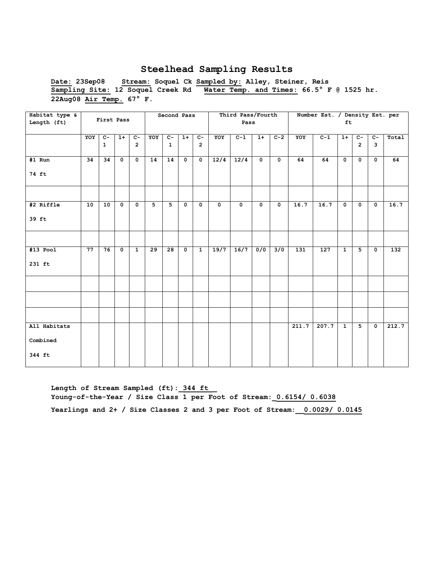**Date: 23Sep08 Stream: Soquel Ck Sampled by: Alley, Steiner, Reis Sampling Site: 12 Soquel Creek Rd Water Temp. and Times: 66.5° F @ 1525 hr. 22Aug08 Air Temp. 67° F.** 

| Habitat type & |     |              |                      |                |                 | Second Pass             |                         |                |             | Third Pass/Fourth |              |             |       | Number Est. / Density Est. per |                |                |                         |       |
|----------------|-----|--------------|----------------------|----------------|-----------------|-------------------------|-------------------------|----------------|-------------|-------------------|--------------|-------------|-------|--------------------------------|----------------|----------------|-------------------------|-------|
| Length (ft)    |     | First Pass   |                      |                |                 |                         |                         |                |             | Pass              |              |             |       |                                | ft             |                |                         |       |
|                |     |              |                      |                |                 |                         |                         |                |             |                   |              |             |       |                                |                |                |                         |       |
|                | YOY | $c-$         | $1+$                 | $C-$           | YOY             | $C -$                   | $1+$                    | $c-$           | YOY         | $C-1$             | $1+$         | $C-2$       | YOY   | $C-1$                          | $1+$           | $c-$           | $C -$                   | Total |
|                |     | $\mathbf{1}$ |                      | $\overline{2}$ |                 | $\mathbf{1}$            |                         | $\overline{2}$ |             |                   |              |             |       |                                |                | $\overline{2}$ | 3                       |       |
|                |     |              |                      |                |                 |                         |                         |                |             |                   |              |             |       |                                |                |                |                         |       |
| #1 Run         | 34  | 34           | $\mathbf 0$          | $\mathbf 0$    | 14              | 14                      | $\mathbf{o}$            | $\mathbf 0$    | 12/4        | 12/4              | $\mathbf{0}$ | $\mathbf 0$ | 64    | 64                             | $\mathbf 0$    | $\mathbf 0$    | $\mathbf{o}$            | 64    |
| 74 ft          |     |              |                      |                |                 |                         |                         |                |             |                   |              |             |       |                                |                |                |                         |       |
|                |     |              |                      |                |                 |                         |                         |                |             |                   |              |             |       |                                |                |                |                         |       |
|                |     |              |                      |                |                 |                         |                         |                |             |                   |              |             |       |                                |                |                |                         |       |
| #2 Riffle      | 10  | 10           | $\mathbf 0$          | $\mathbf 0$    | 5               | $\overline{\mathbf{5}}$ | $\mathbf 0$             | $\mathbf 0$    | $\mathbf 0$ | $\mathbf 0$       | $\mathbf{o}$ | $\mathbf 0$ | 16.7  | 16.7                           | $\mathbf 0$    | $\mathbf 0$    | $\mathbf 0$             | 16.7  |
| 39 ft          |     |              |                      |                |                 |                         |                         |                |             |                   |              |             |       |                                |                |                |                         |       |
|                |     |              |                      |                |                 |                         |                         |                |             |                   |              |             |       |                                |                |                |                         |       |
| $#13$ Pool     | 77  | 76           | $\overline{\bullet}$ | $\mathbf{1}$   | $\overline{29}$ | 28                      | $\overline{\mathbf{0}}$ | $\overline{1}$ | 19/7        | 16/7              | 0/0          | 3/0         | 131   | 127                            | $\overline{1}$ | $\overline{5}$ | $\overline{\mathbf{0}}$ | 132   |
| 231 ft         |     |              |                      |                |                 |                         |                         |                |             |                   |              |             |       |                                |                |                |                         |       |
|                |     |              |                      |                |                 |                         |                         |                |             |                   |              |             |       |                                |                |                |                         |       |
|                |     |              |                      |                |                 |                         |                         |                |             |                   |              |             |       |                                |                |                |                         |       |
|                |     |              |                      |                |                 |                         |                         |                |             |                   |              |             |       |                                |                |                |                         |       |
| All Habitats   |     |              |                      |                |                 |                         |                         |                |             |                   |              |             | 211.7 | 207.7                          | $\overline{1}$ | $\overline{5}$ | $\overline{0}$          | 212.7 |
| Combined       |     |              |                      |                |                 |                         |                         |                |             |                   |              |             |       |                                |                |                |                         |       |
|                |     |              |                      |                |                 |                         |                         |                |             |                   |              |             |       |                                |                |                |                         |       |
| 344 ft         |     |              |                      |                |                 |                         |                         |                |             |                   |              |             |       |                                |                |                |                         |       |

Length of Stream Sampled (ft): 344 ft **Young-of-the-Year / Size Class 1 per Foot of Stream:\_0.6154/ 0.6038 Yearlings and 2+ / Size Classes 2 and 3 per Foot of Stream:\_\_0.0029/ 0.0145**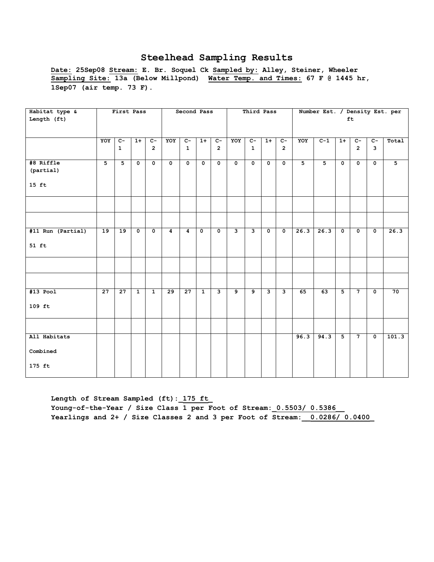**Date: 25Sep08 Stream: E. Br. Soquel Ck Sampled by: Alley, Steiner, Wheeler Sampling Site: 13a (Below Millpond) Water Temp. and Times: 67 F @ 1445 hr, 1Sep07 (air temp. 73 F).**

| Habitat type &    |                 | First Pass      |                         |                         |                 | Second Pass    |                         |                |             | Third Pass   |                         |                         |                | Number Est. / Density Est. per |                      |                         |                         |       |
|-------------------|-----------------|-----------------|-------------------------|-------------------------|-----------------|----------------|-------------------------|----------------|-------------|--------------|-------------------------|-------------------------|----------------|--------------------------------|----------------------|-------------------------|-------------------------|-------|
| Length (ft)       |                 |                 |                         |                         |                 |                |                         |                |             |              |                         |                         |                |                                |                      | ft                      |                         |       |
|                   |                 |                 |                         |                         |                 |                |                         |                |             |              |                         |                         |                |                                |                      |                         |                         |       |
|                   |                 |                 |                         |                         |                 |                |                         |                |             |              |                         |                         |                |                                |                      |                         |                         |       |
|                   | YOY             | $c-$            | $1+$                    | $c-$                    | YOY             | $c-$           | $1+$                    | $c-$           | YOY         | $C-$         | $1+$                    | $C -$                   | YOY            | $C-1$                          | $1+$                 | $c-$                    | $C-$                    | Total |
|                   |                 | $\mathbf{1}$    |                         | $\overline{2}$          |                 | $\mathbf{1}$   |                         | $\overline{2}$ |             | $\mathbf{1}$ |                         | $\overline{2}$          |                |                                |                      | $\overline{2}$          | $\overline{\mathbf{3}}$ |       |
|                   |                 |                 |                         |                         |                 |                |                         |                |             |              |                         |                         |                |                                |                      |                         |                         |       |
| #8 Riffle         | 5               | 5               | $\mathbf 0$             | $\mathbf 0$             | $\mathbf 0$     | $\mathbf 0$    | $\mathbf{0}$            | $\mathbf 0$    | $\mathbf 0$ | $\mathbf 0$  | $\mathbf 0$             | $\mathbf 0$             | 5 <sup>1</sup> | $5\overline{5}$                | $\mathbf 0$          | $\mathbf 0$             | $\mathbf 0$             | 5     |
| (partial)         |                 |                 |                         |                         |                 |                |                         |                |             |              |                         |                         |                |                                |                      |                         |                         |       |
|                   |                 |                 |                         |                         |                 |                |                         |                |             |              |                         |                         |                |                                |                      |                         |                         |       |
| $15$ ft           |                 |                 |                         |                         |                 |                |                         |                |             |              |                         |                         |                |                                |                      |                         |                         |       |
|                   |                 |                 |                         |                         |                 |                |                         |                |             |              |                         |                         |                |                                |                      |                         |                         |       |
|                   |                 |                 |                         |                         |                 |                |                         |                |             |              |                         |                         |                |                                |                      |                         |                         |       |
|                   |                 |                 |                         |                         |                 |                |                         |                |             |              |                         |                         |                |                                |                      |                         |                         |       |
|                   |                 |                 |                         |                         |                 |                |                         |                |             |              |                         |                         |                |                                |                      |                         |                         |       |
|                   |                 |                 |                         |                         |                 |                |                         |                |             |              |                         |                         |                |                                |                      |                         |                         |       |
| #11 Run (Partial) | 19              | 19              | $\overline{\mathbf{0}}$ | $\overline{\mathbf{0}}$ | $\overline{4}$  | $\overline{4}$ | $\overline{\mathbf{0}}$ | $\overline{0}$ | ى           | 3            | $\overline{\mathbf{0}}$ | $\overline{\mathbf{0}}$ | 26.3           | 26.3                           | $\overline{\bullet}$ | $\overline{\mathbf{0}}$ | $\overline{\mathbf{0}}$ | 26.3  |
|                   |                 |                 |                         |                         |                 |                |                         |                |             |              |                         |                         |                |                                |                      |                         |                         |       |
| 51 ft             |                 |                 |                         |                         |                 |                |                         |                |             |              |                         |                         |                |                                |                      |                         |                         |       |
|                   |                 |                 |                         |                         |                 |                |                         |                |             |              |                         |                         |                |                                |                      |                         |                         |       |
|                   |                 |                 |                         |                         |                 |                |                         |                |             |              |                         |                         |                |                                |                      |                         |                         |       |
|                   |                 |                 |                         |                         |                 |                |                         |                |             |              |                         |                         |                |                                |                      |                         |                         |       |
|                   |                 |                 |                         |                         |                 |                |                         |                |             |              |                         |                         |                |                                |                      |                         |                         |       |
|                   |                 |                 |                         |                         |                 |                |                         |                |             |              |                         |                         |                |                                |                      |                         |                         |       |
| $#13$ Pool        | $\overline{27}$ | $\overline{27}$ | $\mathbf{1}$            | $\mathbf{1}$            | $\overline{29}$ | 27             | $\mathbf{1}$            | $\mathbf{3}$   | 9           | 9            | 3                       | $\overline{\mathbf{3}}$ | 65             | 63                             | $\overline{5}$       | $7\overline{ }$         | $\mathbf 0$             | 70    |
| $109$ ft          |                 |                 |                         |                         |                 |                |                         |                |             |              |                         |                         |                |                                |                      |                         |                         |       |
|                   |                 |                 |                         |                         |                 |                |                         |                |             |              |                         |                         |                |                                |                      |                         |                         |       |
|                   |                 |                 |                         |                         |                 |                |                         |                |             |              |                         |                         |                |                                |                      |                         |                         |       |
|                   |                 |                 |                         |                         |                 |                |                         |                |             |              |                         |                         |                |                                |                      |                         |                         |       |
| All Habitats      |                 |                 |                         |                         |                 |                |                         |                |             |              |                         |                         | 96.3           | 94.3                           | $\overline{5}$       | $7\overline{ }$         | $\mathbf 0$             | 101.3 |
|                   |                 |                 |                         |                         |                 |                |                         |                |             |              |                         |                         |                |                                |                      |                         |                         |       |
| Combined          |                 |                 |                         |                         |                 |                |                         |                |             |              |                         |                         |                |                                |                      |                         |                         |       |
|                   |                 |                 |                         |                         |                 |                |                         |                |             |              |                         |                         |                |                                |                      |                         |                         |       |
| 175 ft            |                 |                 |                         |                         |                 |                |                         |                |             |              |                         |                         |                |                                |                      |                         |                         |       |
|                   |                 |                 |                         |                         |                 |                |                         |                |             |              |                         |                         |                |                                |                      |                         |                         |       |

Length of Stream Sampled (ft): 175 ft **Young-of-the-Year / Size Class 1 per Foot of Stream:\_0.5503/ 0.5386\_\_ Yearlings and 2+ / Size Classes 2 and 3 per Foot of Stream:\_\_0.0286/ 0.0400\_**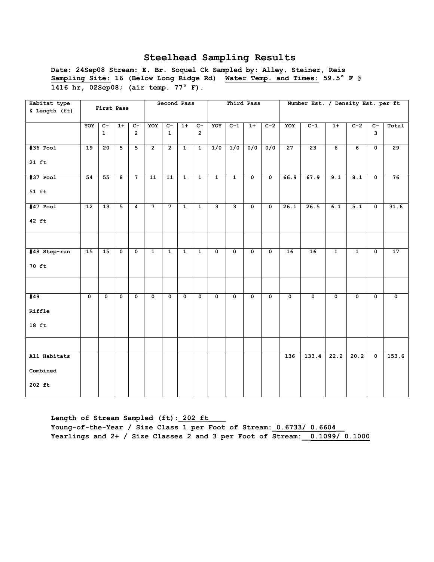**Date: 24Sep08 Stream: E. Br. Soquel Ck Sampled by: Alley, Steiner, Reis Sampling Site: 16 (Below Long Ridge Rd) Water Temp. and Times: 59.5° F @ 1416 hr, 02Sep08; (air temp. 77° F).** 

| Habitat type<br>& Length (ft)      |                 | First Pass                     |                           |                           |                 | Second Pass          |                |                           |              |                           | Third Pass              |                           |                 | Number Est. / Density Est. per ft |                |              |                                  |                         |
|------------------------------------|-----------------|--------------------------------|---------------------------|---------------------------|-----------------|----------------------|----------------|---------------------------|--------------|---------------------------|-------------------------|---------------------------|-----------------|-----------------------------------|----------------|--------------|----------------------------------|-------------------------|
|                                    | YOY             | $\overline{c}$<br>$\mathbf{1}$ | $1+$                      | $C -$<br>$\overline{2}$   | YOY             | $c-$<br>$\mathbf{1}$ | $1+$           | $c-$<br>$\overline{2}$    | YOY          | $C-1$                     | $1+$                    | $C-2$                     | YOY             | $C-1$                             | $1+$           | $C-2$        | $\overline{C}$<br>$\overline{3}$ | Total                   |
| $#36$ Pool<br>$21$ ft              | 19              | 20                             | 5                         | 5                         | $\overline{2}$  | $\overline{2}$       | $\mathbf{1}$   | $\mathbf{1}$              | 1/0          | 1/0                       | 0/0                     | 0/0                       | $\overline{27}$ | $\overline{23}$                   | 6              | 6            | $\mathbf 0$                      | $\overline{29}$         |
| $#37$ Pool<br>$51$ ft              | 54              | 55                             | $\overline{\mathbf{8}}$   | $\overline{7}$            | $\overline{11}$ | $\overline{11}$      | $\mathbf{1}$   | $\mathbf{1}$              | $\mathbf{1}$ | $\mathbf{1}$              | $\overline{\mathbf{0}}$ | $\overline{\mathbf{0}}$   | 66.9            | 67.9                              | 9.1            | 8.1          | $\overline{\mathbf{0}}$          | 76                      |
| $#47$ Pool<br>$42$ ft              | $\overline{12}$ | $\overline{13}$                | $\overline{5}$            | $\overline{4}$            | $\overline{7}$  | $\overline{7}$       | $\mathbf{1}$   | $\overline{1}$            | نا           | $\overline{\mathbf{3}}$   | $\mathbf{0}$            | $\overline{\bullet}$      | 26.1            | 26.5                              | 6.1            | 5.1          | $\mathbf 0$                      | 31.6                    |
|                                    |                 |                                |                           |                           |                 |                      |                |                           |              |                           |                         |                           |                 |                                   |                |              |                                  |                         |
| #48 Step-run<br>70 ft              | 15              | 15                             | $\overline{\mathbf{0}}$   | $\overline{\mathbf{0}}$   | $\overline{1}$  | $\overline{1}$       | $\overline{1}$ | $\overline{1}$            | $\mathbf 0$  | $\mathbf 0$               | $\overline{\mathbf{0}}$ | $\overline{\mathbf{0}}$   | 16              | 16                                | $\overline{1}$ | $\mathbf{1}$ | $\mathbf 0$                      | 17                      |
|                                    |                 |                                |                           |                           |                 |                      |                |                           |              |                           |                         |                           |                 |                                   |                |              |                                  |                         |
| #49<br>Riffle<br>$18$ ft           | 0               | 0                              | $\overline{\mathfrak{o}}$ | $\overline{\mathfrak{o}}$ | $\mathbf 0$     | $\mathbf 0$          | 0              | $\overline{\mathfrak{o}}$ | 0            | $\overline{\mathfrak{o}}$ | $\mathbf 0$             | $\overline{\mathfrak{o}}$ | $\mathbf 0$     | $\overline{\mathbf{0}}$           | $\mathbf 0$    | $\mathbf 0$  | 0                                | $\overline{\mathbf{0}}$ |
|                                    |                 |                                |                           |                           |                 |                      |                |                           |              |                           |                         |                           |                 |                                   |                |              |                                  |                         |
| All Habitats<br>Combined<br>202 ft |                 |                                |                           |                           |                 |                      |                |                           |              |                           |                         |                           | 136             | 133.4                             | 22.2           | 20.2         | $\overline{\mathbf{0}}$          | 153.6                   |

Length of Stream Sampled (ft): 202 ft Young-of-the-Year / Size Class 1 per Foot of Stream:  $0.6733/0.6604$ **Yearlings and 2+ / Size Classes 2 and 3 per Foot of Stream:\_\_0.1099/ 0.1000**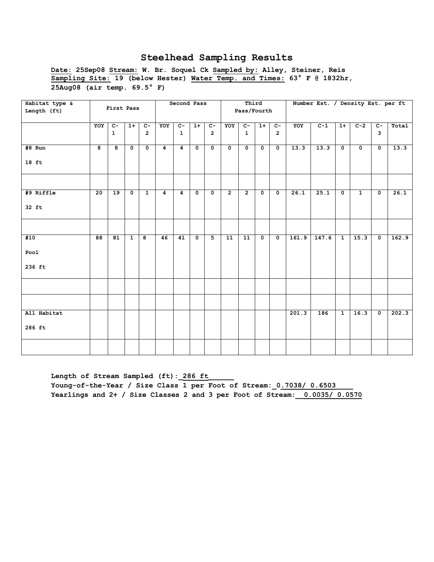**Date: 25Sep08 Stream: W. Br. Soquel Ck Sampled by: Alley, Steiner, Reis Sampling Site: 19 (below Hester) Water Temp. and Times: 63° F @ 1832hr, 25Aug08 (air temp. 69.5° F)**

| Habitat type & |                 | First Pass              |              |                         |                | Second Pass    |              |                |                 | Third          |                         |                         |       | Number Est. / Density Est. per ft |              |              |                |       |
|----------------|-----------------|-------------------------|--------------|-------------------------|----------------|----------------|--------------|----------------|-----------------|----------------|-------------------------|-------------------------|-------|-----------------------------------|--------------|--------------|----------------|-------|
| Length (ft)    |                 |                         |              |                         |                |                |              |                |                 | Pass/Fourth    |                         |                         |       |                                   |              |              |                |       |
|                | YOY             | $\overline{c}$          | $1+$         | $\overline{c}$          | YOY            | $C-$           | $1+$         | $C-$           | YOY             | $\overline{c}$ | $1+$                    | $\overline{c}$          | YOY   | $C-1$                             | $1+$         | $C-2$        | $\overline{c}$ | Total |
|                |                 | $\mathbf{1}$            |              | $\overline{2}$          |                | $\mathbf{1}$   |              | $\overline{2}$ |                 | $\mathbf{1}$   |                         | $\overline{2}$          |       |                                   |              |              | 3              |       |
| #8 Run         | 8               | $\overline{\mathbf{8}}$ | $\mathbf 0$  | $\mathbf 0$             | 4              | $\overline{4}$ | $\mathbf{o}$ | $\mathbf{o}$   | $\mathbf 0$     | $\mathbf 0$    | $\mathbf 0$             | $\mathbf 0$             | 13.3  | 13.3                              | $\mathbf 0$  | $\mathbf 0$  | $\mathbf 0$    | 13.3  |
| $18$ ft        |                 |                         |              |                         |                |                |              |                |                 |                |                         |                         |       |                                   |              |              |                |       |
|                |                 |                         |              |                         |                |                |              |                |                 |                |                         |                         |       |                                   |              |              |                |       |
| #9 Riffle      | $\overline{20}$ | $\overline{19}$         | $\mathbf{o}$ | $\mathbf{1}$            | $\overline{4}$ | $\overline{4}$ | $\mathbf 0$  | $\mathbf 0$    | $\overline{2}$  | $\overline{2}$ | $\overline{\mathbf{0}}$ | $\mathbf 0$             | 26.1  | 25.1                              | $\mathbf 0$  | $\mathbf{1}$ | $\mathsf{o}\,$ | 26.1  |
| 32 ft          |                 |                         |              |                         |                |                |              |                |                 |                |                         |                         |       |                                   |              |              |                |       |
|                |                 |                         |              |                         |                |                |              |                |                 |                |                         |                         |       |                                   |              |              |                |       |
| #10            | $\overline{88}$ | 81                      | $\mathbf{1}$ | $\overline{\mathbf{8}}$ | 46             | 41             | $\mathbf{o}$ | $\overline{5}$ | $\overline{11}$ | 11             | $\overline{\mathbf{0}}$ | $\overline{\mathbf{0}}$ | 161.9 | 147.6                             | $\mathbf{1}$ | 15.3         | $\mathsf{o}\,$ | 162.9 |
| Pool           |                 |                         |              |                         |                |                |              |                |                 |                |                         |                         |       |                                   |              |              |                |       |
| 236 ft         |                 |                         |              |                         |                |                |              |                |                 |                |                         |                         |       |                                   |              |              |                |       |
|                |                 |                         |              |                         |                |                |              |                |                 |                |                         |                         |       |                                   |              |              |                |       |
|                |                 |                         |              |                         |                |                |              |                |                 |                |                         |                         |       |                                   |              |              |                |       |
| All Habitat    |                 |                         |              |                         |                |                |              |                |                 |                |                         |                         | 201.3 | 186                               | $\mathbf{1}$ | 16.3         | $\mathbf 0$    | 202.3 |
| 286 ft         |                 |                         |              |                         |                |                |              |                |                 |                |                         |                         |       |                                   |              |              |                |       |
|                |                 |                         |              |                         |                |                |              |                |                 |                |                         |                         |       |                                   |              |              |                |       |

Length of Stream Sampled (ft): 286 ft Young-of-the-Year / Size Class 1 per Foot of Stream:  $0.7038/$  0.6503 **Yearlings and 2+ / Size Classes 2 and 3 per Foot of Stream:\_\_0.0035/ 0.0570**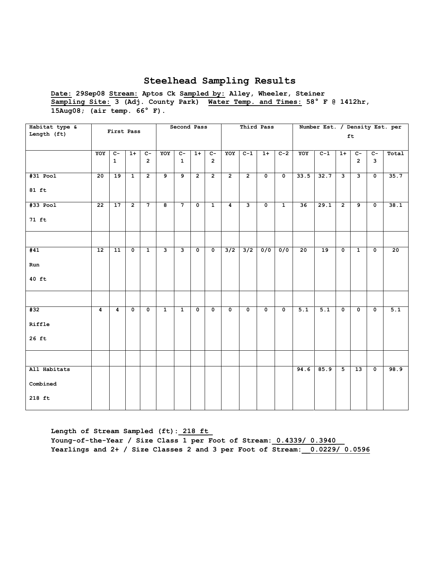**Date: 29Sep08 Stream: Aptos Ck Sampled by: Alley, Wheeler, Steiner Sampling Site: 3 (Adj. County Park) Water Temp. and Times: 58° F @ 1412hr, 15Aug08; (air temp. 66° F).** 

| Habitat type &<br>Length (ft) |                 | First Pass      |                         |                         |                         | Second Pass             |                      |                         |                         | Third Pass     |             |                         |                  | Number Est. / Density Est. per |                         | ft              |                         |                  |
|-------------------------------|-----------------|-----------------|-------------------------|-------------------------|-------------------------|-------------------------|----------------------|-------------------------|-------------------------|----------------|-------------|-------------------------|------------------|--------------------------------|-------------------------|-----------------|-------------------------|------------------|
|                               |                 |                 |                         |                         |                         |                         |                      |                         |                         |                |             |                         |                  |                                |                         |                 |                         |                  |
|                               | YOY             | $C-$            | $1+$                    | $C-$                    | YOY                     | $c-$                    | $1+$                 | $C -$                   | YOY                     | $C-1$          | $1+$        | $C-2$                   | YOY              | $C-1$                          | $1+$                    | $c-$            | $c-$                    | Total            |
|                               |                 | $\mathbf{1}$    |                         | $\overline{2}$          |                         | $\mathbf{1}$            |                      | $\overline{2}$          |                         |                |             |                         |                  |                                |                         | $\overline{2}$  | 3                       |                  |
| $#31$ Pool                    | 20              | 19              | $\mathbf{1}$            | $\overline{2}$          | 9                       | $\overline{9}$          | $\overline{2}$       | $\overline{2}$          | $\overline{2}$          | $\overline{2}$ | $\mathbf 0$ | $\mathbf 0$             | 33.5             | 32.7                           | $\overline{\mathbf{3}}$ | $\mathbf{3}$    | $\overline{\mathbf{0}}$ | 35.7             |
| $81$ ft                       |                 |                 |                         |                         |                         |                         |                      |                         |                         |                |             |                         |                  |                                |                         |                 |                         |                  |
| $#33$ Pool                    | $\overline{22}$ | $\overline{17}$ | $\overline{2}$          | $\overline{7}$          | 8                       | $\overline{7}$          | $\mathbf 0$          | $\mathbf{1}$            | $\overline{4}$          | $\mathbf{3}$   | $\mathbf 0$ | $\mathbf{1}$            | 36               | 29.1                           | $\overline{2}$          | $\overline{9}$  | $\overline{\mathbf{0}}$ | 38.1             |
| 71 ft                         |                 |                 |                         |                         |                         |                         |                      |                         |                         |                |             |                         |                  |                                |                         |                 |                         |                  |
|                               |                 |                 |                         |                         |                         |                         |                      |                         |                         |                |             |                         |                  |                                |                         |                 |                         |                  |
| #41                           | $\overline{12}$ | $\overline{11}$ | $\overline{\mathbf{0}}$ | $\overline{1}$          | $\overline{\mathbf{3}}$ | $\overline{\mathbf{3}}$ | $\overline{\bullet}$ | $\overline{\mathbf{0}}$ | 3/2                     | 3/2            | 0/0         | 0/0                     | $\overline{20}$  | 19                             | $\overline{\mathbf{0}}$ | $\overline{1}$  | $\overline{\mathbf{0}}$ | 20               |
| Run                           |                 |                 |                         |                         |                         |                         |                      |                         |                         |                |             |                         |                  |                                |                         |                 |                         |                  |
| 40 ft                         |                 |                 |                         |                         |                         |                         |                      |                         |                         |                |             |                         |                  |                                |                         |                 |                         |                  |
|                               |                 |                 |                         |                         |                         |                         |                      |                         |                         |                |             |                         |                  |                                |                         |                 |                         |                  |
| #32                           | $\overline{4}$  | $\overline{4}$  | $\mathbf 0$             | $\overline{\mathbf{0}}$ | $\mathbf{1}$            | $\overline{1}$          | $\mathbf 0$          | $\mathbf 0$             | $\overline{\mathbf{0}}$ | $\mathbf 0$    | $\mathbf 0$ | $\overline{\mathbf{0}}$ | $\overline{5.1}$ | $\overline{5.1}$               | $\overline{\mathbf{0}}$ | $\mathbf 0$     | $\overline{\mathbf{0}}$ | $\overline{5.1}$ |
| Riffle                        |                 |                 |                         |                         |                         |                         |                      |                         |                         |                |             |                         |                  |                                |                         |                 |                         |                  |
| $26$ ft                       |                 |                 |                         |                         |                         |                         |                      |                         |                         |                |             |                         |                  |                                |                         |                 |                         |                  |
|                               |                 |                 |                         |                         |                         |                         |                      |                         |                         |                |             |                         |                  |                                |                         |                 |                         |                  |
| All Habitats                  |                 |                 |                         |                         |                         |                         |                      |                         |                         |                |             |                         | 94.6             | 85.9                           | $\overline{5}$          | $\overline{13}$ | $\overline{\mathbf{0}}$ | 98.9             |
| Combined                      |                 |                 |                         |                         |                         |                         |                      |                         |                         |                |             |                         |                  |                                |                         |                 |                         |                  |
| 218 ft                        |                 |                 |                         |                         |                         |                         |                      |                         |                         |                |             |                         |                  |                                |                         |                 |                         |                  |

**Length of Stream Sampled (ft):\_218 ft\_**

**Young-of-the-Year / Size Class 1 per Foot of Stream:\_0.4339/ 0.3940\_\_ Yearlings and 2+ / Size Classes 2 and 3 per Foot of Stream:\_\_0.0229/ 0.0596**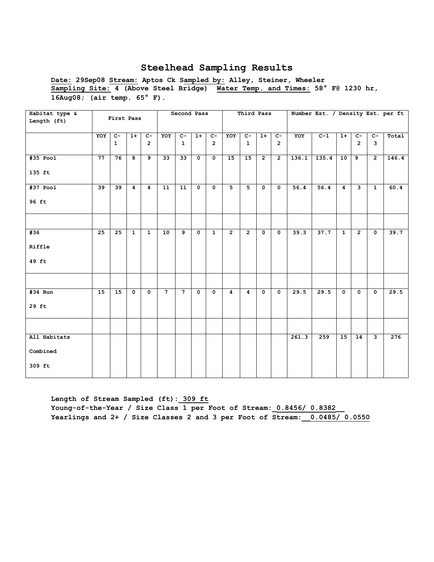**Date: 29Sep08 Stream: Aptos Ck Sampled by: Alley, Steiner, Wheeler Sampling Site: 4 (Above Steel Bridge) Water Temp. and Times: 58° F@ 1230 hr, 16Aug08; (air temp. 65° F).** 

| Habitat type &<br>Length (ft) |                 | First Pass     |                |                |                | Second Pass     |                |                         |                | Third Pass     |                |                         |       |       |                |                         |                         | Number Est. / Density Est. per ft |
|-------------------------------|-----------------|----------------|----------------|----------------|----------------|-----------------|----------------|-------------------------|----------------|----------------|----------------|-------------------------|-------|-------|----------------|-------------------------|-------------------------|-----------------------------------|
|                               | YOY             | $\overline{c}$ | $1+$           | $\overline{c}$ | YOY            | $C-$            | $1+$           | $C-$                    | YOY            | $C-$           | $1+$           | $\overline{c}$          | YOY   | $C-1$ | $1+$           | $C-$                    | $\overline{c}$          | Total                             |
|                               |                 | $\mathbf{1}$   |                | $\overline{2}$ |                | $\mathbf{1}$    |                | $\overline{2}$          |                | $\mathbf{1}$   |                | $\overline{2}$          |       |       |                | $\overline{2}$          | 3                       |                                   |
| #35 Pool                      | $\overline{77}$ | 76             | 8              | $\overline{9}$ | 33             | $\overline{33}$ | $\mathbf 0$    | $\mathbf{0}$            | 15             | 15             | $\overline{2}$ | $\overline{2}$          | 136.1 | 135.4 | 10             | 9                       | $\overline{2}$          | 146.4                             |
| 135 ft                        |                 |                |                |                |                |                 |                |                         |                |                |                |                         |       |       |                |                         |                         |                                   |
| $#37$ Pool                    | $\overline{39}$ | 39             | $\overline{4}$ | 4              | 11             | $\overline{11}$ | $\overline{0}$ | $\overline{\mathbf{0}}$ | $\overline{5}$ | $\overline{5}$ | $\overline{0}$ | $\mathbf{0}$            | 56.4  | 56.4  | $\overline{4}$ | $\overline{\mathbf{3}}$ | $\mathbf{1}$            | 60.4                              |
| 96 ft                         |                 |                |                |                |                |                 |                |                         |                |                |                |                         |       |       |                |                         |                         |                                   |
|                               |                 |                |                |                |                |                 |                |                         |                |                |                |                         |       |       |                |                         |                         |                                   |
| #36                           | $\overline{25}$ | 25             | $\overline{1}$ | $\overline{1}$ | 10             | $\overline{9}$  | $\overline{0}$ | $\overline{1}$          | $\overline{2}$ | $\overline{2}$ | $\overline{0}$ | $\overline{\mathbf{0}}$ | 39.3  | 37.7  | $\overline{1}$ | $\overline{2}$          | $\overline{\mathbf{0}}$ | 39.7                              |
| Riffle                        |                 |                |                |                |                |                 |                |                         |                |                |                |                         |       |       |                |                         |                         |                                   |
| 49 ft                         |                 |                |                |                |                |                 |                |                         |                |                |                |                         |       |       |                |                         |                         |                                   |
|                               |                 |                |                |                |                |                 |                |                         |                |                |                |                         |       |       |                |                         |                         |                                   |
| #34 Run                       | 15              | 15             | $\mathbf 0$    | $\mathbf 0$    | 7 <sup>7</sup> | $\overline{7}$  | $\overline{0}$ | $\mathbf 0$             | $\overline{4}$ | 4              | $\mathbf{0}$   | $\mathbf{0}$            | 29.5  | 29.5  | $\mathbf 0$    | $\mathbf{0}$            | $\mathbf 0$             | 29.5                              |
| 29 ft                         |                 |                |                |                |                |                 |                |                         |                |                |                |                         |       |       |                |                         |                         |                                   |
|                               |                 |                |                |                |                |                 |                |                         |                |                |                |                         |       |       |                |                         |                         |                                   |
| All Habitats                  |                 |                |                |                |                |                 |                |                         |                |                |                |                         | 261.3 | 259   | 15             | $\overline{14}$         | د                       | 276                               |
| Combined                      |                 |                |                |                |                |                 |                |                         |                |                |                |                         |       |       |                |                         |                         |                                   |
| 309 ft                        |                 |                |                |                |                |                 |                |                         |                |                |                |                         |       |       |                |                         |                         |                                   |

**Length of Stream Sampled (ft):\_309 ft** Young-of-the-Year / Size Class 1 per Foot of Stream: 0.8456/ 0.8382 **Yearlings and 2+ / Size Classes 2 and 3 per Foot of Stream:\_\_0.0485/ 0.0550**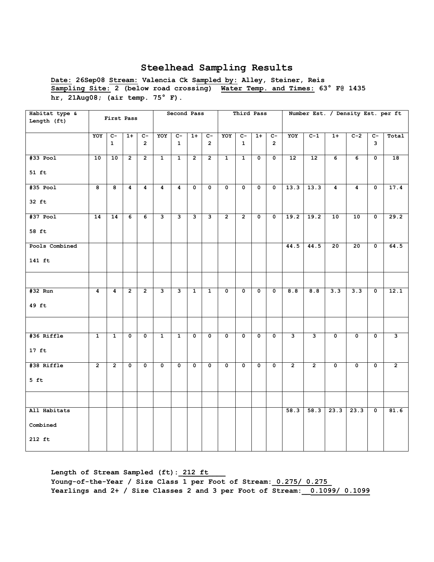**Date: 26Sep08 Stream: Valencia Ck Sampled by: Alley, Steiner, Reis Sampling Site: 2 (below road crossing) Water Temp. and Times: 63° F@ 1435 hr, 21Aug08; (air temp. 75° F).** 

| Habitat type &<br>Length (ft) |                 | First Pass              |                         |                         |                         | Second Pass               |                         |                           |                         | Third Pass              |                         |                         |                |                |                         | Number Est. / Density Est. per ft |                           |                |
|-------------------------------|-----------------|-------------------------|-------------------------|-------------------------|-------------------------|---------------------------|-------------------------|---------------------------|-------------------------|-------------------------|-------------------------|-------------------------|----------------|----------------|-------------------------|-----------------------------------|---------------------------|----------------|
|                               | YOY             | $c-$<br>$\mathbf{1}$    | $1+$                    | $C -$<br>$\overline{2}$ | YOY                     | $c-$<br>$\mathbf{1}$      | $1+$                    | $c-$<br>$\mathbf{2}$      | YOY                     | $c-$<br>$\mathbf{1}$    | $1+$                    | $c-$<br>$\overline{2}$  | YOY            | $C-1$          | $1+$                    | $C-2$                             | $c-$<br>3                 | Total          |
| #33 Pool                      | 10              | 10                      | $\overline{2}$          | $\overline{2}$          | $\overline{1}$          | $\mathbf{1}$              | $\overline{2}$          | $\overline{2}$            | $\mathbf{1}$            | $\mathbf{1}$            | $\mathbf 0$             | $\mathbf 0$             | 12             | 12             | 6                       | 6                                 | $\mathbf 0$               | 18             |
| 51 ft                         |                 |                         |                         |                         |                         |                           |                         |                           |                         |                         |                         |                         |                |                |                         |                                   |                           |                |
| #35 Pool                      | $\overline{8}$  | $\overline{\mathbf{8}}$ | $\overline{4}$          | $\overline{4}$          | $\overline{4}$          | $\overline{4}$            | $\overline{\mathbf{0}}$ | $\overline{\mathbf{0}}$   | $\overline{\mathbf{0}}$ | $\overline{\mathbf{0}}$ | $\overline{\bullet}$    | $\overline{\mathbf{0}}$ | 13.3           | 13.3           | $\overline{4}$          | $\overline{4}$                    | $\overline{\mathbf{0}}$   | 17.4           |
| $32$ ft                       |                 |                         |                         |                         |                         |                           |                         |                           |                         |                         |                         |                         |                |                |                         |                                   |                           |                |
| $#37$ Pool                    | $\overline{14}$ | $\overline{14}$         | $\overline{6}$          | $\overline{6}$          | $\overline{\mathbf{3}}$ | 3                         | з                       | 3                         | $\overline{2}$          | $\overline{2}$          | $\overline{\mathbf{0}}$ | $\overline{\mathbf{0}}$ | 19.2           | 19.2           | 10                      | 10                                | $\overline{\mathbf{0}}$   | 29.2           |
| 58 ft                         |                 |                         |                         |                         |                         |                           |                         |                           |                         |                         |                         |                         |                |                |                         |                                   |                           |                |
| Pools Combined                |                 |                         |                         |                         |                         |                           |                         |                           |                         |                         |                         |                         | 44.5           | 44.5           | $\overline{20}$         | $\overline{20}$                   | $\mathbf 0$               | 64.5           |
| 141 ft                        |                 |                         |                         |                         |                         |                           |                         |                           |                         |                         |                         |                         |                |                |                         |                                   |                           |                |
|                               |                 |                         |                         |                         |                         |                           |                         |                           |                         |                         |                         |                         |                |                |                         |                                   |                           |                |
| #32 Run                       | 4               | 4                       | $\overline{2}$          | $\overline{2}$          | 3                       | 3                         | $\mathbf{1}$            | $\mathbf{1}$              | $\mathbf 0$             | 0                       | 0                       | 0                       | 8.8            | 8.8            | 3.3                     | 3.3                               | 0                         | 12.1           |
| 49 ft                         |                 |                         |                         |                         |                         |                           |                         |                           |                         |                         |                         |                         |                |                |                         |                                   |                           |                |
|                               |                 |                         |                         |                         |                         |                           |                         |                           |                         |                         |                         |                         |                |                |                         |                                   |                           |                |
| #36 Riffle                    | $\mathbf{1}$    | $\mathbf{1}$            | $\mathbf 0$             | 0                       | $\mathbf{1}$            | $\mathbf{1}$              | $\mathbf 0$             | $\mathbf 0$               | $\mathbf 0$             | $\mathbf 0$             | $\mathbf 0$             | $\mathbf 0$             | $\mathbf{3}$   | 3              | $\mathbf 0$             | $\mathbf 0$                       | $\mathbf 0$               | 3              |
| $17$ ft                       |                 |                         |                         |                         |                         |                           |                         |                           |                         |                         |                         |                         |                |                |                         |                                   |                           |                |
| #38 Riffle                    | $\overline{2}$  | $\overline{2}$          | $\overline{\mathbf{0}}$ | $\overline{\mathbf{0}}$ | $\overline{\mathbf{0}}$ | $\overline{\mathfrak{o}}$ | $\overline{\mathbf{0}}$ | $\overline{\mathfrak{o}}$ | $\overline{\mathbf{0}}$ | $\overline{\mathbf{0}}$ | $\overline{\mathbf{0}}$ | $\overline{\mathbf{0}}$ | $\overline{2}$ | $\overline{2}$ | $\overline{\mathbf{0}}$ | $\overline{0}$                    | $\overline{\mathfrak{o}}$ | $\overline{2}$ |
| $5$ ft                        |                 |                         |                         |                         |                         |                           |                         |                           |                         |                         |                         |                         |                |                |                         |                                   |                           |                |
|                               |                 |                         |                         |                         |                         |                           |                         |                           |                         |                         |                         |                         |                |                |                         |                                   |                           |                |
| All Habitats                  |                 |                         |                         |                         |                         |                           |                         |                           |                         |                         |                         |                         | 58.3           | 58.3           | 23.3                    | 23.3                              | $\mathbf 0$               | 81.6           |
| Combined                      |                 |                         |                         |                         |                         |                           |                         |                           |                         |                         |                         |                         |                |                |                         |                                   |                           |                |
| 212 ft                        |                 |                         |                         |                         |                         |                           |                         |                           |                         |                         |                         |                         |                |                |                         |                                   |                           |                |

Length of Stream Sampled (ft): 212 ft **Young-of-the-Year / Size Class 1 per Foot of Stream:\_0.275/ 0.275\_ Yearlings and 2+ / Size Classes 2 and 3 per Foot of Stream:\_\_0.1099/ 0.1099**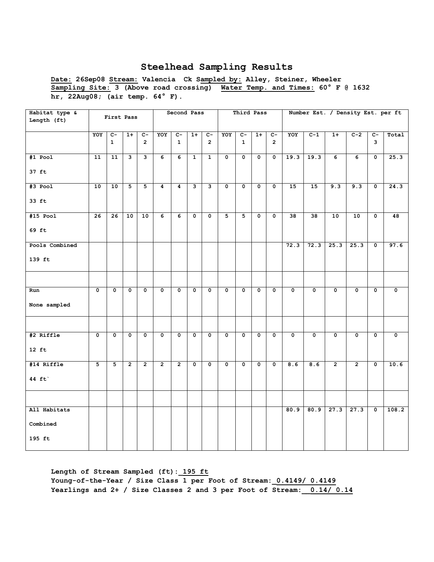**Date: 26Sep08 Stream: Valencia Ck Sampled by: Alley, Steiner, Wheeler Sampling Site: 3 (Above road crossing) Water Temp. and Times: 60° F @ 1632 hr, 22Aug08; (air temp. 64° F).** 

| Habitat type &<br>Length (ft) |                         | First Pass     |                         |                |                         | Second Pass             |              |                         |             | Third Pass              |                         |                         |                         |                         |                         | Number Est. / Density Est. per ft |                         |       |
|-------------------------------|-------------------------|----------------|-------------------------|----------------|-------------------------|-------------------------|--------------|-------------------------|-------------|-------------------------|-------------------------|-------------------------|-------------------------|-------------------------|-------------------------|-----------------------------------|-------------------------|-------|
|                               | YOY                     | $\overline{C}$ | $1+$                    | $C-$           | YOY                     | $\overline{c}$ -        | $1+$         | $c-$                    | YOY         | $C-$                    | $1+$                    | $c-$                    | YOY                     | $C-1$                   | $1+$                    | $C-2$                             | $C -$                   | Total |
|                               |                         | $\mathbf{1}$   |                         | $\overline{2}$ |                         | $\mathbf{1}$            |              | $\mathbf{2}$            |             | $\mathbf{1}$            |                         | $\overline{2}$          |                         |                         |                         |                                   | 3                       |       |
| $#1$ Pool                     | 11                      | 11             | $\mathbf{3}$            | 3              | 6                       | 6                       | $\mathbf{1}$ | $\mathbf{1}$            | $\mathbf 0$ | $\mathbf 0$             | $\mathbf 0$             | $\mathbf 0$             | 19.3                    | 19.3                    | 6                       | 6                                 | $\mathbf 0$             | 25.3  |
| $37$ ft                       |                         |                |                         |                |                         |                         |              |                         |             |                         |                         |                         |                         |                         |                         |                                   |                         |       |
| #3 Pool                       | 10                      | 10             | 5                       | 5              | 4                       | $\boldsymbol{4}$        | 3            | 3                       | $\mathbf 0$ | $\mathbf 0$             | $\mathbf 0$             | 0                       | 15                      | 15                      | 9.3                     | 9.3                               | 0                       | 24.3  |
| 33 ft                         |                         |                |                         |                |                         |                         |              |                         |             |                         |                         |                         |                         |                         |                         |                                   |                         |       |
| $#15$ Pool                    | 26                      | 26             | 10                      | 10             | 6                       | 6                       | $\mathbf 0$  | $\mathbf 0$             | 5           | 5                       | $\mathsf{o}\,$          | $\mathsf{o}\,$          | 38                      | 38                      | 10                      | 10                                | $\mathbf 0$             | 48    |
| 69 ft                         |                         |                |                         |                |                         |                         |              |                         |             |                         |                         |                         |                         |                         |                         |                                   |                         |       |
| Pools Combined                |                         |                |                         |                |                         |                         |              |                         |             |                         |                         |                         | 72.3                    | 72.3                    | 25.3                    | 25.3                              | $\mathbf 0$             | 97.6  |
| 139 ft                        |                         |                |                         |                |                         |                         |              |                         |             |                         |                         |                         |                         |                         |                         |                                   |                         |       |
|                               |                         |                |                         |                |                         |                         |              |                         |             |                         |                         |                         |                         |                         |                         |                                   |                         |       |
| Run                           | $\overline{\mathbf{0}}$ | 0              | $\overline{\mathbf{0}}$ | 0              | $\overline{\mathbf{0}}$ | $\overline{\mathbf{0}}$ | $\mathbf 0$  | $\overline{\mathbf{0}}$ | $\mathbf 0$ | $\overline{\mathbf{0}}$ | $\mathbf 0$             | $\overline{\mathbf{0}}$ | $\overline{\mathbf{0}}$ | $\overline{\mathbf{0}}$ | $\overline{\mathbf{0}}$ | $\overline{\mathbf{0}}$           | $\overline{\mathbf{0}}$ | 0     |
| None sampled                  |                         |                |                         |                |                         |                         |              |                         |             |                         |                         |                         |                         |                         |                         |                                   |                         |       |
|                               |                         |                |                         |                |                         |                         |              |                         |             |                         |                         |                         |                         |                         |                         |                                   |                         |       |
| #2 Riffle                     | 0                       | 0              | 0                       | 0              | 0                       | 0                       | 0            | $\mathbf 0$             | $\mathbf 0$ | 0                       | 0                       | 0                       | $\mathbf 0$             | 0                       | $\mathbf 0$             | 0                                 | 0                       | 0     |
| $12$ ft                       |                         |                |                         |                |                         |                         |              |                         |             |                         |                         |                         |                         |                         |                         |                                   |                         |       |
| #14 Riffle                    | 5                       | 5              | $\overline{2}$          | $\overline{2}$ | $\overline{2}$          | $\overline{2}$          | $\mathbf 0$  | $\overline{\mathbf{0}}$ | $\mathbf 0$ | $\overline{\mathbf{0}}$ | $\overline{\mathbf{0}}$ | $\overline{\mathbf{0}}$ | 8.6                     | 8.6                     | $\overline{2}$          | $\overline{2}$                    | $\mathbf 0$             | 10.6  |
| 44 $ft'$                      |                         |                |                         |                |                         |                         |              |                         |             |                         |                         |                         |                         |                         |                         |                                   |                         |       |
|                               |                         |                |                         |                |                         |                         |              |                         |             |                         |                         |                         |                         |                         |                         |                                   |                         |       |
| All Habitats                  |                         |                |                         |                |                         |                         |              |                         |             |                         |                         |                         | 80.9                    | 80.9                    | 27.3                    | 27.3                              | $\mathbf 0$             | 108.2 |
| ${\tt Combined}$              |                         |                |                         |                |                         |                         |              |                         |             |                         |                         |                         |                         |                         |                         |                                   |                         |       |
| 195 ft                        |                         |                |                         |                |                         |                         |              |                         |             |                         |                         |                         |                         |                         |                         |                                   |                         |       |

**Length of Stream Sampled (ft):\_195 ft Young-of-the-Year / Size Class 1 per Foot of Stream:\_0.4149/ 0.4149 Yearlings and 2+ / Size Classes 2 and 3 per Foot of Stream:\_\_0.14/ 0.14**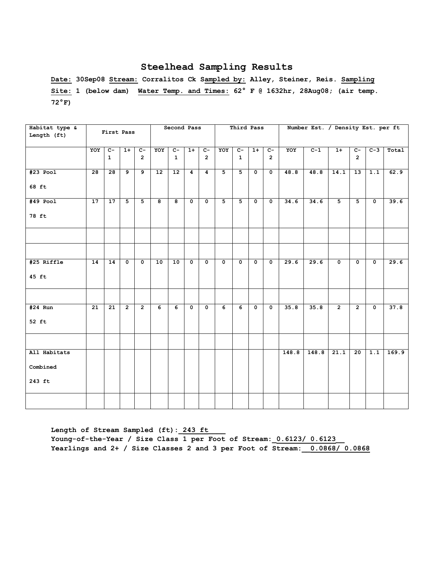**Date: 30Sep08 Stream: Corralitos Ck Sampled by: Alley, Steiner, Reis. Sampling Site: 1 (below dam) Water Temp. and Times: 62° F @ 1632hr, 28Aug08; (air temp. 72°F)**

| Habitat type &<br>Length (ft) |                 | First Pass                     |                |                                  |                         | Second Pass          |                      |                                  |                | Third Pass                     |                         |                                  |       | Number Est. / Density Est. per ft |                |                                  |                         |       |
|-------------------------------|-----------------|--------------------------------|----------------|----------------------------------|-------------------------|----------------------|----------------------|----------------------------------|----------------|--------------------------------|-------------------------|----------------------------------|-------|-----------------------------------|----------------|----------------------------------|-------------------------|-------|
|                               | YOY             | $\overline{c}$<br>$\mathbf{1}$ | $1+$           | $\overline{c}$<br>$\overline{2}$ | YOY                     | $c-$<br>$\mathbf{1}$ | $1+$                 | $\overline{c}$<br>$\overline{2}$ | YOY            | $\overline{c}$<br>$\mathbf{1}$ | $1+$                    | $\overline{c}$<br>$\overline{2}$ | YOY   | $C-1$                             | $1+$           | $\overline{c}$<br>$\overline{2}$ | $C-3$                   | Total |
| $#23$ Pool                    | $\overline{28}$ | 28                             | 9              | $\overline{9}$                   | 12                      | 12                   | $\overline{4}$       | $\overline{4}$                   | $\overline{5}$ | $\overline{5}$                 | $\mathbf 0$             | $\overline{\mathfrak{o}}$        | 48.8  | 48.8                              | 14.1           | 13                               | 1.1                     | 62.9  |
| 68 ft                         |                 |                                |                |                                  |                         |                      |                      |                                  |                |                                |                         |                                  |       |                                   |                |                                  |                         |       |
| $#49$ Pool                    | 17              | $\overline{17}$                | $\overline{5}$ | $\overline{5}$                   | $\overline{\mathbf{8}}$ | ദ                    | $\overline{\bullet}$ | $\overline{\mathbf{0}}$          | $\overline{5}$ | $\overline{5}$                 | $\overline{\mathbf{0}}$ | $\overline{\mathbf{0}}$          | 34.6  | 34.6                              | 5              | $\overline{5}$                   | $\overline{\mathbf{0}}$ | 39.6  |
| 78 ft                         |                 |                                |                |                                  |                         |                      |                      |                                  |                |                                |                         |                                  |       |                                   |                |                                  |                         |       |
|                               |                 |                                |                |                                  |                         |                      |                      |                                  |                |                                |                         |                                  |       |                                   |                |                                  |                         |       |
|                               |                 |                                |                |                                  |                         |                      |                      |                                  |                |                                |                         |                                  |       |                                   |                |                                  |                         |       |
| #25 Riffle                    | 14              | 14                             | $\mathbf 0$    | $\mathbf 0$                      | 10                      | 10                   | $\mathbf 0$          | $\mathbf{o}$                     | $\mathbf 0$    | $\mathbf 0$                    | $\mathbf 0$             | $\mathbf{o}$                     | 29.6  | 29.6                              | $\mathbf 0$    | $\mathbf 0$                      | $\mathbf{o}$            | 29.6  |
| 45 ft                         |                 |                                |                |                                  |                         |                      |                      |                                  |                |                                |                         |                                  |       |                                   |                |                                  |                         |       |
|                               |                 |                                |                |                                  |                         |                      |                      |                                  |                |                                |                         |                                  |       |                                   |                |                                  |                         |       |
| $#24$ Run                     | 21              | 21                             | $\overline{2}$ | $\overline{2}$                   | 6                       | 6                    | $\mathbf 0$          | $\mathbf 0$                      | 6              | 6                              | $\mathbf 0$             | $\mathbf 0$                      | 35.8  | 35.8                              | $\overline{2}$ | $\overline{2}$                   | 0                       | 37.8  |
| 52 ft                         |                 |                                |                |                                  |                         |                      |                      |                                  |                |                                |                         |                                  |       |                                   |                |                                  |                         |       |
|                               |                 |                                |                |                                  |                         |                      |                      |                                  |                |                                |                         |                                  |       |                                   |                |                                  |                         |       |
| All Habitats                  |                 |                                |                |                                  |                         |                      |                      |                                  |                |                                |                         |                                  | 148.8 | 148.8                             | 21.1           | 20                               | 1.1                     | 169.9 |
| Combined                      |                 |                                |                |                                  |                         |                      |                      |                                  |                |                                |                         |                                  |       |                                   |                |                                  |                         |       |
| 243 ft                        |                 |                                |                |                                  |                         |                      |                      |                                  |                |                                |                         |                                  |       |                                   |                |                                  |                         |       |
|                               |                 |                                |                |                                  |                         |                      |                      |                                  |                |                                |                         |                                  |       |                                   |                |                                  |                         |       |

Length of Stream Sampled (ft): 243 ft Young-of-the-Year / Size Class 1 per Foot of Stream:  $0.6123/0.6123$ **Yearlings and 2+ / Size Classes 2 and 3 per Foot of Stream:\_\_0.0868/ 0.0868**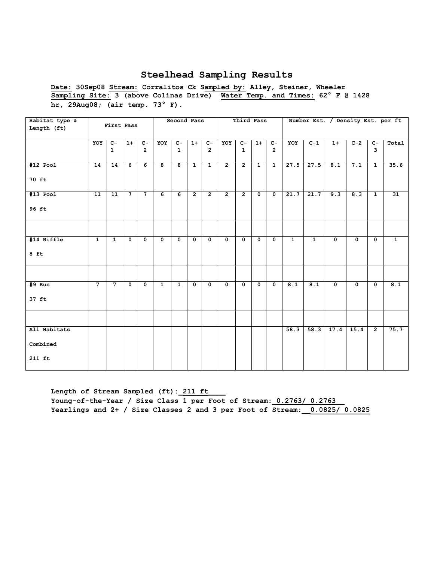**Date: 30Sep08 Stream: Corralitos Ck Sampled by: Alley, Steiner, Wheeler Sampling Site: 3 (above Colinas Drive) Water Temp. and Times: 62° F @ 1428 hr, 29Aug08; (air temp. 73° F).** 

| Habitat type &<br>Length (ft) |                | First Pass     |              |                |                | Second Pass    |                |                         |                | Third Pass           |              |                |              | Number Est. / Density Est. per ft |                         |             |                         |              |
|-------------------------------|----------------|----------------|--------------|----------------|----------------|----------------|----------------|-------------------------|----------------|----------------------|--------------|----------------|--------------|-----------------------------------|-------------------------|-------------|-------------------------|--------------|
|                               |                |                |              |                |                |                |                |                         |                |                      |              |                |              |                                   |                         |             |                         |              |
|                               | YOY            | $C-$           | $1+$         | $C -$          | YOY            | $C -$          | $1+$           | $c-$                    | YOY            | $C-$                 | $1+$         | $C-$           | YOY          | $C-1$                             | $1+$                    | $C-2$       | $c-$                    | Total        |
|                               |                | $\mathbf{1}$   |              | $\overline{2}$ |                | $\mathbf{1}$   |                | $\overline{2}$          |                | $\mathbf{1}$         |              | $\overline{2}$ |              |                                   |                         |             | 3                       |              |
| #12 Pool                      | 14             | 14             | 6            | 6              | 8              | 8              | $\mathbf{1}$   | $\mathbf{1}$            | $\overline{2}$ | $\overline{2}$       | $\mathbf{1}$ | $\mathbf{1}$   | 27.5         | 27.5                              | $\overline{8.1}$        | 7.1         | $\mathbf{1}$            | 35.6         |
| 70 ft                         |                |                |              |                |                |                |                |                         |                |                      |              |                |              |                                   |                         |             |                         |              |
| $#13$ Pool                    | 11             | 11             | $7^{\circ}$  | $7^{\circ}$    | 6              | 6              | $\overline{2}$ | $\overline{2}$          | $\overline{2}$ | $\overline{2}$       | $\mathbf{0}$ | $\mathbf{0}$   | 21.7         | 21.7                              | 9.3                     | 8.3         | $\mathbf{1}$            | 31           |
| 96 ft                         |                |                |              |                |                |                |                |                         |                |                      |              |                |              |                                   |                         |             |                         |              |
|                               |                |                |              |                |                |                |                |                         |                |                      |              |                |              |                                   |                         |             |                         |              |
| #14 Riffle                    | $\mathbf{1}$   | $\mathbf{1}$   | $\mathbf 0$  | $\mathbf{0}$   | $\mathbf 0$    | $\mathbf{0}$   | $\mathbf 0$    | $\mathbf 0$             | $\mathbf{0}$   | $\mathbf 0$          | $\mathbf{0}$ | $\mathbf 0$    | $\mathbf{1}$ | $\mathbf{1}$                      | $\mathbf{o}$            | $\mathbf 0$ | $\mathbf 0$             | $\mathbf{1}$ |
| $8$ ft                        |                |                |              |                |                |                |                |                         |                |                      |              |                |              |                                   |                         |             |                         |              |
|                               |                |                |              |                |                |                |                |                         |                |                      |              |                |              |                                   |                         |             |                         |              |
| $#9$ Run                      | $\overline{7}$ | $\overline{7}$ | $\mathbf{o}$ | $\mathbf 0$    | $\overline{1}$ | $\overline{1}$ | $\mathbf 0$    | $\overline{\mathbf{0}}$ | $\mathbf 0$    | $\overline{\bullet}$ | $\mathbf{o}$ | $\mathbf 0$    | 8.1          | 8.1                               | $\overline{\mathbf{0}}$ | $\mathbf 0$ | $\overline{\mathbf{0}}$ | 8.1          |
| 37 ft                         |                |                |              |                |                |                |                |                         |                |                      |              |                |              |                                   |                         |             |                         |              |
|                               |                |                |              |                |                |                |                |                         |                |                      |              |                |              |                                   |                         |             |                         |              |
| All Habitats                  |                |                |              |                |                |                |                |                         |                |                      |              |                | 58.3         | 58.3                              | 17.4                    | 15.4        | $\overline{2}$          | 75.7         |
| Combined                      |                |                |              |                |                |                |                |                         |                |                      |              |                |              |                                   |                         |             |                         |              |
| 211 ft                        |                |                |              |                |                |                |                |                         |                |                      |              |                |              |                                   |                         |             |                         |              |

Length of Stream Sampled (ft): 211 ft Young-of-the-Year / Size Class 1 per Foot of Stream: 0.2763/ 0.2763 **Yearlings and 2+ / Size Classes 2 and 3 per Foot of Stream:\_\_0.0825/ 0.0825**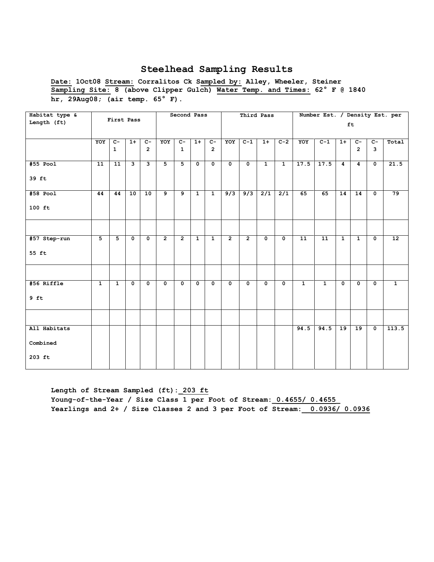**Date: 1Oct08 Stream: Corralitos Ck Sampled by: Alley, Wheeler, Steiner Sampling Site: 8 (above Clipper Gulch) Water Temp. and Times: 62° F @ 1840 hr, 29Aug08; (air temp. 65° F).** 

| Habitat type & |                 | First Pass   |             |                         |                | Second Pass    |                |                         |                         | Third Pass     |                  |                  |                 | Number Est. / Density Est. per |                |                |                           |                 |
|----------------|-----------------|--------------|-------------|-------------------------|----------------|----------------|----------------|-------------------------|-------------------------|----------------|------------------|------------------|-----------------|--------------------------------|----------------|----------------|---------------------------|-----------------|
| Length (ft)    |                 |              |             |                         |                |                |                |                         |                         |                |                  |                  |                 |                                |                | ft             |                           |                 |
|                | YOY             | $C -$        | $1+$        | $C-$                    | YOY            | $C-$           | $1+$           | $C -$                   | YOY                     | $C-1$          | $1+$             | $C-2$            | YOY             | $C-1$                          | $1+$           | $c-$           | $c-$                      | Total           |
|                |                 | $\mathbf{1}$ |             | $\overline{2}$          |                | $\mathbf{1}$   |                | $\overline{2}$          |                         |                |                  |                  |                 |                                |                | $\overline{2}$ | $\overline{3}$            |                 |
| #55 Pool       | $\overline{11}$ | 11           | ِ           | $\overline{\mathbf{3}}$ | $\overline{5}$ | $\overline{5}$ | $\mathbf 0$    | $\overline{\mathbf{0}}$ | $\overline{\mathbf{0}}$ | $\overline{0}$ | $\overline{1}$   | $\overline{1}$   | 17.5            | 17.5                           | 4              | 4              | $\overline{\mathbf{0}}$   | 21.5            |
| 39 ft          |                 |              |             |                         |                |                |                |                         |                         |                |                  |                  |                 |                                |                |                |                           |                 |
| #58 Pool       | 44              | 44           | 10          | 10                      | 9              | $\overline{9}$ | $\mathbf{1}$   | $\mathbf{1}$            | 9/3                     | 9/3            | $\overline{2/1}$ | $\overline{2/1}$ | 65              | 65                             | 14             | 14             | $\mathbf 0$               | 79              |
| $100$ ft       |                 |              |             |                         |                |                |                |                         |                         |                |                  |                  |                 |                                |                |                |                           |                 |
|                |                 |              |             |                         |                |                |                |                         |                         |                |                  |                  |                 |                                |                |                |                           |                 |
| #57 Step-run   | $\overline{5}$  | 5            | $\mathbf 0$ | $\mathbf{o}$            | $\overline{2}$ | $\overline{2}$ | $\overline{1}$ | $\overline{1}$          | $\overline{2}$          | $\overline{2}$ | $\mathbf 0$      | $\mathbf 0$      | $\overline{11}$ | $\overline{11}$                | $\overline{1}$ | $\mathbf{1}$   | $\overline{\mathbf{0}}$   | $\overline{12}$ |
| 55 ft          |                 |              |             |                         |                |                |                |                         |                         |                |                  |                  |                 |                                |                |                |                           |                 |
|                |                 |              |             |                         |                |                |                |                         |                         |                |                  |                  |                 |                                |                |                |                           |                 |
| #56 Riffle     | $\mathbf{1}$    | $\mathbf{1}$ | $\mathbf 0$ | $\mathbf{o}$            | $\mathbf 0$    | $\mathbf 0$    | $\mathbf 0$    | $\mathbf 0$             | $\mathbf 0$             | $\mathbf 0$    | $\mathbf 0$      | $\mathbf 0$      | $\overline{1}$  | $\mathbf{1}$                   | $\mathbf 0$    | $\mathbf 0$    | $\mathbf 0$               | $\mathbf{1}$    |
| $9$ ft         |                 |              |             |                         |                |                |                |                         |                         |                |                  |                  |                 |                                |                |                |                           |                 |
|                |                 |              |             |                         |                |                |                |                         |                         |                |                  |                  |                 |                                |                |                |                           |                 |
| All Habitats   |                 |              |             |                         |                |                |                |                         |                         |                |                  |                  | 94.5            | 94.5                           | 19             | 19             | $\overline{\mathfrak{o}}$ | 113.5           |
| Combined       |                 |              |             |                         |                |                |                |                         |                         |                |                  |                  |                 |                                |                |                |                           |                 |
| $203$ ft       |                 |              |             |                         |                |                |                |                         |                         |                |                  |                  |                 |                                |                |                |                           |                 |

**Length of Stream Sampled (ft):\_203 ft Young-of-the-Year / Size Class 1 per Foot of Stream:\_0.4655/ 0.4655\_ Yearlings and 2+ / Size Classes 2 and 3 per Foot of Stream:\_\_0.0936/ 0.0936**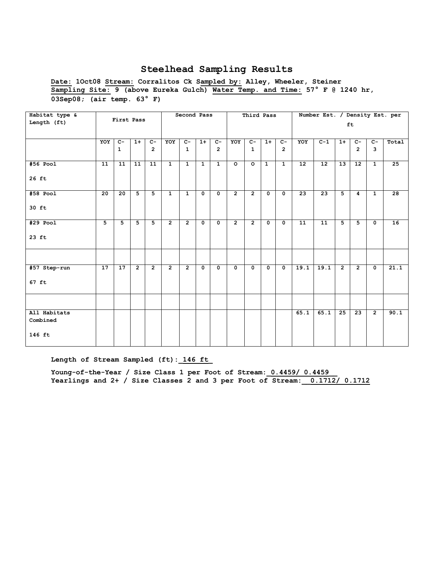**Date: 1Oct08 Stream: Corralitos Ck Sampled by: Alley, Wheeler, Steiner Sampling Site: 9 (above Eureka Gulch) Water Temp. and Time: 57° F @ 1240 hr, 03Sep08; (air temp. 63° F)** 

| Habitat type &           |                 |                 |                 |                 |                | Second Pass    |              |                |                | Third Pass     |              |                |      | Number Est. / Density Est. per |                |                 |                         |       |
|--------------------------|-----------------|-----------------|-----------------|-----------------|----------------|----------------|--------------|----------------|----------------|----------------|--------------|----------------|------|--------------------------------|----------------|-----------------|-------------------------|-------|
| Length (ft)              |                 | First Pass      |                 |                 |                |                |              |                |                |                |              |                |      |                                |                | ft              |                         |       |
|                          |                 |                 |                 |                 |                |                |              |                |                |                |              |                |      |                                |                |                 |                         |       |
|                          | YOY             | $C -$           | $1+$            | $C -$           | YOY            | $C -$          | $1+$         | $c-$           | YOY            | $C -$          | $1+$         | $C -$          | YOY  | $C-1$                          | $1+$           | $C -$           | $C-$                    | Total |
|                          |                 | $\mathbf{1}$    |                 | $\mathbf{2}$    |                | $\mathbf{1}$   |              | $\overline{2}$ |                | $\mathbf{1}$   |              | $\overline{2}$ |      |                                |                | $\overline{2}$  | 3                       |       |
| $#56$ Pool               | 11              | 11              | $\overline{11}$ | $\overline{11}$ | $\overline{1}$ | $\overline{1}$ | $\mathbf{1}$ | $\overline{1}$ | $\circ$        | $\circ$        | $\mathbf{1}$ | $\mathbf{1}$   | 12   | 12                             | 13             | $\overline{12}$ | $\overline{1}$          | 25    |
| 26 ft                    |                 |                 |                 |                 |                |                |              |                |                |                |              |                |      |                                |                |                 |                         |       |
| #58 Pool                 | 20              | 20              | 5               | 5               | $\mathbf{1}$   | $\mathbf{1}$   | $\mathbf 0$  | $\mathbf{0}$   | $\overline{2}$ | $\overline{2}$ | $\mathbf 0$  | $\mathbf 0$    | 23   | 23                             | 5              | 4               | $\mathbf{1}$            | 28    |
| 30 ft                    |                 |                 |                 |                 |                |                |              |                |                |                |              |                |      |                                |                |                 |                         |       |
| #29 Pool                 | 5 <sup>5</sup>  | 5               | 5               | 5               | $\overline{2}$ | $\overline{2}$ | $\mathbf 0$  | $\mathbf{0}$   | $\overline{2}$ | $\overline{2}$ | $\mathbf 0$  | $\mathbf 0$    | 11   | 11                             | 5              | 5               | $\mathbf 0$             | 16    |
| $23$ ft                  |                 |                 |                 |                 |                |                |              |                |                |                |              |                |      |                                |                |                 |                         |       |
|                          |                 |                 |                 |                 |                |                |              |                |                |                |              |                |      |                                |                |                 |                         |       |
| #57 Step-run             | $\overline{17}$ | $\overline{17}$ | $\overline{2}$  | $\overline{2}$  | $\overline{2}$ | $\overline{2}$ | $\mathbf 0$  | $\mathbf 0$    | 0              | $\mathbf 0$    | $\mathbf 0$  | $\mathbf 0$    | 19.1 | 19.1                           | $\overline{2}$ | $\overline{2}$  | $\overline{\mathbf{0}}$ | 21.1  |
| $67$ ft                  |                 |                 |                 |                 |                |                |              |                |                |                |              |                |      |                                |                |                 |                         |       |
|                          |                 |                 |                 |                 |                |                |              |                |                |                |              |                |      |                                |                |                 |                         |       |
| All Habitats<br>Combined |                 |                 |                 |                 |                |                |              |                |                |                |              |                | 65.1 | 65.1                           | 25             | 23              | $\overline{2}$          | 90.1  |
| 146 ft                   |                 |                 |                 |                 |                |                |              |                |                |                |              |                |      |                                |                |                 |                         |       |

Length of Stream Sampled (ft): 146 ft

Young-of-the-Year / Size Class 1 per Foot of Stream:  $0.4459/ 0.4459$ **Yearlings and 2+ / Size Classes 2 and 3 per Foot of Stream:\_\_0.1712/ 0.1712**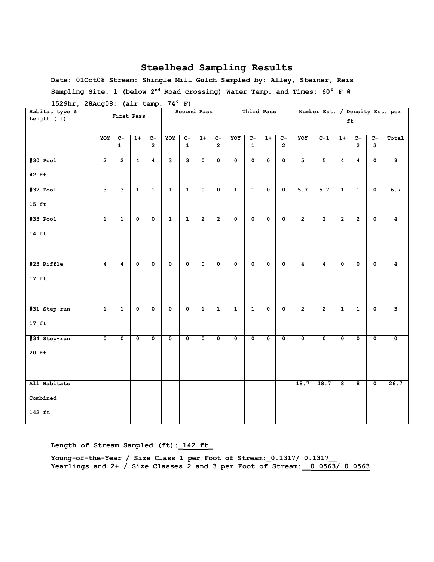**Date: 01Oct08 Stream: Shingle Mill Gulch Sampled by: Alley, Steiner, Reis Sampling Site: 1 (below 2nd Road crossing) Water Temp. and Times: 60° F @** 

| Habitat type &  | <u>,</u>                | $\cdot$ .               |                | - 4                     |                | Second Pass    |                |                |                | Third Pass              |                         |                           |                           | Number Est. / Density Est. per |                |                |                         |                         |
|-----------------|-------------------------|-------------------------|----------------|-------------------------|----------------|----------------|----------------|----------------|----------------|-------------------------|-------------------------|---------------------------|---------------------------|--------------------------------|----------------|----------------|-------------------------|-------------------------|
| Length (ft)     |                         | First Pass              |                |                         |                |                |                |                |                |                         |                         |                           |                           |                                |                | ft             |                         |                         |
|                 |                         |                         |                |                         |                |                |                |                |                |                         |                         |                           |                           |                                |                |                |                         |                         |
|                 | YOY                     | $C-$                    | $1+$           | $C -$                   | YOY            | $c-$           | $1+$           | $c-$           | YOY            | $c-$                    | $1+$                    | $\overline{c}$            | YOY                       | $C-1$                          | $1+$           | $C -$          | $c-$                    | Total                   |
|                 |                         | $\mathbf{1}$            |                | $\overline{2}$          |                | $\mathbf{1}$   |                | $\overline{2}$ |                | $\mathbf{1}$            |                         | $\overline{2}$            |                           |                                |                | $\overline{2}$ | 3                       |                         |
| $#30$ Pool      | $\overline{2}$          | $\overline{2}$          | $\overline{4}$ | $\overline{4}$          | نا             | نا             | $\mathbf 0$    | $\mathbf 0$    | $\mathbf 0$    | $\mathbf 0$             | $\mathbf 0$             | $\mathbf 0$               | $\overline{5}$            | $\overline{5}$                 | $\overline{4}$ | $\overline{4}$ | $\mathbf 0$             | 9                       |
| $42$ ft         |                         |                         |                |                         |                |                |                |                |                |                         |                         |                           |                           |                                |                |                |                         |                         |
| $#32$ Pool      | $\overline{\mathbf{3}}$ | 3                       | $\overline{1}$ | $\mathbf{1}$            | $\mathbf{1}$   | $\mathbf{1}$   | $\mathbf 0$    | $\mathbf 0$    | $\mathbf{1}$   | $\mathbf{1}$            | $\mathbf 0$             | $\overline{\mathbf{0}}$   | 5.7                       | 5.7                            | $\mathbf{1}$   | $\mathbf{1}$   | $\overline{\mathbf{0}}$ | 6.7                     |
| $15 \text{ ft}$ |                         |                         |                |                         |                |                |                |                |                |                         |                         |                           |                           |                                |                |                |                         |                         |
| $#33$ Pool      | $\mathbf{1}$            | $\overline{1}$          | $\overline{0}$ | $\overline{\mathbf{0}}$ | $\overline{1}$ | $\overline{1}$ | $\overline{2}$ | $\overline{2}$ | $\overline{0}$ | $\overline{\mathbf{0}}$ | $\overline{\mathbf{0}}$ | $\overline{\mathfrak{o}}$ | $\overline{2}$            | $\overline{2}$                 | $\overline{2}$ | $\overline{2}$ | $\overline{\mathbf{0}}$ | $\overline{4}$          |
| $14 \text{ ft}$ |                         |                         |                |                         |                |                |                |                |                |                         |                         |                           |                           |                                |                |                |                         |                         |
|                 |                         |                         |                |                         |                |                |                |                |                |                         |                         |                           |                           |                                |                |                |                         |                         |
| #23 Riffle      | $\overline{4}$          | $\overline{\mathbf{4}}$ | $\mathbf 0$    | $\mathbf 0$             | $\mathbf 0$    | 0              | $\mathbf 0$    | $\mathbf 0$    | $\mathbf 0$    | $\mathbf 0$             | 0                       | $\mathbf 0$               | $\overline{4}$            | $\overline{\mathbf{4}}$        | $\mathbf 0$    | 0              | $\mathbf 0$             | 4                       |
| $17$ ft         |                         |                         |                |                         |                |                |                |                |                |                         |                         |                           |                           |                                |                |                |                         |                         |
|                 |                         |                         |                |                         |                |                |                |                |                |                         |                         |                           |                           |                                |                |                |                         |                         |
| #31 Step-run    | $\mathbf{1}$            | $\mathbf{1}$            | $\mathbf 0$    | 0                       | 0              | 0              | $\mathbf{1}$   | $\mathbf{1}$   | $\mathbf{1}$   | $\mathbf{1}$            | $\mathbf 0$             | $\mathbf 0$               | $\overline{2}$            | $\overline{2}$                 | $\mathbf{1}$   | $\mathbf{1}$   | $\mathbf 0$             | $\overline{\mathbf{3}}$ |
| $17$ ft         |                         |                         |                |                         |                |                |                |                |                |                         |                         |                           |                           |                                |                |                |                         |                         |
| #34 Step-run    | $\mathbf{0}$            | $\overline{0}$          | $\overline{0}$ | $\mathbf 0$             | $\overline{0}$ | $\mathbf 0$    | $\overline{0}$ | $\mathbf{0}$   | $\mathbf 0$    | $\overline{0}$          | $\overline{0}$          | $\overline{0}$            | $\overline{\mathfrak{o}}$ | $\overline{0}$                 | $\mathbf 0$    | $\Omega$       | $\overline{0}$          | $\mathbf 0$             |
| $20$ ft         |                         |                         |                |                         |                |                |                |                |                |                         |                         |                           |                           |                                |                |                |                         |                         |
|                 |                         |                         |                |                         |                |                |                |                |                |                         |                         |                           |                           |                                |                |                |                         |                         |
| All Habitats    |                         |                         |                |                         |                |                |                |                |                |                         |                         |                           | 18.7                      | 18.7                           | 8              | 8              | 0                       | 26.7                    |
| Combined        |                         |                         |                |                         |                |                |                |                |                |                         |                         |                           |                           |                                |                |                |                         |                         |
| 142 ft          |                         |                         |                |                         |                |                |                |                |                |                         |                         |                           |                           |                                |                |                |                         |                         |

**1529hr, 28Aug08; (air temp. 74° F)**

Length of Stream Sampled (ft): 142 ft

Young-of-the-Year / Size Class 1 per Foot of Stream: 0.1317/ 0.1317 **Yearlings and 2+ / Size Classes 2 and 3 per Foot of Stream:\_\_0.0563/ 0.0563**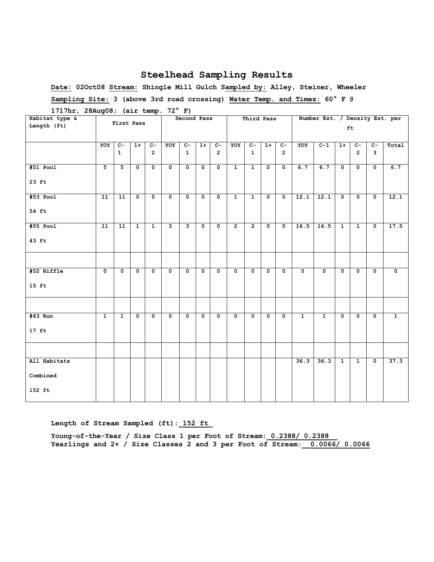**Date: 02Oct08 Stream: Shingle Mill Gulch Sampled by: Alley, Steiner, Wheeler Sampling Site: 3 (above 3rd road crossing) Water Temp. and Times: 60° F @** 

| Habitat type &  |                      | First Pass                     |                         |                         |                         | $-$ ,<br>Second Pass    |                         |                         |                         | Third Pass                     |                         |                         |                         | Number Est. / Density Est. per |                         |                        |                         |                         |
|-----------------|----------------------|--------------------------------|-------------------------|-------------------------|-------------------------|-------------------------|-------------------------|-------------------------|-------------------------|--------------------------------|-------------------------|-------------------------|-------------------------|--------------------------------|-------------------------|------------------------|-------------------------|-------------------------|
| Length (ft)     |                      |                                |                         |                         |                         |                         |                         |                         |                         |                                |                         |                         |                         |                                |                         | ft                     |                         |                         |
|                 |                      |                                |                         |                         |                         |                         |                         |                         |                         |                                |                         |                         |                         |                                |                         |                        |                         |                         |
|                 | YOY                  | $\overline{c}$<br>$\mathbf{1}$ | $1+$                    | $c-$<br>$\overline{2}$  | YOY                     | $C -$<br>$\mathbf{1}$   | $1+$                    | $c-$<br>$\overline{2}$  | YOY                     | $\overline{c}$<br>$\mathbf{1}$ | $1+$                    | $c-$<br>$\overline{2}$  | YOY                     | $C-1$                          | $1+$                    | $c-$<br>$\overline{2}$ | $C-$<br>3               | Total                   |
|                 |                      |                                |                         |                         |                         |                         |                         |                         |                         |                                |                         |                         |                         |                                |                         |                        |                         |                         |
| #51 Pool        | 5                    | $\overline{5}$                 | $\overline{\mathbf{0}}$ | $\overline{\mathbf{0}}$ | $\overline{\mathbf{0}}$ | $\overline{\mathbf{0}}$ | $\overline{\mathbf{0}}$ | $\overline{\mathbf{0}}$ | $\mathbf{1}$            | $\overline{1}$                 | 0                       | $\overline{\mathbf{0}}$ | 6.7                     | 6.7                            | $\overline{\mathbf{0}}$ | 0                      | $\overline{\mathbf{0}}$ | 6.7                     |
| $23$ ft         |                      |                                |                         |                         |                         |                         |                         |                         |                         |                                |                         |                         |                         |                                |                         |                        |                         |                         |
| $#53$ Pool      | 11                   | 11                             | $\mathbf{0}$            | $\mathbf 0$             | $\mathbf{o}$            | $\mathbf{0}$            | $\mathbf 0$             | $\mathbf{0}$            | $\mathbf{1}$            | $\mathbf{1}$                   | 0                       | $\mathbf{o}$            | 12.1                    | 12.1                           | $\mathbf 0$             | $\mathbf{0}$           | $\mathbf 0$             | 12.1                    |
| 54 ft           |                      |                                |                         |                         |                         |                         |                         |                         |                         |                                |                         |                         |                         |                                |                         |                        |                         |                         |
| #55 Pool        | 11                   | 11                             | $\mathbf{1}$            | $\mathbf{1}$            | $\mathbf{3}$            | $\mathbf{3}$            | $\mathbf 0$             | $\mathbf{0}$            | $\overline{2}$          | $\overline{2}$                 | $\mathbf 0$             | $\mathbf{o}$            | 16.5                    | 16.5                           | $\mathbf{1}$            | $\mathbf{1}$           | $\mathbf 0$             | 17.5                    |
| 43 ft           |                      |                                |                         |                         |                         |                         |                         |                         |                         |                                |                         |                         |                         |                                |                         |                        |                         |                         |
|                 |                      |                                |                         |                         |                         |                         |                         |                         |                         |                                |                         |                         |                         |                                |                         |                        |                         |                         |
| #52 Riffle      | $\overline{\bullet}$ | $\mathbf 0$                    | $\mathbf{0}$            | $\overline{\mathbf{0}}$ | $\mathbf 0$             | $\mathbf{0}$            | $\overline{\mathbf{0}}$ | $\mathbf{0}$            | $\overline{\mathbf{0}}$ | $\overline{\mathbf{0}}$        | $\overline{\mathbf{0}}$ | $\overline{\mathbf{0}}$ | $\overline{\mathbf{0}}$ | $\overline{\mathbf{0}}$        | $\mathbf{0}$            | $\mathbf 0$            | $\overline{\mathbf{0}}$ | $\overline{\mathbf{0}}$ |
| $15 \text{ ft}$ |                      |                                |                         |                         |                         |                         |                         |                         |                         |                                |                         |                         |                         |                                |                         |                        |                         |                         |
|                 |                      |                                |                         |                         |                         |                         |                         |                         |                         |                                |                         |                         |                         |                                |                         |                        |                         |                         |
| #63 Run         | $\overline{1}$       | $\overline{1}$                 | $\overline{0}$          | $\overline{0}$          | $\mathbf 0$             | $\mathbf{0}$            | $\mathbf{0}$            | $\mathbf{0}$            | $\mathbf 0$             | $\mathbf{0}$                   | $\mathbf{0}$            | $\mathbf{0}$            | $\overline{1}$          | $\overline{1}$                 | $\mathbf{0}$            | $\mathbf 0$            | $\overline{\mathbf{0}}$ | $\overline{1}$          |
| $17$ ft         |                      |                                |                         |                         |                         |                         |                         |                         |                         |                                |                         |                         |                         |                                |                         |                        |                         |                         |
|                 |                      |                                |                         |                         |                         |                         |                         |                         |                         |                                |                         |                         |                         |                                |                         |                        |                         |                         |
| All Habitats    |                      |                                |                         |                         |                         |                         |                         |                         |                         |                                |                         |                         | 36.3                    | 36.3                           | $\overline{1}$          | $\mathbf{1}$           | $\overline{0}$          | 37.3                    |
| Combined        |                      |                                |                         |                         |                         |                         |                         |                         |                         |                                |                         |                         |                         |                                |                         |                        |                         |                         |
| 152 ft          |                      |                                |                         |                         |                         |                         |                         |                         |                         |                                |                         |                         |                         |                                |                         |                        |                         |                         |

**1717hr, 28Aug08; (air temp. 72° F)**

**Length of Stream Sampled (ft):\_152 ft\_**

Young-of-the-Year / Size Class 1 per Foot of Stream: 0.2388/ 0.2388 **Yearlings and 2+ / Size Classes 2 and 3 per Foot of Stream:\_\_0.0066/ 0.0066**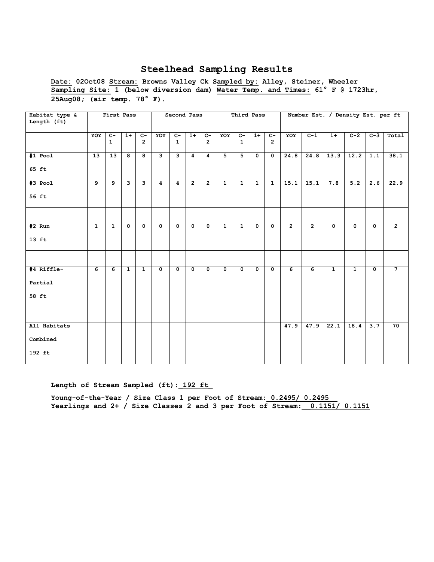**Date: 02Oct08 Stream: Browns Valley Ck Sampled by: Alley, Steiner, Wheeler Sampling Site: 1 (below diversion dam) Water Temp. and Times: 61° F @ 1723hr, 25Aug08; (air temp. 78° F).** 

| Habitat type &<br>Length (ft)      |                | First Pass            |                         |                         |                         | Second Pass             |                         |                        |                | Third Pass              |                |                         |                |                | Number Est. / Density Est. per ft |                         |                         |                 |
|------------------------------------|----------------|-----------------------|-------------------------|-------------------------|-------------------------|-------------------------|-------------------------|------------------------|----------------|-------------------------|----------------|-------------------------|----------------|----------------|-----------------------------------|-------------------------|-------------------------|-----------------|
|                                    | YOY            | $C -$<br>$\mathbf{1}$ | $1+$                    | $C -$<br>$\overline{2}$ | YOY                     | $C-$<br>$\mathbf{1}$    | $1+$                    | $C-$<br>$\overline{2}$ | YOY            | $C -$<br>$\mathbf{1}$   | $1+$           | $c-$<br>$\overline{2}$  | YOY            | $C-1$          | $1+$                              | $C-2$                   | $C-3$                   | Total           |
| $#1$ Pool<br>65 ft                 | 13             | 13                    | 8                       | 8                       | $\mathbf{3}$            | $\mathbf{3}$            | $\overline{4}$          | $\overline{4}$         | 5              | $\overline{5}$          | $\mathbf{0}$   | $\mathbf 0$             | 24.8           | 24.8           | 13.3                              | 12.2                    | 1.1                     | 38.1            |
| $#3$ Pool<br>56 ft                 | $\overline{9}$ | 9                     | $\overline{\mathbf{3}}$ | 3                       | $\overline{4}$          | $\overline{4}$          | $\overline{2}$          | $\overline{2}$         | $\overline{1}$ | $\overline{1}$          | $\mathbf{1}$   | $\overline{1}$          | 15.1           | 15.1           | 7.8                               | 5.2                     | 2.6                     | 22.9            |
|                                    |                |                       |                         |                         |                         |                         |                         |                        |                |                         |                |                         |                |                |                                   |                         |                         |                 |
| $#2$ Run<br>$13$ ft                | $\mathbf{1}$   | $\mathbf{1}$          | $\mathbf 0$             | $\mathbf{o}$            | $\overline{\bullet}$    | $\mathbf 0$             | $\mathbf{o}$            | $\mathbf 0$            | $\overline{1}$ | $\overline{1}$          | $\mathbf 0$    | $\mathbf 0$             | $\overline{2}$ | $\overline{2}$ | $\overline{\mathbf{0}}$           | $\overline{\mathbf{0}}$ | $\overline{\mathbf{0}}$ | $\overline{2}$  |
|                                    |                |                       |                         |                         |                         |                         |                         |                        |                |                         |                |                         |                |                |                                   |                         |                         |                 |
| #4 Riffle-<br>Partial<br>58 ft     | $\overline{6}$ | 6                     | $\overline{1}$          | $\overline{1}$          | $\overline{\mathbf{0}}$ | $\overline{\mathbf{0}}$ | $\overline{\mathbf{0}}$ | $\overline{0}$         | $\mathbf 0$    | $\overline{\mathbf{0}}$ | $\overline{0}$ | $\overline{\mathbf{0}}$ | $\overline{6}$ | $\overline{6}$ | $\overline{1}$                    | $\overline{1}$          | $\overline{\mathbf{0}}$ | $\overline{7}$  |
|                                    |                |                       |                         |                         |                         |                         |                         |                        |                |                         |                |                         |                |                |                                   |                         |                         |                 |
| All Habitats<br>Combined<br>192 ft |                |                       |                         |                         |                         |                         |                         |                        |                |                         |                |                         | 47.9           | 47.9           | $\overline{22.1}$                 | 18.4                    | $\overline{3.7}$        | $\overline{70}$ |

Length of Stream Sampled (ft): 192 ft

**Young-of-the-Year / Size Class 1 per Foot of Stream:\_0.2495/ 0.2495\_\_** Yearlings and 2+ / Size Classes 2 and 3 per Foot of Stream:  $0.1151/ 0.1151$